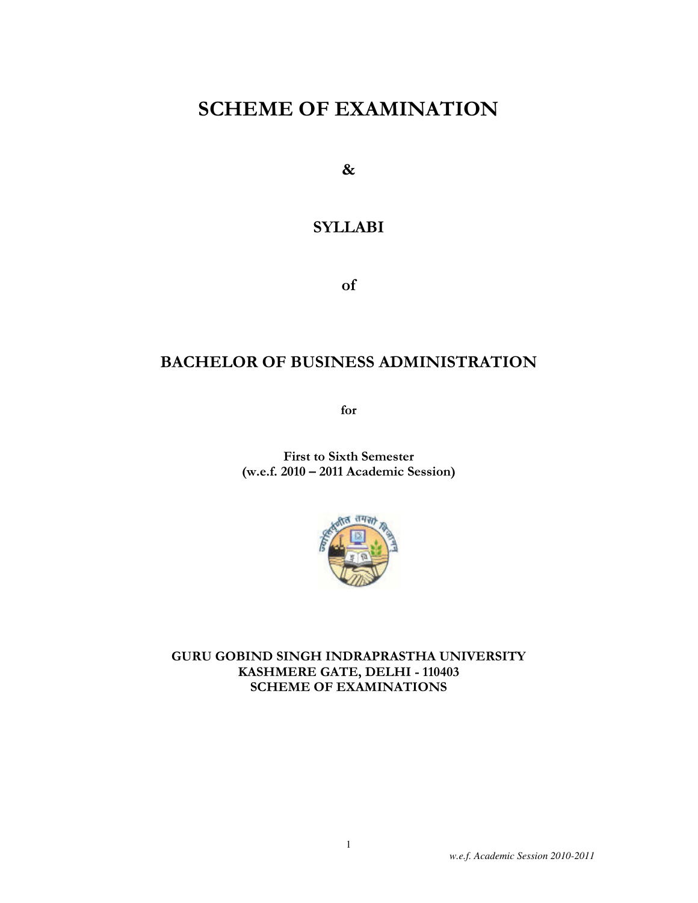# SCHEME OF EXAMINATION

&

## **SYLLABI**

of

## BACHELOR OF BUSINESS ADMINISTRATION

for

First to Sixth Semester (w.e.f. 2010 – 2011 Academic Session)



GURU GOBIND SINGH INDRAPRASTHA UNIVERSITY KASHMERE GATE, DELHI - 110403 SCHEME OF EXAMINATIONS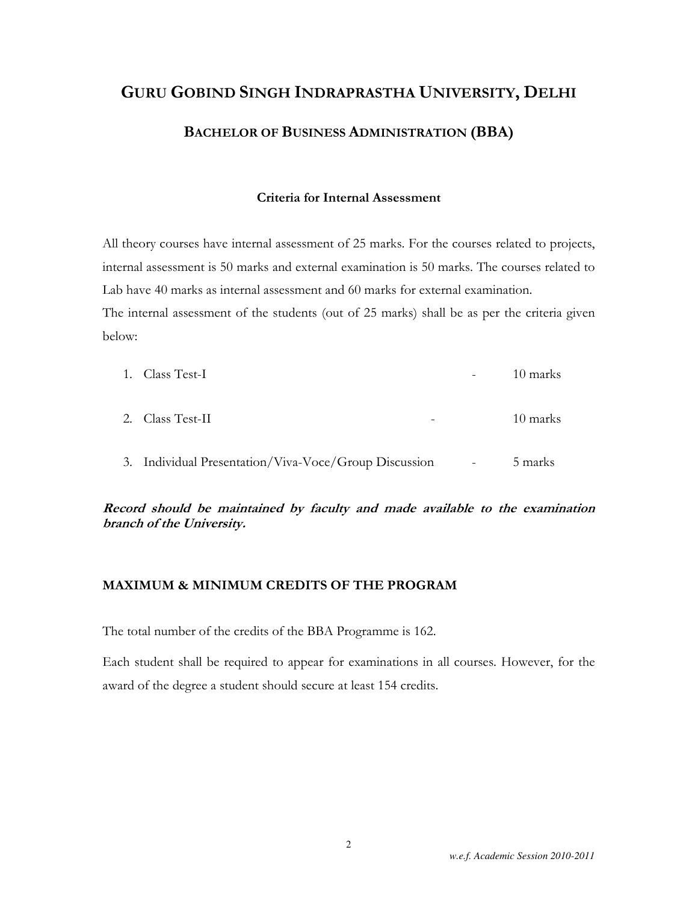### Criteria for Internal Assessment

All theory courses have internal assessment of 25 marks. For the courses related to projects, internal assessment is 50 marks and external examination is 50 marks. The courses related to Lab have 40 marks as internal assessment and 60 marks for external examination. The internal assessment of the students (out of 25 marks) shall be as per the criteria given below:

| 1. Class Test-I                                       |        | $\alpha \rightarrow \alpha \beta$ . | 10 marks |
|-------------------------------------------------------|--------|-------------------------------------|----------|
| 2. Class Test-II<br>$\qquad \qquad -$                 |        |                                     | 10 marks |
| 3. Individual Presentation/Viva-Voce/Group Discussion | $\sim$ |                                     | 5 marks  |

Record should be maintained by faculty and made available to the examination branch of the University.

#### MAXIMUM & MINIMUM CREDITS OF THE PROGRAM

The total number of the credits of the BBA Programme is 162.

Each student shall be required to appear for examinations in all courses. However, for the award of the degree a student should secure at least 154 credits.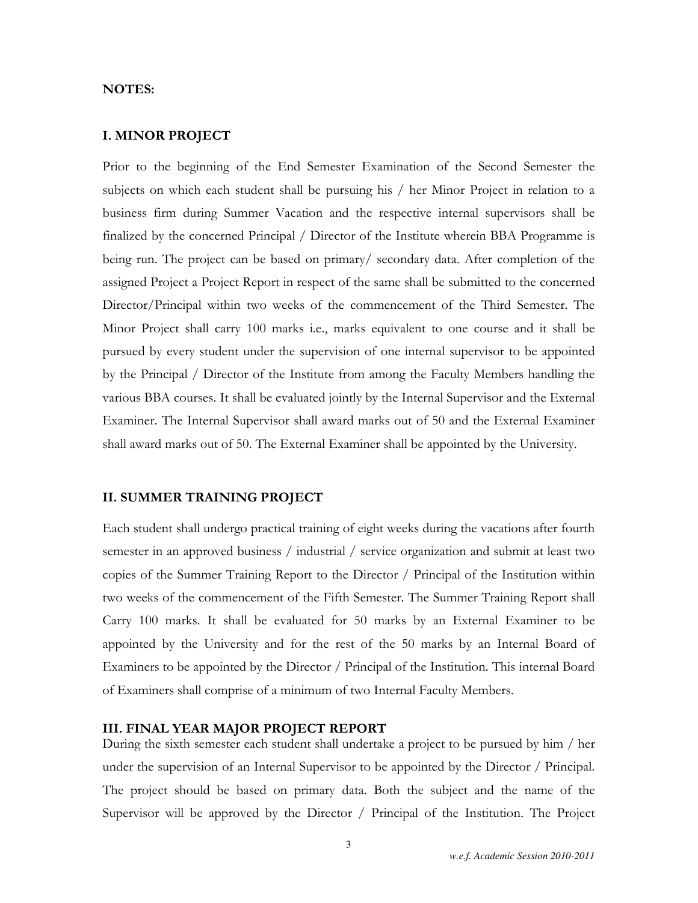#### NOTES:

#### I. MINOR PROJECT

Prior to the beginning of the End Semester Examination of the Second Semester the subjects on which each student shall be pursuing his / her Minor Project in relation to a business firm during Summer Vacation and the respective internal supervisors shall be finalized by the concerned Principal / Director of the Institute wherein BBA Programme is being run. The project can be based on primary/ secondary data. After completion of the assigned Project a Project Report in respect of the same shall be submitted to the concerned Director/Principal within two weeks of the commencement of the Third Semester. The Minor Project shall carry 100 marks i.e., marks equivalent to one course and it shall be pursued by every student under the supervision of one internal supervisor to be appointed by the Principal / Director of the Institute from among the Faculty Members handling the various BBA courses. It shall be evaluated jointly by the Internal Supervisor and the External Examiner. The Internal Supervisor shall award marks out of 50 and the External Examiner shall award marks out of 50. The External Examiner shall be appointed by the University.

#### II. SUMMER TRAINING PROJECT

Each student shall undergo practical training of eight weeks during the vacations after fourth semester in an approved business / industrial / service organization and submit at least two copies of the Summer Training Report to the Director / Principal of the Institution within two weeks of the commencement of the Fifth Semester. The Summer Training Report shall Carry 100 marks. It shall be evaluated for 50 marks by an External Examiner to be appointed by the University and for the rest of the 50 marks by an Internal Board of Examiners to be appointed by the Director / Principal of the Institution. This internal Board of Examiners shall comprise of a minimum of two Internal Faculty Members.

#### III. FINAL YEAR MAJOR PROJECT REPORT

During the sixth semester each student shall undertake a project to be pursued by him / her under the supervision of an Internal Supervisor to be appointed by the Director / Principal. The project should be based on primary data. Both the subject and the name of the Supervisor will be approved by the Director / Principal of the Institution. The Project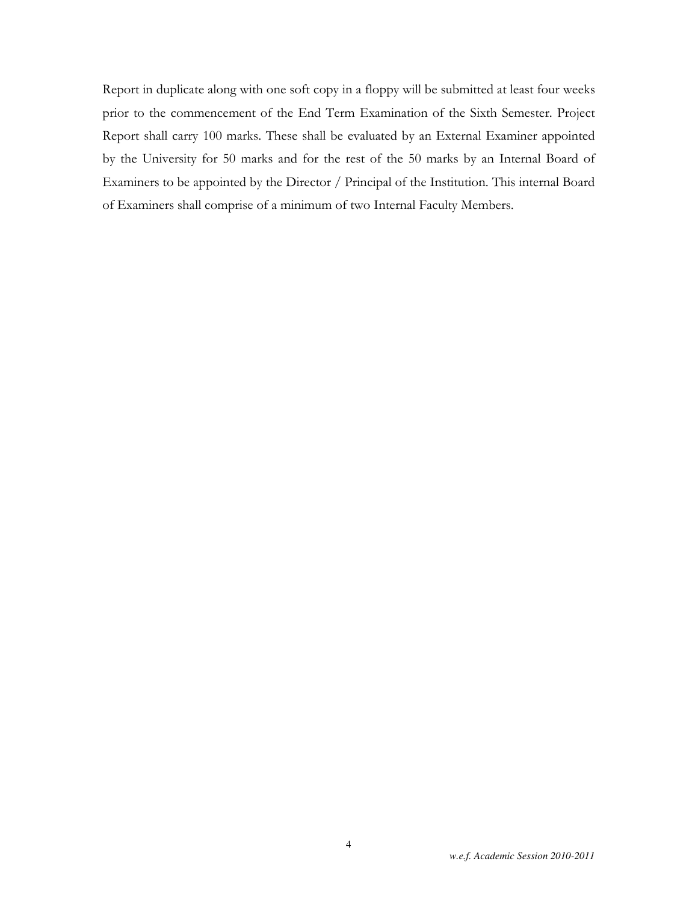Report in duplicate along with one soft copy in a floppy will be submitted at least four weeks prior to the commencement of the End Term Examination of the Sixth Semester. Project Report shall carry 100 marks. These shall be evaluated by an External Examiner appointed by the University for 50 marks and for the rest of the 50 marks by an Internal Board of Examiners to be appointed by the Director / Principal of the Institution. This internal Board of Examiners shall comprise of a minimum of two Internal Faculty Members.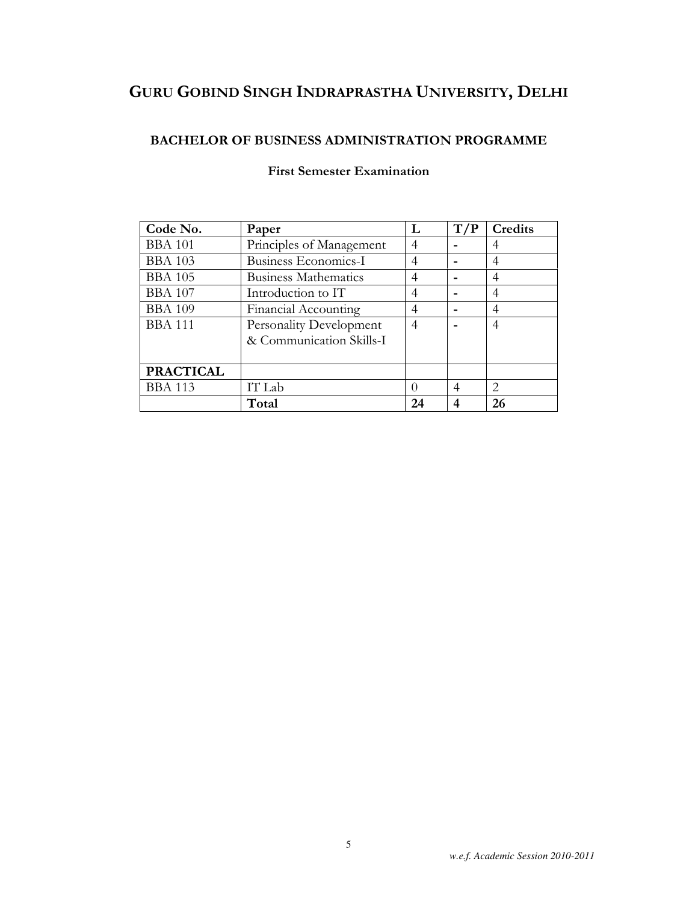### BACHELOR OF BUSINESS ADMINISTRATION PROGRAMME

| Code No.         | Paper                       | L  | T/P | Credits               |
|------------------|-----------------------------|----|-----|-----------------------|
| <b>BBA 101</b>   | Principles of Management    | 4  |     |                       |
| <b>BBA 103</b>   | Business Economics-I        | 4  |     | 4                     |
| <b>BBA 105</b>   | <b>Business Mathematics</b> | 4  |     |                       |
| <b>BBA 107</b>   | Introduction to IT          | 4  |     | 4                     |
| <b>BBA 109</b>   | Financial Accounting        | 4  |     | 4                     |
| <b>BBA 111</b>   | Personality Development     | 4  |     | 4                     |
|                  | & Communication Skills-I    |    |     |                       |
|                  |                             |    |     |                       |
| <b>PRACTICAL</b> |                             |    |     |                       |
| <b>BBA 113</b>   | IT Lab                      |    | 4   | $\mathcal{D}_{\cdot}$ |
|                  | Total                       | 24 | 4   | 26                    |

### First Semester Examination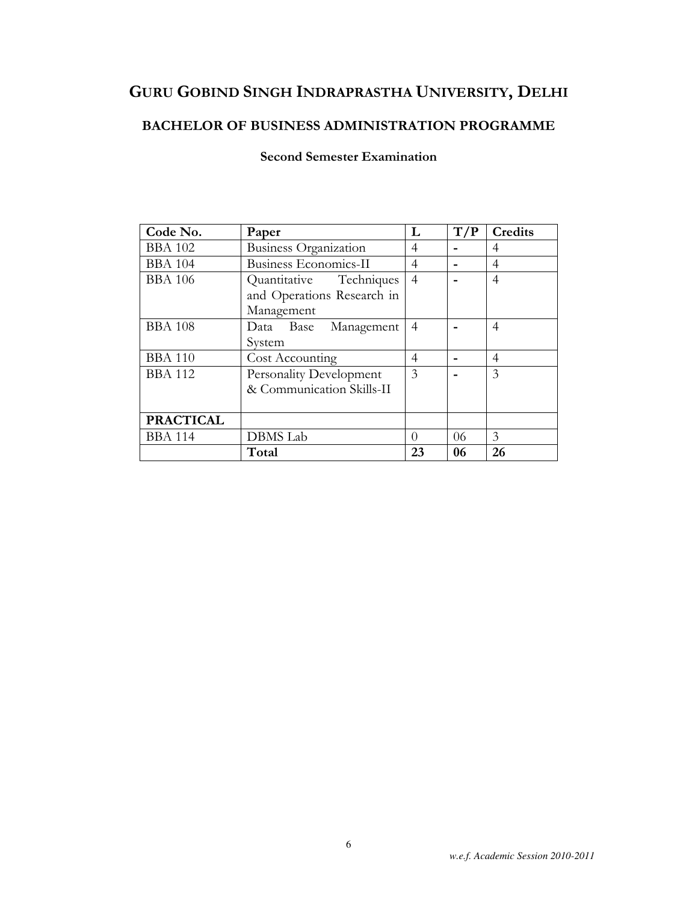## BACHELOR OF BUSINESS ADMINISTRATION PROGRAMME

### Second Semester Examination

| Code No.         | Paper                        | L                | T/P | Credits |
|------------------|------------------------------|------------------|-----|---------|
| <b>BBA 102</b>   | <b>Business Organization</b> | 4                |     | 4       |
| <b>BBA 104</b>   | Business Economics-II        | 4                |     | 4       |
| <b>BBA 106</b>   | Quantitative Techniques      | $\overline{4}$   |     | 4       |
|                  | and Operations Research in   |                  |     |         |
|                  | Management                   |                  |     |         |
| <b>BBA 108</b>   | Data Base<br>Management      | $\overline{4}$   |     | 4       |
|                  | System                       |                  |     |         |
| <b>BBA 110</b>   | Cost Accounting              | 4                |     | 4       |
| <b>BBA 112</b>   | Personality Development      | 3                |     | 3       |
|                  | & Communication Skills-II    |                  |     |         |
|                  |                              |                  |     |         |
| <b>PRACTICAL</b> |                              |                  |     |         |
| <b>BBA 114</b>   | <b>DBMS</b> Lab              | $\left( \right)$ | 06  | 3       |
|                  | Total                        | 23               | 06  | 26      |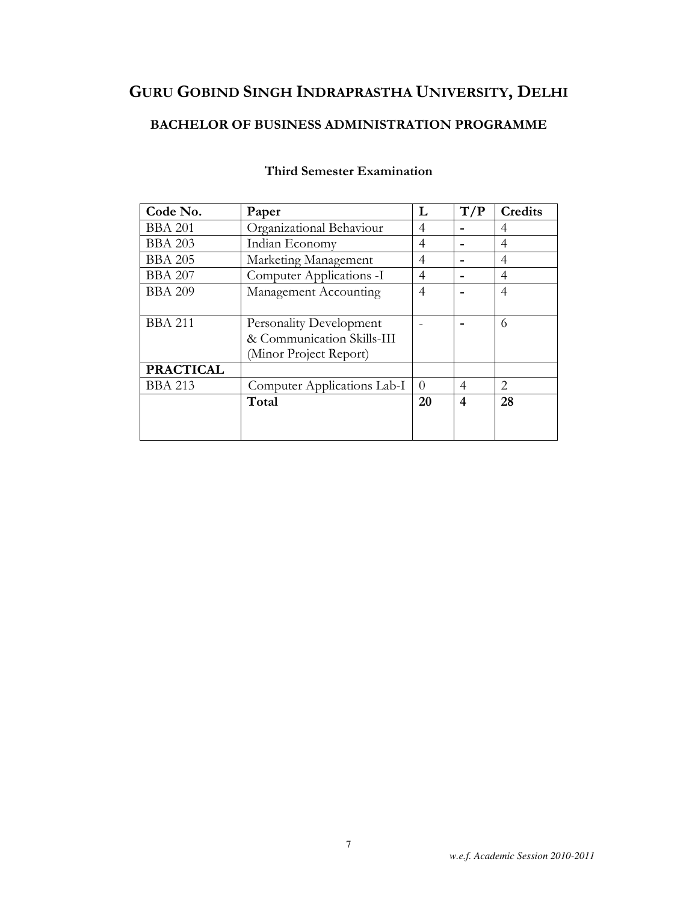## BACHELOR OF BUSINESS ADMINISTRATION PROGRAMME

| Code No.         | Paper                       | L        | T/P | Credits                     |
|------------------|-----------------------------|----------|-----|-----------------------------|
| <b>BBA 201</b>   | Organizational Behaviour    | 4        |     | 4                           |
| <b>BBA 203</b>   | Indian Economy              | 4        |     | 4                           |
| <b>BBA 205</b>   | Marketing Management        | 4        |     | 4                           |
| <b>BBA 207</b>   | Computer Applications -I    | 4        |     | 4                           |
| <b>BBA 209</b>   | Management Accounting       | 4        |     | 4                           |
|                  |                             |          |     |                             |
| <b>BBA 211</b>   | Personality Development     |          |     | 6                           |
|                  | & Communication Skills-III  |          |     |                             |
|                  | (Minor Project Report)      |          |     |                             |
| <b>PRACTICAL</b> |                             |          |     |                             |
| <b>BBA 213</b>   | Computer Applications Lab-I | $\Omega$ | 4   | $\mathcal{D}_{\mathcal{L}}$ |
|                  | Total                       | 20       | 4   | 28                          |
|                  |                             |          |     |                             |
|                  |                             |          |     |                             |

### Third Semester Examination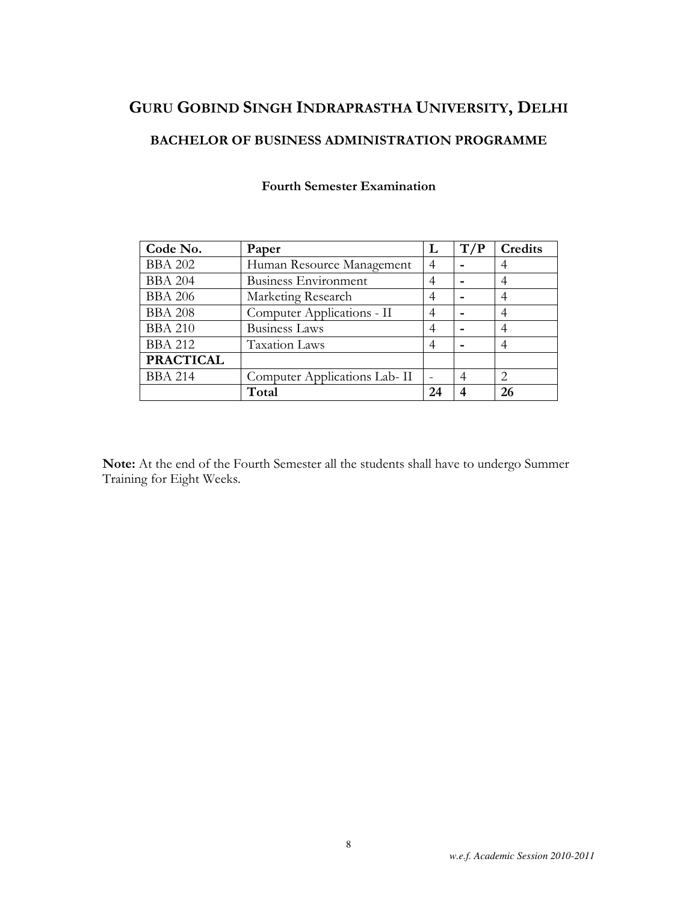| Code No.         | Paper                         | L  | T/P | Credits                     |
|------------------|-------------------------------|----|-----|-----------------------------|
| <b>BBA 202</b>   | Human Resource Management     | 4  |     |                             |
| <b>BBA 204</b>   | <b>Business Environment</b>   | 4  |     |                             |
| <b>BBA 206</b>   | Marketing Research            | 4  |     |                             |
| <b>BBA 208</b>   | Computer Applications - II    | 4  |     |                             |
| <b>BBA 210</b>   | <b>Business Laws</b>          |    |     | $\overline{4}$              |
| <b>BBA 212</b>   | <b>Taxation Laws</b>          | 4  |     |                             |
| <b>PRACTICAL</b> |                               |    |     |                             |
| <b>BBA 214</b>   | Computer Applications Lab- II |    | 4   | $\mathcal{D}_{\mathcal{L}}$ |
|                  | Total                         | 24 |     | 26                          |

### Fourth Semester Examination

Note: At the end of the Fourth Semester all the students shall have to undergo Summer Training for Eight Weeks.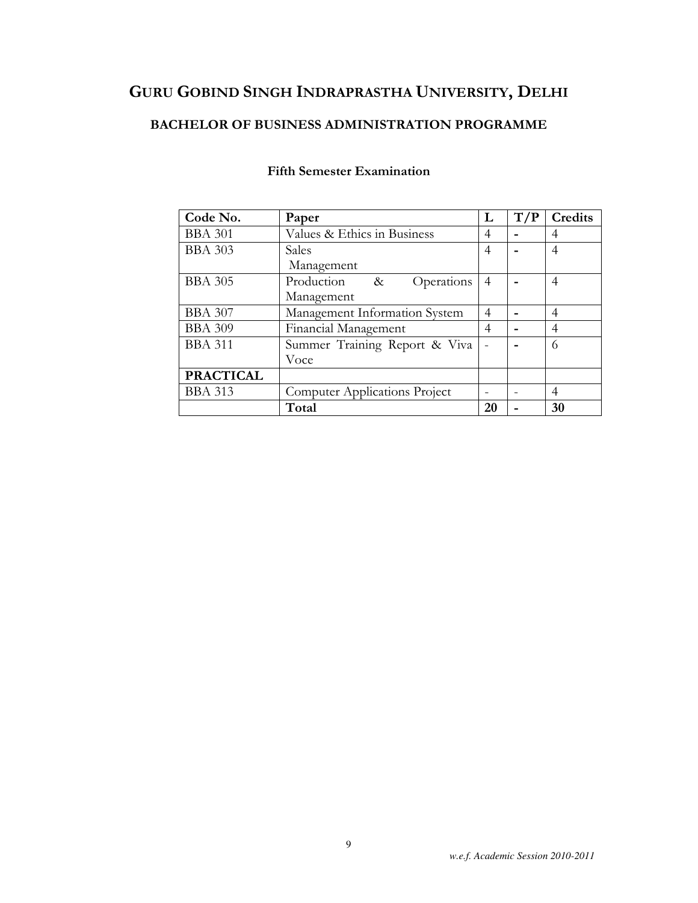## BACHELOR OF BUSINESS ADMINISTRATION PROGRAMME

| Code No.         | Paper                                | L              | T/P | Credits |
|------------------|--------------------------------------|----------------|-----|---------|
| <b>BBA 301</b>   | Values & Ethics in Business          | 4              |     | 4       |
| <b>BBA 303</b>   | Sales                                | 4              |     | 4       |
|                  | Management                           |                |     |         |
| <b>BBA 305</b>   | Operations<br>Production &           | $\overline{4}$ |     | 4       |
|                  | Management                           |                |     |         |
| <b>BBA 307</b>   | Management Information System        | 4              |     | 4       |
| <b>BBA 309</b>   | Financial Management                 | 4              |     | 4       |
| <b>BBA 311</b>   | Summer Training Report & Viva        |                |     | 6       |
|                  | Voce                                 |                |     |         |
| <b>PRACTICAL</b> |                                      |                |     |         |
| <b>BBA 313</b>   | <b>Computer Applications Project</b> |                |     | 4       |
|                  | Total                                | 20             |     | 30      |

### Fifth Semester Examination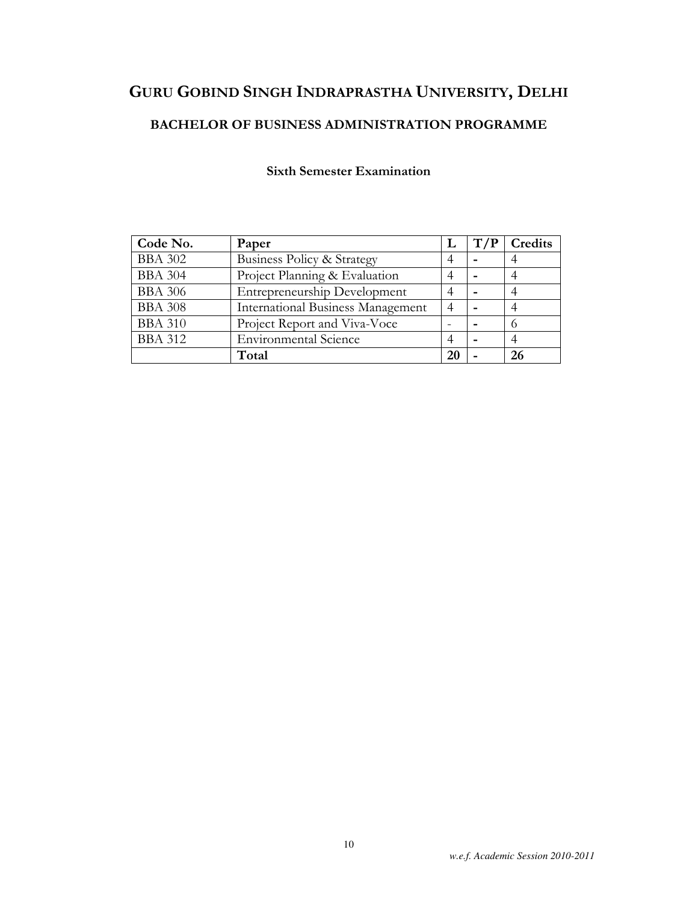### Sixth Semester Examination

| Code No.       | Paper                                    |    | T/P | Credits  |
|----------------|------------------------------------------|----|-----|----------|
| <b>BBA 302</b> | Business Policy & Strategy               |    |     |          |
| <b>BBA 304</b> | Project Planning & Evaluation            |    |     |          |
| <b>BBA 306</b> | Entrepreneurship Development             |    |     |          |
| <b>BBA 308</b> | <b>International Business Management</b> |    |     |          |
| <b>BBA 310</b> | Project Report and Viva-Voce             |    |     | $\Omega$ |
| <b>BBA 312</b> | <b>Environmental Science</b>             |    |     |          |
|                | Total                                    | 20 |     | 26       |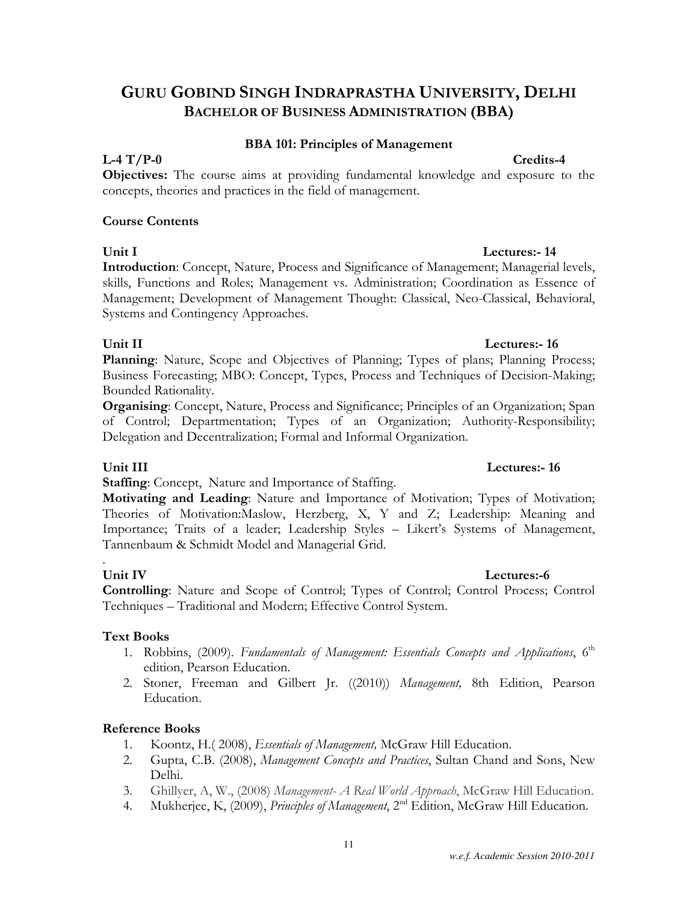#### *w.e.f. Academic Session 2010-2011*

## GURU GOBIND SINGH INDRAPRASTHA UNIVERSITY, DELHI BACHELOR OF BUSINESS ADMINISTRATION (BBA)

### BBA 101: Principles of Management

## $L-4 T/P-0$  Credits-4

Objectives: The course aims at providing fundamental knowledge and exposure to the concepts, theories and practices in the field of management.

### Course Contents

## Unit I Lectures: 14

Introduction: Concept, Nature, Process and Significance of Management; Managerial levels, skills, Functions and Roles; Management vs. Administration; Coordination as Essence of Management; Development of Management Thought: Classical, Neo-Classical, Behavioral, Systems and Contingency Approaches.

#### Unit II Lectures: 16

Planning: Nature, Scope and Objectives of Planning; Types of plans; Planning Process; Business Forecasting; MBO: Concept, Types, Process and Techniques of Decision-Making; Bounded Rationality.

Organising: Concept, Nature, Process and Significance; Principles of an Organization; Span of Control; Departmentation; Types of an Organization; Authority-Responsibility; Delegation and Decentralization; Formal and Informal Organization.

Staffing: Concept, Nature and Importance of Staffing.

Motivating and Leading: Nature and Importance of Motivation; Types of Motivation; Theories of Motivation:Maslow, Herzberg, X, Y and Z; Leadership: Meaning and Importance; Traits of a leader; Leadership Styles – Likert's Systems of Management, Tannenbaum & Schmidt Model and Managerial Grid.

#### . Unit IV Lectures:-6

Controlling: Nature and Scope of Control; Types of Control; Control Process; Control Techniques – Traditional and Modern; Effective Control System.

### Text Books

- 1. Robbins, (2009). Fundamentals of Management: Essentials Concepts and Applications,  $6<sup>th</sup>$ edition, Pearson Education.
- 2. Stoner, Freeman and Gilbert Jr. ((2010)) Management, 8th Edition, Pearson Education.

### Reference Books

- 1. Koontz, H. (2008), *Essentials of Management*, McGraw Hill Education.
- 2. Gupta, C.B. (2008), Management Concepts and Practices, Sultan Chand and Sons, New Delhi.
- 3. Ghillyer, A, W., (2008) Management- A Real World Approach, McGraw Hill Education.
- 4. Mukherjee, K, (2009), Principles of Management, 2<sup>nd</sup> Edition, McGraw Hill Education.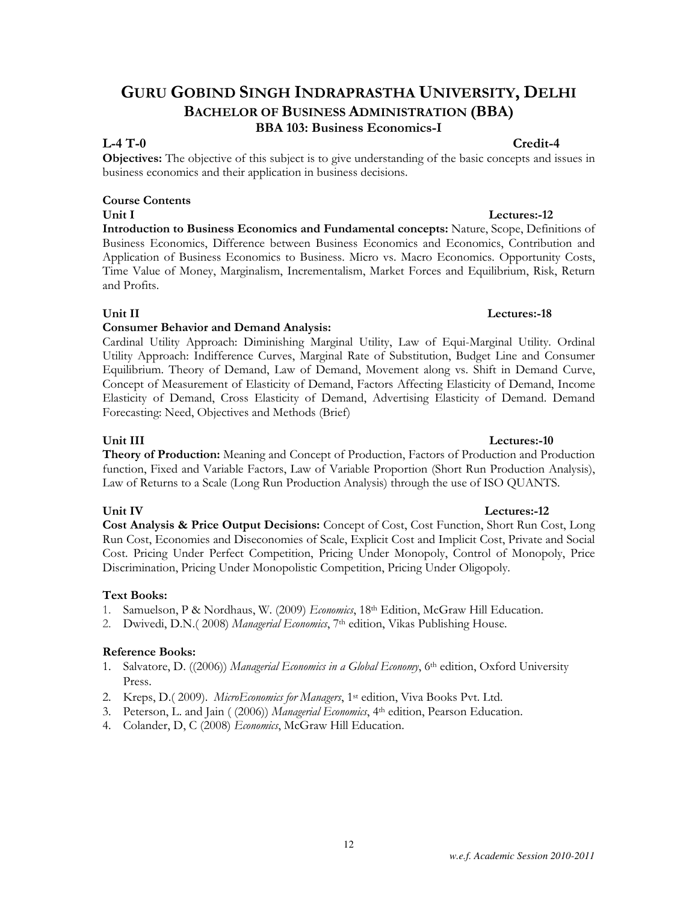## GURU GOBIND SINGH INDRAPRASTHA UNIVERSITY, DELHI BACHELOR OF BUSINESS ADMINISTRATION (BBA) BBA 103: Business Economics-I

### $L-4$  T-0  $C_{\text{redit}}-4$

Objectives: The objective of this subject is to give understanding of the basic concepts and issues in business economics and their application in business decisions.

#### Course Contents

Introduction to Business Economics and Fundamental concepts: Nature, Scope, Definitions of Business Economics, Difference between Business Economics and Economics, Contribution and Application of Business Economics to Business. Micro vs. Macro Economics. Opportunity Costs, Time Value of Money, Marginalism, Incrementalism, Market Forces and Equilibrium, Risk, Return and Profits.

#### Unit II Lectures: 18

#### Consumer Behavior and Demand Analysis:

Cardinal Utility Approach: Diminishing Marginal Utility, Law of Equi-Marginal Utility. Ordinal Utility Approach: Indifference Curves, Marginal Rate of Substitution, Budget Line and Consumer Equilibrium. Theory of Demand, Law of Demand, Movement along vs. Shift in Demand Curve, Concept of Measurement of Elasticity of Demand, Factors Affecting Elasticity of Demand, Income Elasticity of Demand, Cross Elasticity of Demand, Advertising Elasticity of Demand. Demand Forecasting: Need, Objectives and Methods (Brief)

#### Unit III Lectures:-10

Theory of Production: Meaning and Concept of Production, Factors of Production and Production function, Fixed and Variable Factors, Law of Variable Proportion (Short Run Production Analysis), Law of Returns to a Scale (Long Run Production Analysis) through the use of ISO QUANTS.

#### Unit IV Lectures:-12

Cost Analysis & Price Output Decisions: Concept of Cost, Cost Function, Short Run Cost, Long Run Cost, Economies and Diseconomies of Scale, Explicit Cost and Implicit Cost, Private and Social Cost. Pricing Under Perfect Competition, Pricing Under Monopoly, Control of Monopoly, Price Discrimination, Pricing Under Monopolistic Competition, Pricing Under Oligopoly.

#### Text Books:

- 1. Samuelson, P & Nordhaus, W. (2009) Economics, 18th Edition, McGraw Hill Education.
- 2. Dwivedi, D.N. (2008) Managerial Economics, 7<sup>th</sup> edition, Vikas Publishing House.

#### Reference Books:

- 1. Salvatore, D. ((2006)) Managerial Economics in a Global Economy, 6th edition, Oxford University Press.
- 2. Kreps, D. (2009). MicroEconomics for Managers, 1<sup>st</sup> edition, Viva Books Pvt. Ltd.
- 3. Peterson, L. and Jain ( (2006)) Managerial Economics, 4<sup>th</sup> edition, Pearson Education.
- 4. Colander, D, C (2008) Economics, McGraw Hill Education.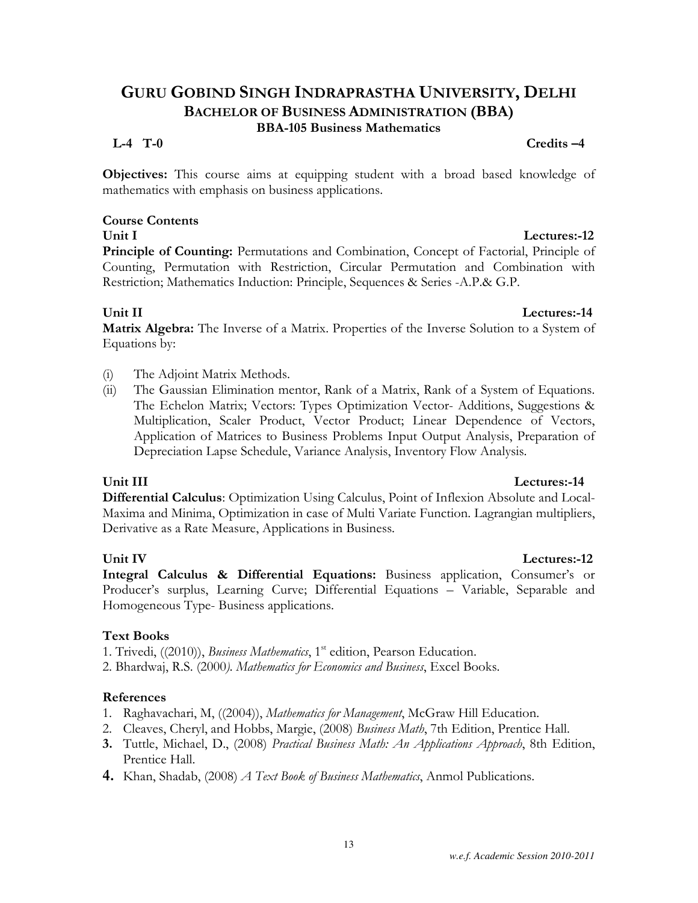## GURU GOBIND SINGH INDRAPRASTHA UNIVERSITY, DELHI BACHELOR OF BUSINESS ADMINISTRATION (BBA) BBA-105 Business Mathematics

## $L-4$  T-0 Credits  $-4$

Objectives: This course aims at equipping student with a broad based knowledge of mathematics with emphasis on business applications.

#### Course Contents

Unit I Lectures:-12

Principle of Counting: Permutations and Combination, Concept of Factorial, Principle of Counting, Permutation with Restriction, Circular Permutation and Combination with Restriction; Mathematics Induction: Principle, Sequences & Series -A.P.& G.P.

Matrix Algebra: The Inverse of a Matrix. Properties of the Inverse Solution to a System of Equations by:

- (i) The Adjoint Matrix Methods.
- (ii) The Gaussian Elimination mentor, Rank of a Matrix, Rank of a System of Equations. The Echelon Matrix; Vectors: Types Optimization Vector- Additions, Suggestions & Multiplication, Scaler Product, Vector Product; Linear Dependence of Vectors, Application of Matrices to Business Problems Input Output Analysis, Preparation of Depreciation Lapse Schedule, Variance Analysis, Inventory Flow Analysis.

#### Unit III Lectures:-14

Differential Calculus: Optimization Using Calculus, Point of Inflexion Absolute and Local-Maxima and Minima, Optimization in case of Multi Variate Function. Lagrangian multipliers, Derivative as a Rate Measure, Applications in Business.

#### Unit IV Lectures:-12

Integral Calculus & Differential Equations: Business application, Consumer's or Producer's surplus, Learning Curve; Differential Equations – Variable, Separable and Homogeneous Type- Business applications.

#### Text Books

1. Trivedi, ((2010)), Business Mathematics, 1<sup>st</sup> edition, Pearson Education.

2. Bhardwaj, R.S. (2000). Mathematics for Economics and Business, Excel Books.

#### References

- 1. Raghavachari, M, ((2004)), Mathematics for Management, McGraw Hill Education.
- 2. Cleaves, Cheryl, and Hobbs, Margie, (2008) Business Math, 7th Edition, Prentice Hall.
- 3. Tuttle, Michael, D., (2008) Practical Business Math: An Applications Approach, 8th Edition, Prentice Hall.
- 4. Khan, Shadab, (2008) *A Text Book of Business Mathematics*, Anmol Publications.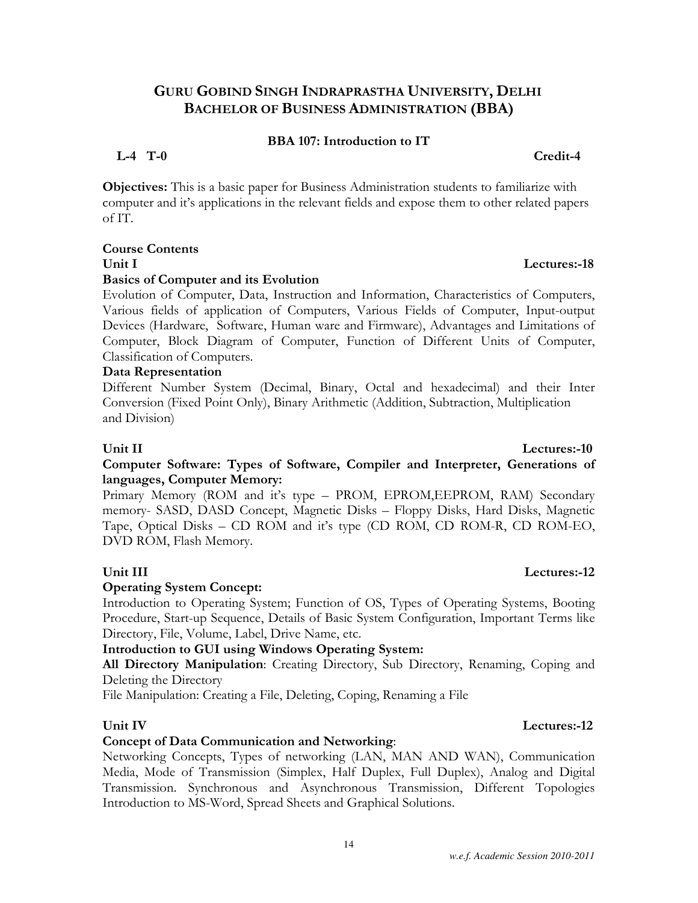#### BBA 107: Introduction to IT

#### L-4 T-0 Credit-4

Objectives: This is a basic paper for Business Administration students to familiarize with computer and it's applications in the relevant fields and expose them to other related papers of IT.

#### Course Contents

#### Unit I Lectures:-18

#### Basics of Computer and its Evolution

Evolution of Computer, Data, Instruction and Information, Characteristics of Computers, Various fields of application of Computers, Various Fields of Computer, Input-output Devices (Hardware, Software, Human ware and Firmware), Advantages and Limitations of Computer, Block Diagram of Computer, Function of Different Units of Computer, Classification of Computers.

#### Data Representation

Different Number System (Decimal, Binary, Octal and hexadecimal) and their Inter Conversion (Fixed Point Only), Binary Arithmetic (Addition, Subtraction, Multiplication and Division)

#### Unit II Lectures:-10

### Computer Software: Types of Software, Compiler and Interpreter, Generations of languages, Computer Memory:

Primary Memory (ROM and it's type - PROM, EPROM, EEPROM, RAM) Secondary memory- SASD, DASD Concept, Magnetic Disks – Floppy Disks, Hard Disks, Magnetic Tape, Optical Disks – CD ROM and it's type (CD ROM, CD ROM-R, CD ROM-EO, DVD ROM, Flash Memory.

#### Unit III Lectures:-12

#### Operating System Concept:

Introduction to Operating System; Function of OS, Types of Operating Systems, Booting Procedure, Start-up Sequence, Details of Basic System Configuration, Important Terms like Directory, File, Volume, Label, Drive Name, etc.

#### Introduction to GUI using Windows Operating System:

All Directory Manipulation: Creating Directory, Sub Directory, Renaming, Coping and Deleting the Directory

File Manipulation: Creating a File, Deleting, Coping, Renaming a File

#### Concept of Data Communication and Networking:

Networking Concepts, Types of networking (LAN, MAN AND WAN), Communication Media, Mode of Transmission (Simplex, Half Duplex, Full Duplex), Analog and Digital Transmission. Synchronous and Asynchronous Transmission, Different Topologies Introduction to MS-Word, Spread Sheets and Graphical Solutions.

#### 14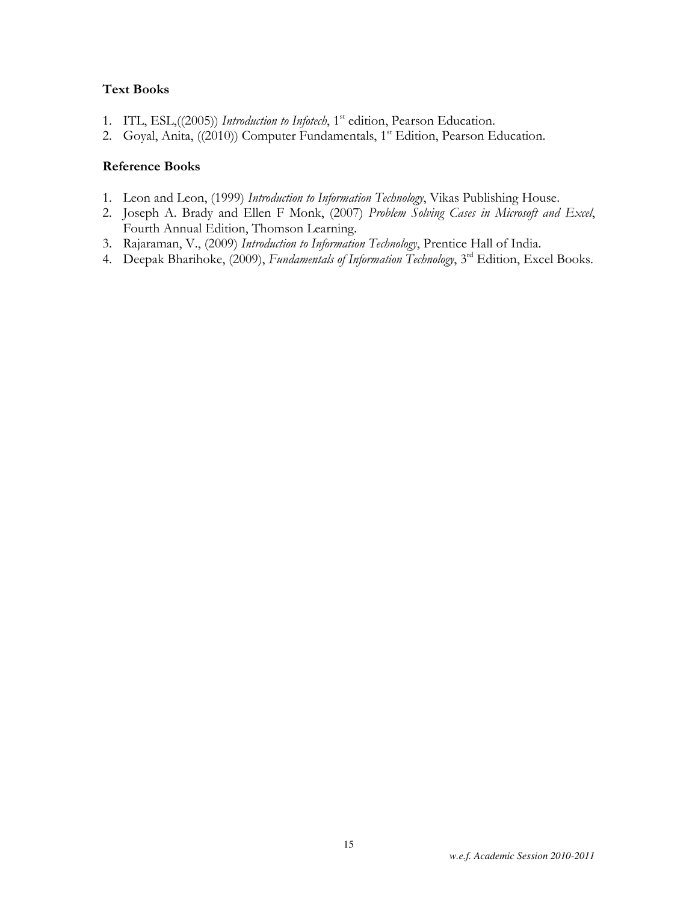#### Text Books

- 1. ITL, ESL,((2005)) Introduction to Infotech, 1<sup>st</sup> edition, Pearson Education.
- 2. Goyal, Anita, ((2010)) Computer Fundamentals, 1<sup>st</sup> Edition, Pearson Education.

#### Reference Books

- 1. Leon and Leon, (1999) Introduction to Information Technology, Vikas Publishing House.
- 2. Joseph A. Brady and Ellen F Monk, (2007) Problem Solving Cases in Microsoft and Excel, Fourth Annual Edition, Thomson Learning.
- 3. Rajaraman, V., (2009) Introduction to Information Technology, Prentice Hall of India.
- 4. Deepak Bharihoke, (2009), Fundamentals of Information Technology, 3<sup>rd</sup> Edition, Excel Books.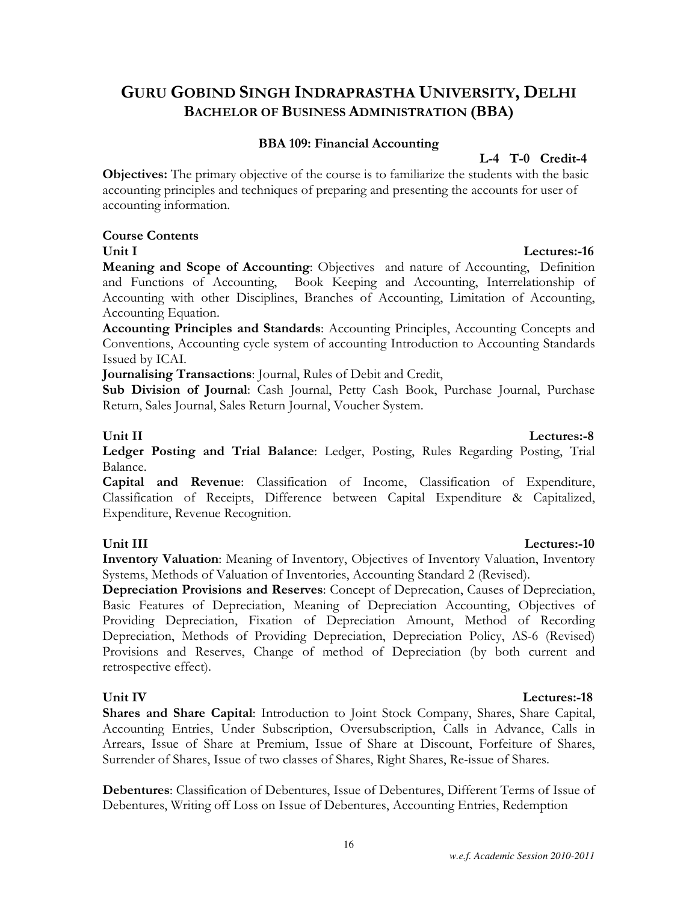#### BBA 109: Financial Accounting

#### L-4 T-0 Credit-4

Objectives: The primary objective of the course is to familiarize the students with the basic accounting principles and techniques of preparing and presenting the accounts for user of accounting information.

### Course Contents

Meaning and Scope of Accounting: Objectives and nature of Accounting, Definition and Functions of Accounting, Book Keeping and Accounting, Interrelationship of Accounting with other Disciplines, Branches of Accounting, Limitation of Accounting, Accounting Equation.

Accounting Principles and Standards: Accounting Principles, Accounting Concepts and Conventions, Accounting cycle system of accounting Introduction to Accounting Standards Issued by ICAI.

Journalising Transactions: Journal, Rules of Debit and Credit,

Sub Division of Journal: Cash Journal, Petty Cash Book, Purchase Journal, Purchase Return, Sales Journal, Sales Return Journal, Voucher System.

### Unit II Lectures:-8

Ledger Posting and Trial Balance: Ledger, Posting, Rules Regarding Posting, Trial Balance.

Capital and Revenue: Classification of Income, Classification of Expenditure, Classification of Receipts, Difference between Capital Expenditure & Capitalized, Expenditure, Revenue Recognition.

Inventory Valuation: Meaning of Inventory, Objectives of Inventory Valuation, Inventory Systems, Methods of Valuation of Inventories, Accounting Standard 2 (Revised).

Depreciation Provisions and Reserves: Concept of Deprecation, Causes of Depreciation, Basic Features of Depreciation, Meaning of Depreciation Accounting, Objectives of Providing Depreciation, Fixation of Depreciation Amount, Method of Recording Depreciation, Methods of Providing Depreciation, Depreciation Policy, AS-6 (Revised) Provisions and Reserves, Change of method of Depreciation (by both current and retrospective effect).

### Unit IV Lectures:-18

Shares and Share Capital: Introduction to Joint Stock Company, Shares, Share Capital, Accounting Entries, Under Subscription, Oversubscription, Calls in Advance, Calls in Arrears, Issue of Share at Premium, Issue of Share at Discount, Forfeiture of Shares, Surrender of Shares, Issue of two classes of Shares, Right Shares, Re-issue of Shares.

Debentures: Classification of Debentures, Issue of Debentures, Different Terms of Issue of Debentures, Writing off Loss on Issue of Debentures, Accounting Entries, Redemption

### Unit III Lectures:-10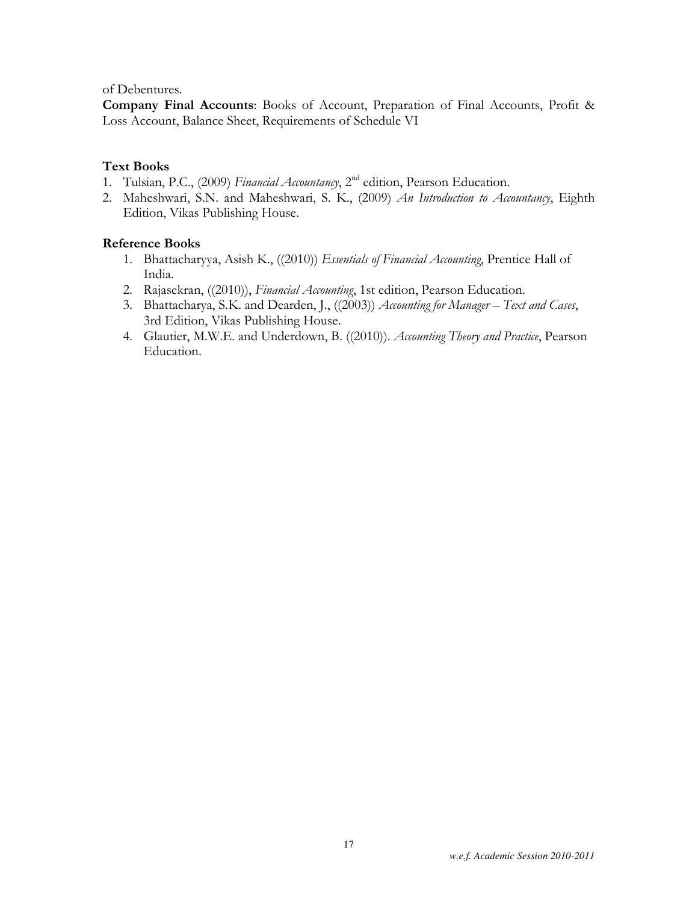#### of Debentures.

Company Final Accounts: Books of Account, Preparation of Final Accounts, Profit & Loss Account, Balance Sheet, Requirements of Schedule VI

### Text Books

- 1. Tulsian, P.C., (2009) Financial Accountancy, 2<sup>nd</sup> edition, Pearson Education.
- 2. Maheshwari, S.N. and Maheshwari, S. K., (2009) An Introduction to Accountancy, Eighth Edition, Vikas Publishing House.

### Reference Books

- 1. Bhattacharyya, Asish K., ((2010)) Essentials of Financial Accounting, Prentice Hall of India.
- 2. Rajasekran, ((2010)), Financial Accounting, 1st edition, Pearson Education.
- 3. Bhattacharya, S.K. and Dearden, J., ((2003)) Accounting for Manager Text and Cases, 3rd Edition, Vikas Publishing House.
- 4. Glautier, M.W.E. and Underdown, B. ((2010)). Accounting Theory and Practice, Pearson Education.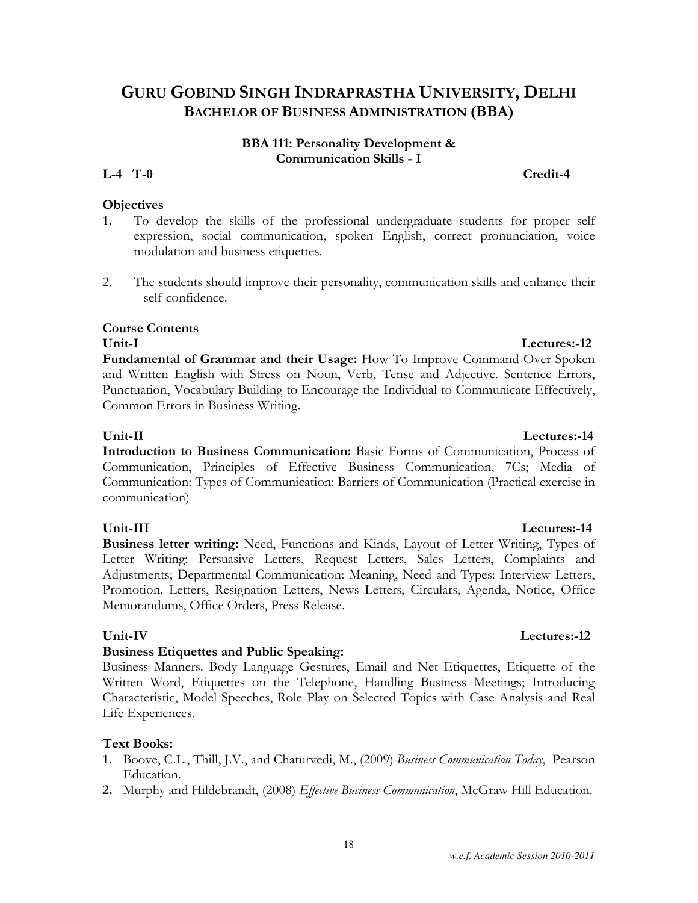#### *w.e.f. Academic Session 2010-2011*

## GURU GOBIND SINGH INDRAPRASTHA UNIVERSITY, DELHI BACHELOR OF BUSINESS ADMINISTRATION (BBA)

#### BBA 111: Personality Development & Communication Skills - I

### L-4 T-0 Credit-4

#### **Objectives**

- 1. To develop the skills of the professional undergraduate students for proper self expression, social communication, spoken English, correct pronunciation, voice modulation and business etiquettes.
- 2. The students should improve their personality, communication skills and enhance their self-confidence.

#### Course Contents

Unit-I Lectures:-12 Fundamental of Grammar and their Usage: How To Improve Command Over Spoken and Written English with Stress on Noun, Verb, Tense and Adjective. Sentence Errors, Punctuation, Vocabulary Building to Encourage the Individual to Communicate Effectively, Common Errors in Business Writing.

#### Unit-II Lectures:-14

Introduction to Business Communication: Basic Forms of Communication, Process of Communication, Principles of Effective Business Communication, 7Cs; Media of Communication: Types of Communication: Barriers of Communication (Practical exercise in communication)

#### Unit-III Lectures:-14

Business letter writing: Need, Functions and Kinds, Layout of Letter Writing, Types of Letter Writing: Persuasive Letters, Request Letters, Sales Letters, Complaints and Adjustments; Departmental Communication: Meaning, Need and Types: Interview Letters, Promotion. Letters, Resignation Letters, News Letters, Circulars, Agenda, Notice, Office Memorandums, Office Orders, Press Release.

#### Business Etiquettes and Public Speaking:

Business Manners. Body Language Gestures, Email and Net Etiquettes, Etiquette of the Written Word, Etiquettes on the Telephone, Handling Business Meetings; Introducing Characteristic, Model Speeches, Role Play on Selected Topics with Case Analysis and Real Life Experiences.

#### Text Books:

- 1. Boove, C.L., Thill, J.V., and Chaturvedi, M., (2009) Business Communication Today, Pearson Education.
- 2. Murphy and Hildebrandt, (2008) Effective Business Communication, McGraw Hill Education.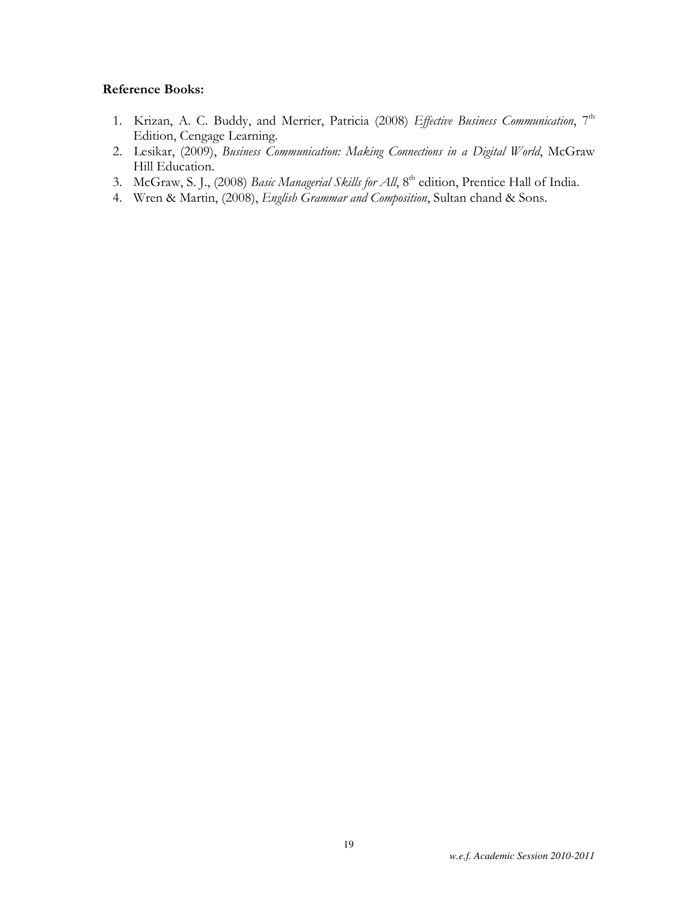### Reference Books:

- 1. Krizan, A. C. Buddy, and Merrier, Patricia (2008) Effective Business Communication, 7<sup>th</sup> Edition, Cengage Learning.
- 2. Lesikar, (2009), Business Communication: Making Connections in a Digital World, McGraw Hill Education.
- 3. McGraw, S. J., (2008) Basic Managerial Skills for All, 8<sup>th</sup> edition, Prentice Hall of India.
- 4. Wren & Martin, (2008), English Grammar and Composition, Sultan chand & Sons.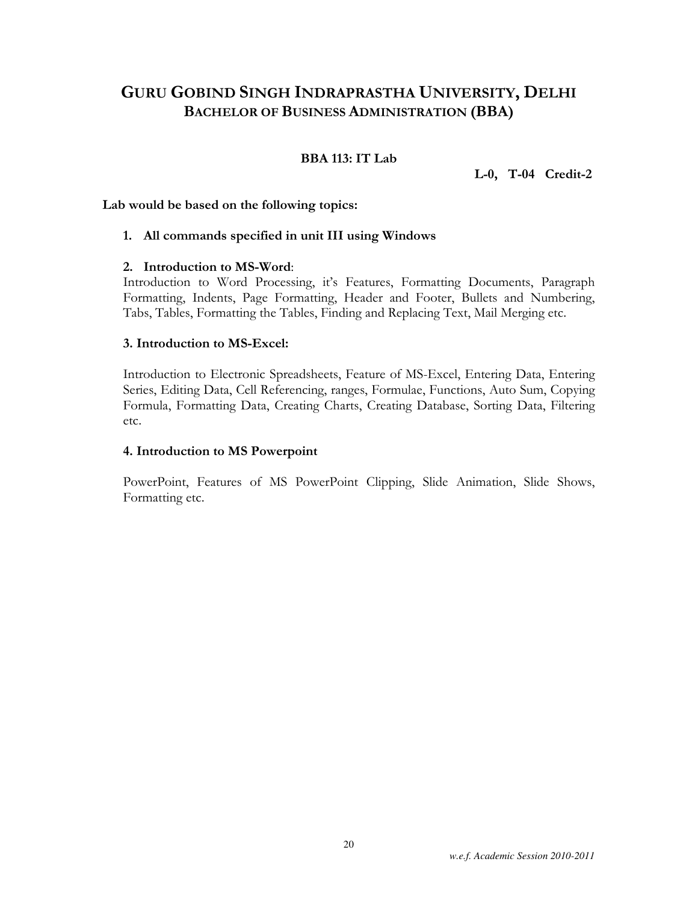#### BBA 113: IT Lab

L-0, T-04 Credit-2

#### Lab would be based on the following topics:

#### 1. All commands specified in unit III using Windows

#### 2. Introduction to MS-Word:

Introduction to Word Processing, it's Features, Formatting Documents, Paragraph Formatting, Indents, Page Formatting, Header and Footer, Bullets and Numbering, Tabs, Tables, Formatting the Tables, Finding and Replacing Text, Mail Merging etc.

#### 3. Introduction to MS-Excel:

Introduction to Electronic Spreadsheets, Feature of MS-Excel, Entering Data, Entering Series, Editing Data, Cell Referencing, ranges, Formulae, Functions, Auto Sum, Copying Formula, Formatting Data, Creating Charts, Creating Database, Sorting Data, Filtering etc.

#### 4. Introduction to MS Powerpoint

PowerPoint, Features of MS PowerPoint Clipping, Slide Animation, Slide Shows, Formatting etc.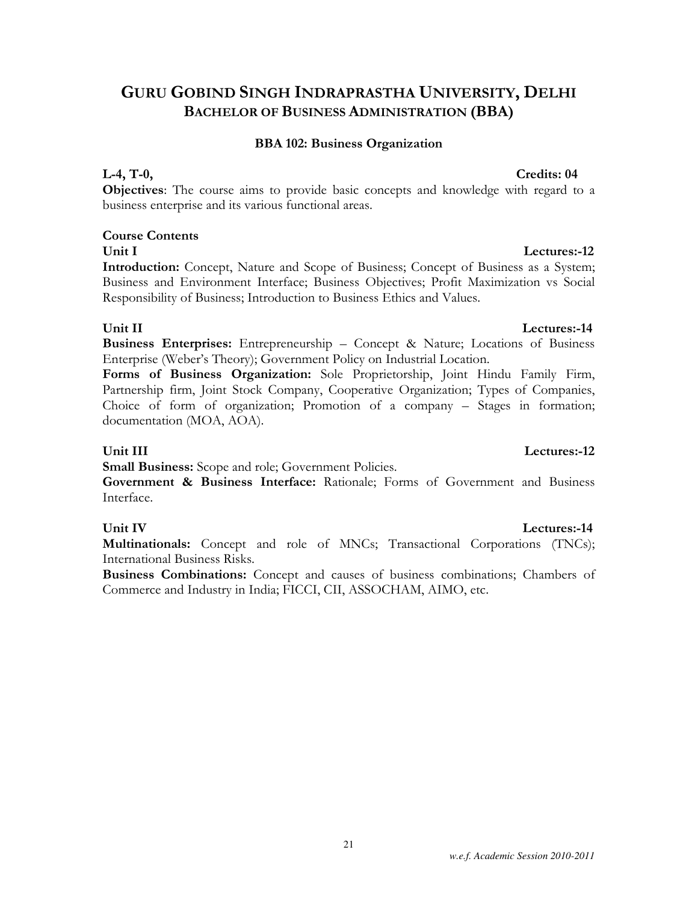#### BBA 102: Business Organization

## L-4, T-0, Credits: 04

Objectives: The course aims to provide basic concepts and knowledge with regard to a business enterprise and its various functional areas.

#### Course Contents

#### Unit I Lectures:-12

Introduction: Concept, Nature and Scope of Business; Concept of Business as a System; Business and Environment Interface; Business Objectives; Profit Maximization vs Social Responsibility of Business; Introduction to Business Ethics and Values.

### Unit II Lectures:-14

Business Enterprises: Entrepreneurship – Concept & Nature; Locations of Business Enterprise (Weber's Theory); Government Policy on Industrial Location.

Forms of Business Organization: Sole Proprietorship, Joint Hindu Family Firm, Partnership firm, Joint Stock Company, Cooperative Organization; Types of Companies, Choice of form of organization; Promotion of a company – Stages in formation; documentation (MOA, AOA).

### Unit III Lectures:-12

**Small Business:** Scope and role; Government Policies.

Government & Business Interface: Rationale; Forms of Government and Business Interface.

Multinationals: Concept and role of MNCs; Transactional Corporations (TNCs); International Business Risks.

Business Combinations: Concept and causes of business combinations; Chambers of Commerce and Industry in India; FICCI, CII, ASSOCHAM, AIMO, etc.

#### Unit IV Lectures:-14

#### 21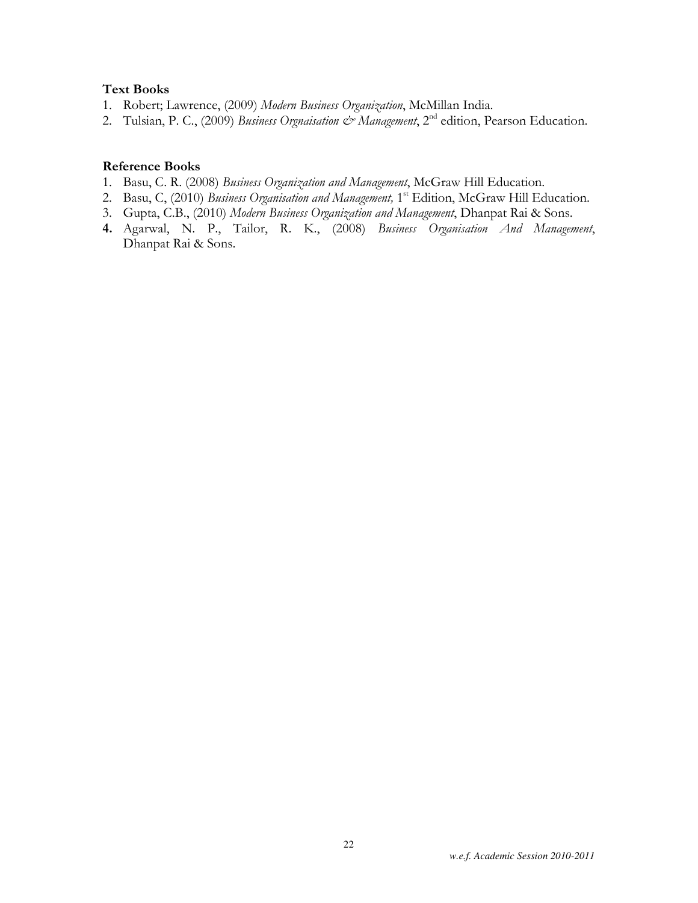#### Text Books

- 1. Robert; Lawrence, (2009) Modern Business Organization, McMillan India.
- 2. Tulsian, P. C., (2009) Business Orgnaisation & Management, 2<sup>nd</sup> edition, Pearson Education.

#### Reference Books

- 1. Basu, C. R. (2008) Business Organization and Management, McGraw Hill Education.
- 2. Basu, C, (2010) Business Organisation and Management, 1<sup>st</sup> Edition, McGraw Hill Education.
- 3. Gupta, C.B., (2010) Modern Business Organization and Management, Dhanpat Rai & Sons.
- 4. Agarwal, N. P., Tailor, R. K., (2008) Business Organisation And Management, Dhanpat Rai & Sons.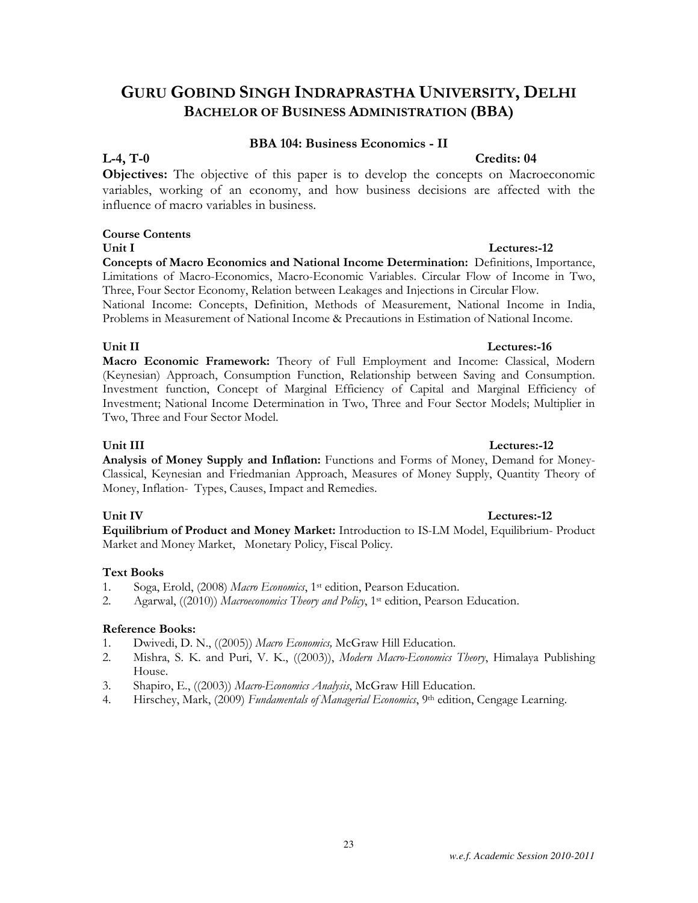#### BBA 104: Business Economics - II

#### L-4, T-0 Credits: 04

**Objectives:** The objective of this paper is to develop the concepts on Macroeconomic variables, working of an economy, and how business decisions are affected with the influence of macro variables in business.

#### Course Contents

Unit I Lectures:-12

Concepts of Macro Economics and National Income Determination: Definitions, Importance, Limitations of Macro-Economics, Macro-Economic Variables. Circular Flow of Income in Two, Three, Four Sector Economy, Relation between Leakages and Injections in Circular Flow. National Income: Concepts, Definition, Methods of Measurement, National Income in India, Problems in Measurement of National Income & Precautions in Estimation of National Income.

#### Unit II Lectures:-16

Macro Economic Framework: Theory of Full Employment and Income: Classical, Modern (Keynesian) Approach, Consumption Function, Relationship between Saving and Consumption. Investment function, Concept of Marginal Efficiency of Capital and Marginal Efficiency of Investment; National Income Determination in Two, Three and Four Sector Models; Multiplier in Two, Three and Four Sector Model.

## Unit III Lectures:-12

Analysis of Money Supply and Inflation: Functions and Forms of Money, Demand for Money-Classical, Keynesian and Friedmanian Approach, Measures of Money Supply, Quantity Theory of Money, Inflation- Types, Causes, Impact and Remedies.

#### Unit IV Lectures:-12

Equilibrium of Product and Money Market: Introduction to IS-LM Model, Equilibrium- Product Market and Money Market, Monetary Policy, Fiscal Policy.

#### Text Books

- 1. Soga, Erold, (2008) Macro Economics, 1<sup>st</sup> edition, Pearson Education.
- 2. Agarwal, ((2010)) Macroeconomics Theory and Policy, 1<sup>st</sup> edition, Pearson Education.

#### Reference Books:

- 1. Dwivedi, D. N., ((2005)) Macro Economics, McGraw Hill Education.
- 2. Mishra, S. K. and Puri, V. K., ((2003)), Modern Macro-Economics Theory, Himalaya Publishing House.
- 3. Shapiro, E., ((2003)) Macro-Economics Analysis, McGraw Hill Education.
- 4. Hirschey, Mark, (2009) Fundamentals of Managerial Economics, 9th edition, Cengage Learning.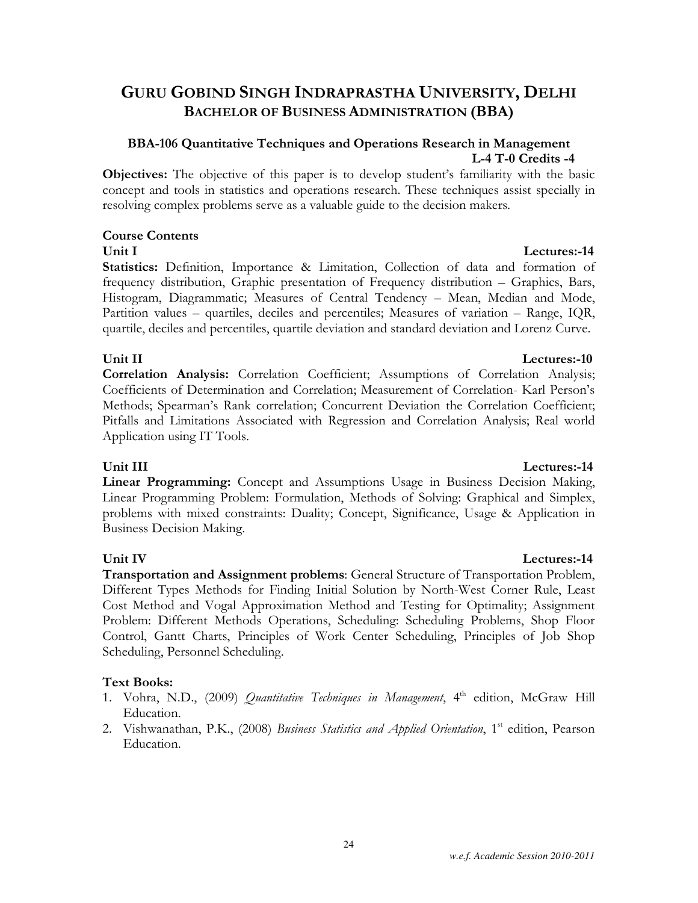#### *w.e.f. Academic Session 2010-2011*

## GURU GOBIND SINGH INDRAPRASTHA UNIVERSITY, DELHI BACHELOR OF BUSINESS ADMINISTRATION (BBA)

#### BBA-106 Quantitative Techniques and Operations Research in Management L-4 T-0 Credits -4

Objectives: The objective of this paper is to develop student's familiarity with the basic concept and tools in statistics and operations research. These techniques assist specially in resolving complex problems serve as a valuable guide to the decision makers.

#### Course Contents

#### Unit I Lectures:-14

Statistics: Definition, Importance & Limitation, Collection of data and formation of frequency distribution, Graphic presentation of Frequency distribution – Graphics, Bars, Histogram, Diagrammatic; Measures of Central Tendency – Mean, Median and Mode, Partition values – quartiles, deciles and percentiles; Measures of variation – Range, IQR, quartile, deciles and percentiles, quartile deviation and standard deviation and Lorenz Curve.

#### Unit II Lectures:-10

Correlation Analysis: Correlation Coefficient; Assumptions of Correlation Analysis; Coefficients of Determination and Correlation; Measurement of Correlation- Karl Person's Methods; Spearman's Rank correlation; Concurrent Deviation the Correlation Coefficient; Pitfalls and Limitations Associated with Regression and Correlation Analysis; Real world Application using IT Tools.

Linear Programming: Concept and Assumptions Usage in Business Decision Making, Linear Programming Problem: Formulation, Methods of Solving: Graphical and Simplex, problems with mixed constraints: Duality; Concept, Significance, Usage & Application in Business Decision Making.

Transportation and Assignment problems: General Structure of Transportation Problem, Different Types Methods for Finding Initial Solution by North-West Corner Rule, Least Cost Method and Vogal Approximation Method and Testing for Optimality; Assignment Problem: Different Methods Operations, Scheduling: Scheduling Problems, Shop Floor Control, Gantt Charts, Principles of Work Center Scheduling, Principles of Job Shop Scheduling, Personnel Scheduling.

#### Text Books:

- 1. Vohra, N.D., (2009) *Quantitative Techniques in Management*,  $4<sup>th</sup>$  edition, McGraw Hill Education.
- 2. Vishwanathan, P.K., (2008) Business Statistics and Applied Orientation, 1<sup>st</sup> edition, Pearson Education.

#### Unit III Lectures:-14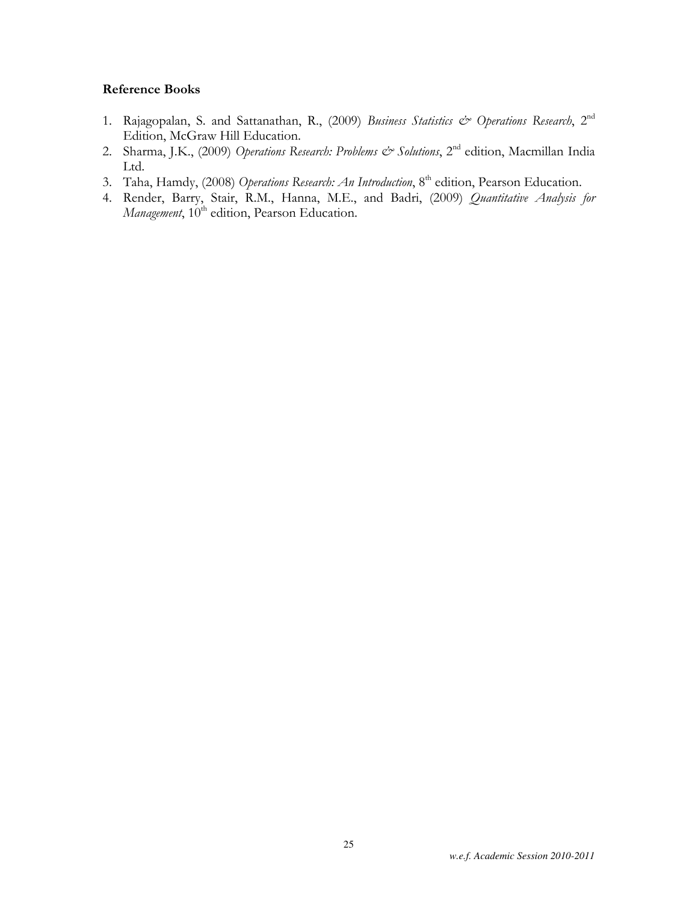### Reference Books

- 1. Rajagopalan, S. and Sattanathan, R., (2009) Business Statistics & Operations Research, 2<sup>nd</sup> Edition, McGraw Hill Education.
- 2. Sharma, J.K., (2009) Operations Research: Problems & Solutions, 2<sup>nd</sup> edition, Macmillan India Ltd.
- 3. Taha, Hamdy, (2008) Operations Research: An Introduction, 8<sup>th</sup> edition, Pearson Education.
- 4. Render, Barry, Stair, R.M., Hanna, M.E., and Badri, (2009) Quantitative Analysis for Management, 10<sup>th</sup> edition, Pearson Education.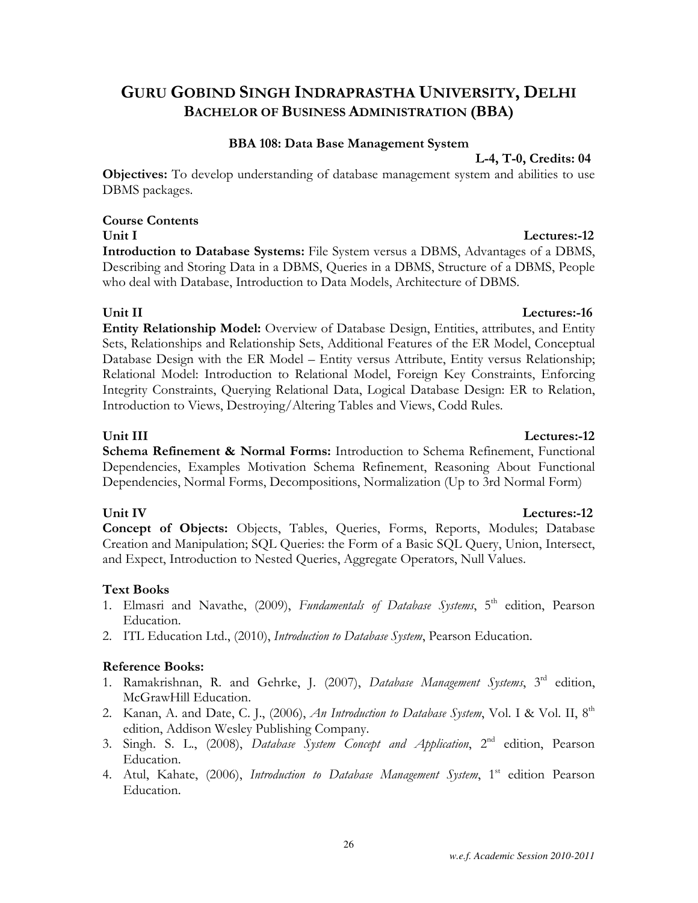#### *w.e.f. Academic Session 2010-2011*

## GURU GOBIND SINGH INDRAPRASTHA UNIVERSITY, DELHI BACHELOR OF BUSINESS ADMINISTRATION (BBA)

#### BBA 108: Data Base Management System

L-4, T-0, Credits: 04

**Objectives:** To develop understanding of database management system and abilities to use DBMS packages.

#### Course Contents

Introduction to Database Systems: File System versus a DBMS, Advantages of a DBMS, Describing and Storing Data in a DBMS, Queries in a DBMS, Structure of a DBMS, People who deal with Database, Introduction to Data Models, Architecture of DBMS.

### Unit II Lectures:-16

Entity Relationship Model: Overview of Database Design, Entities, attributes, and Entity Sets, Relationships and Relationship Sets, Additional Features of the ER Model, Conceptual Database Design with the ER Model – Entity versus Attribute, Entity versus Relationship; Relational Model: Introduction to Relational Model, Foreign Key Constraints, Enforcing Integrity Constraints, Querying Relational Data, Logical Database Design: ER to Relation, Introduction to Views, Destroying/Altering Tables and Views, Codd Rules.

### Unit III Lectures:-12

Schema Refinement & Normal Forms: Introduction to Schema Refinement, Functional Dependencies, Examples Motivation Schema Refinement, Reasoning About Functional Dependencies, Normal Forms, Decompositions, Normalization (Up to 3rd Normal Form)

### Unit IV Lectures:-12

Concept of Objects: Objects, Tables, Queries, Forms, Reports, Modules; Database Creation and Manipulation; SQL Queries: the Form of a Basic SQL Query, Union, Intersect, and Expect, Introduction to Nested Queries, Aggregate Operators, Null Values.

### Text Books

- 1. Elmasri and Navathe, (2009), Fundamentals of Database Systems, 5<sup>th</sup> edition, Pearson Education.
- 2. ITL Education Ltd., (2010), Introduction to Database System, Pearson Education.

### Reference Books:

- 1. Ramakrishnan, R. and Gehrke, J. (2007), Database Management Systems, 3rd edition, McGrawHill Education.
- 2. Kanan, A. and Date, C. J., (2006), An Introduction to Database System, Vol. I & Vol. II, 8th edition, Addison Wesley Publishing Company.
- 3. Singh. S. L., (2008), Database System Concept and Application, 2<sup>nd</sup> edition, Pearson Education.
- 4. Atul, Kahate, (2006), Introduction to Database Management System, 1<sup>st</sup> edition Pearson Education.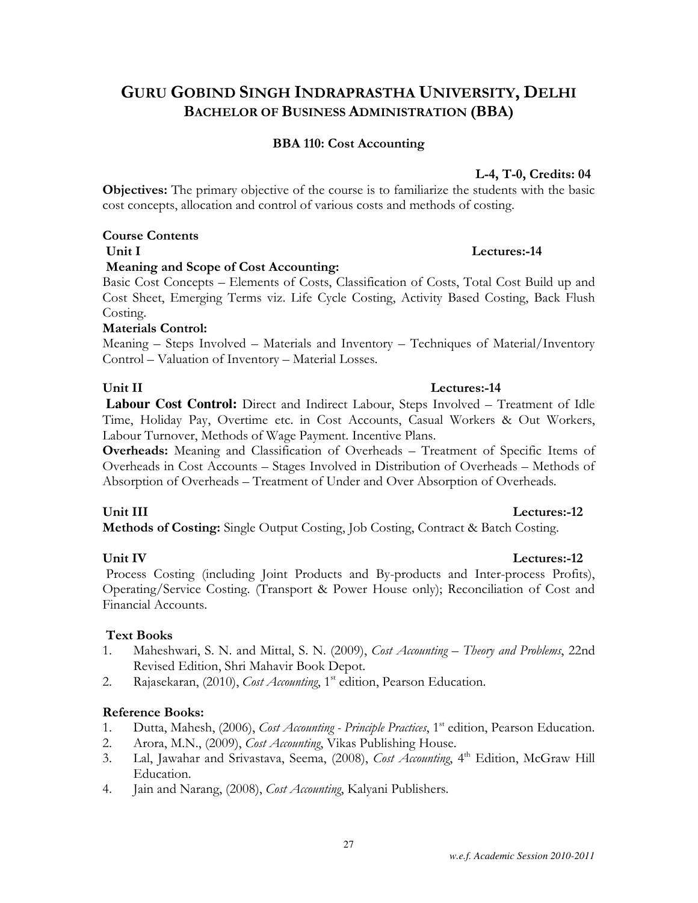# BACHELOR OF BUSINESS ADMINISTRATION (BBA) BBA 110: Cost Accounting

## L-4, T-0, Credits: 04

Objectives: The primary objective of the course is to familiarize the students with the basic cost concepts, allocation and control of various costs and methods of costing.

GURU GOBIND SINGH INDRAPRASTHA UNIVERSITY, DELHI

## Course Contents

Unit I Lectures:-14

## Meaning and Scope of Cost Accounting:

Basic Cost Concepts – Elements of Costs, Classification of Costs, Total Cost Build up and Cost Sheet, Emerging Terms viz. Life Cycle Costing, Activity Based Costing, Back Flush Costing.

## Materials Control:

Meaning – Steps Involved – Materials and Inventory – Techniques of Material/Inventory Control – Valuation of Inventory – Material Losses.

## Unit II Lectures:-14

**Labour Cost Control:** Direct and Indirect Labour, Steps Involved – Treatment of Idle Time, Holiday Pay, Overtime etc. in Cost Accounts, Casual Workers & Out Workers, Labour Turnover, Methods of Wage Payment. Incentive Plans.

Overheads: Meaning and Classification of Overheads – Treatment of Specific Items of Overheads in Cost Accounts – Stages Involved in Distribution of Overheads – Methods of Absorption of Overheads – Treatment of Under and Over Absorption of Overheads.

## Unit III Lectures:-12

Methods of Costing: Single Output Costing, Job Costing, Contract & Batch Costing.

### Unit IV Lectures:-12

 Process Costing (including Joint Products and By-products and Inter-process Profits), Operating/Service Costing. (Transport & Power House only); Reconciliation of Cost and Financial Accounts.

### Text Books

- 1. Maheshwari, S. N. and Mittal, S. N. (2009), *Cost Accounting Theory and Problems*, 22nd Revised Edition, Shri Mahavir Book Depot.
- 2. Rajasekaran, (2010), Cost Accounting, 1<sup>st</sup> edition, Pearson Education.

## Reference Books:

- 1. Dutta, Mahesh, (2006), *Cost Accounting Principle Practices*, 1<sup>st</sup> edition, Pearson Education.
- 2. Arora, M.N., (2009), *Cost Accounting*, Vikas Publishing House.
- 3. Lal, Jawahar and Srivastava, Seema, (2008), Cost Accounting, 4<sup>th</sup> Edition, McGraw Hill Education.
- 4. Jain and Narang, (2008), Cost Accounting, Kalyani Publishers.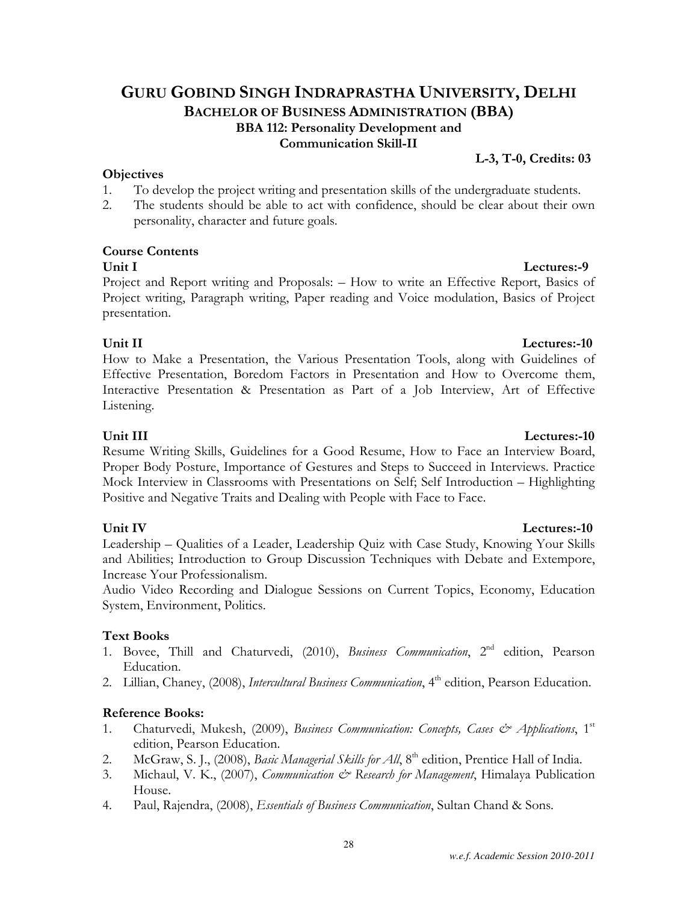## GURU GOBIND SINGH INDRAPRASTHA UNIVERSITY, DELHI BACHELOR OF BUSINESS ADMINISTRATION (BBA) BBA 112: Personality Development and Communication Skill-II

## **Objectives**

- 1. To develop the project writing and presentation skills of the undergraduate students.
- 2. The students should be able to act with confidence, should be clear about their own personality, character and future goals.

## Course Contents

Project and Report writing and Proposals: – How to write an Effective Report, Basics of Project writing, Paragraph writing, Paper reading and Voice modulation, Basics of Project presentation.

### Unit II Lectures:-10

How to Make a Presentation, the Various Presentation Tools, along with Guidelines of Effective Presentation, Boredom Factors in Presentation and How to Overcome them, Interactive Presentation & Presentation as Part of a Job Interview, Art of Effective Listening.

Resume Writing Skills, Guidelines for a Good Resume, How to Face an Interview Board, Proper Body Posture, Importance of Gestures and Steps to Succeed in Interviews. Practice Mock Interview in Classrooms with Presentations on Self; Self Introduction – Highlighting

Positive and Negative Traits and Dealing with People with Face to Face.

Unit IV Lectures:-10 Leadership – Qualities of a Leader, Leadership Quiz with Case Study, Knowing Your Skills and Abilities; Introduction to Group Discussion Techniques with Debate and Extempore, Increase Your Professionalism.

Audio Video Recording and Dialogue Sessions on Current Topics, Economy, Education System, Environment, Politics.

## Text Books

- 1. Bovee, Thill and Chaturvedi, (2010), Business Communication, 2<sup>nd</sup> edition, Pearson Education.
- 2. Lillian, Chaney, (2008), Intercultural Business Communication, 4<sup>th</sup> edition, Pearson Education.

### Reference Books:

- 1. Chaturvedi, Mukesh, (2009), Business Communication: Concepts, Cases & Applications, 1<sup>st</sup> edition, Pearson Education.
- 2. McGraw, S. J., (2008), *Basic Managerial Skills for All*, 8<sup>th</sup> edition, Prentice Hall of India.
- 3. Michaul, V. K., (2007), *Communication & Research for Management*, Himalaya Publication House.
- 4. Paul, Rajendra, (2008), *Essentials of Business Communication*, Sultan Chand & Sons.

L-3, T-0, Credits: 03

#### Unit III Lectures:-10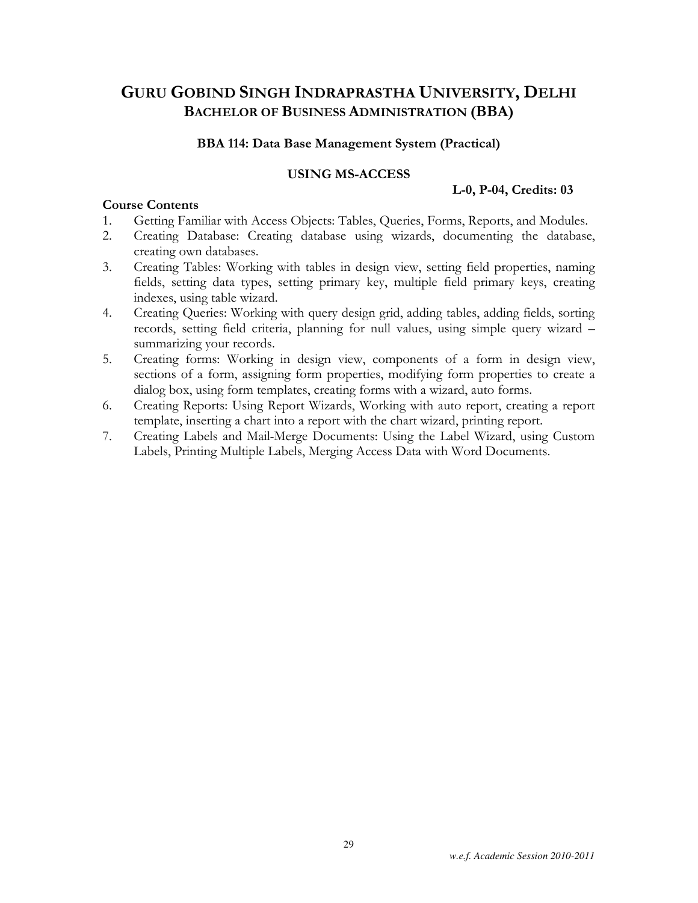#### BBA 114: Data Base Management System (Practical)

#### USING MS-ACCESS

#### L-0, P-04, Credits: 03

#### Course Contents

- 1. Getting Familiar with Access Objects: Tables, Queries, Forms, Reports, and Modules.
- 2. Creating Database: Creating database using wizards, documenting the database, creating own databases.
- 3. Creating Tables: Working with tables in design view, setting field properties, naming fields, setting data types, setting primary key, multiple field primary keys, creating indexes, using table wizard.
- 4. Creating Queries: Working with query design grid, adding tables, adding fields, sorting records, setting field criteria, planning for null values, using simple query wizard – summarizing your records.
- 5. Creating forms: Working in design view, components of a form in design view, sections of a form, assigning form properties, modifying form properties to create a dialog box, using form templates, creating forms with a wizard, auto forms.
- 6. Creating Reports: Using Report Wizards, Working with auto report, creating a report template, inserting a chart into a report with the chart wizard, printing report.
- 7. Creating Labels and Mail-Merge Documents: Using the Label Wizard, using Custom Labels, Printing Multiple Labels, Merging Access Data with Word Documents.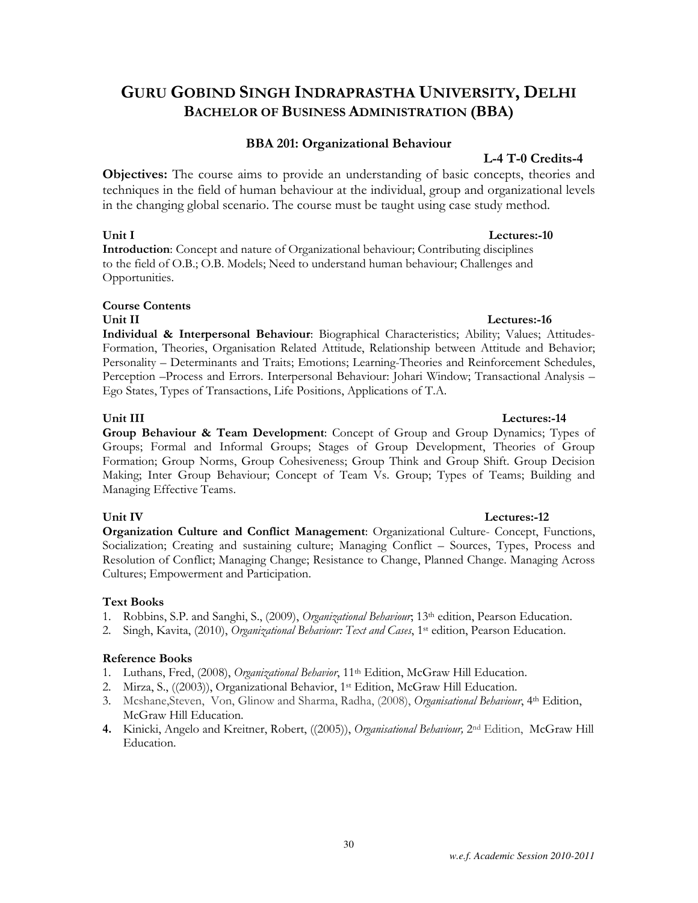#### BBA 201: Organizational Behaviour

#### L-4 T-0 Credits-4

Objectives: The course aims to provide an understanding of basic concepts, theories and techniques in the field of human behaviour at the individual, group and organizational levels in the changing global scenario. The course must be taught using case study method.

#### Unit I Lectures:-10

Introduction: Concept and nature of Organizational behaviour; Contributing disciplines to the field of O.B.; O.B. Models; Need to understand human behaviour; Challenges and Opportunities.

#### Course Contents

Unit II Lectures:-16 Individual & Interpersonal Behaviour: Biographical Characteristics; Ability; Values; Attitudes-Formation, Theories, Organisation Related Attitude, Relationship between Attitude and Behavior; Personality – Determinants and Traits; Emotions; Learning-Theories and Reinforcement Schedules, Perception –Process and Errors. Interpersonal Behaviour: Johari Window; Transactional Analysis – Ego States, Types of Transactions, Life Positions, Applications of T.A.

Group Behaviour & Team Development: Concept of Group and Group Dynamics; Types of Groups; Formal and Informal Groups; Stages of Group Development, Theories of Group Formation; Group Norms, Group Cohesiveness; Group Think and Group Shift. Group Decision Making; Inter Group Behaviour; Concept of Team Vs. Group; Types of Teams; Building and Managing Effective Teams.

Organization Culture and Conflict Management: Organizational Culture- Concept, Functions, Socialization; Creating and sustaining culture; Managing Conflict – Sources, Types, Process and Resolution of Conflict; Managing Change; Resistance to Change, Planned Change. Managing Across Cultures; Empowerment and Participation.

#### Text Books

- 1. Robbins, S.P. and Sanghi, S., (2009), *Organizational Behaviour*, 13<sup>th</sup> edition, Pearson Education.
- 2. Singh, Kavita, (2010), Organizational Behaviour: Text and Cases, 1<sup>st</sup> edition, Pearson Education.

#### Reference Books

- 1. Luthans, Fred, (2008), Organizational Behavior, 11<sup>th</sup> Edition, McGraw Hill Education.
- 2. Mirza, S., ((2003)), Organizational Behavior, 1st Edition, McGraw Hill Education.
- 3. Mcshane,Steven, Von, Glinow and Sharma, Radha, (2008), Organisational Behaviour, 4th Edition, McGraw Hill Education.
- 4. Kinicki, Angelo and Kreitner, Robert, ((2005)), Organisational Behaviour, 2nd Edition, McGraw Hill Education.

#### Unit IV Lectures:-12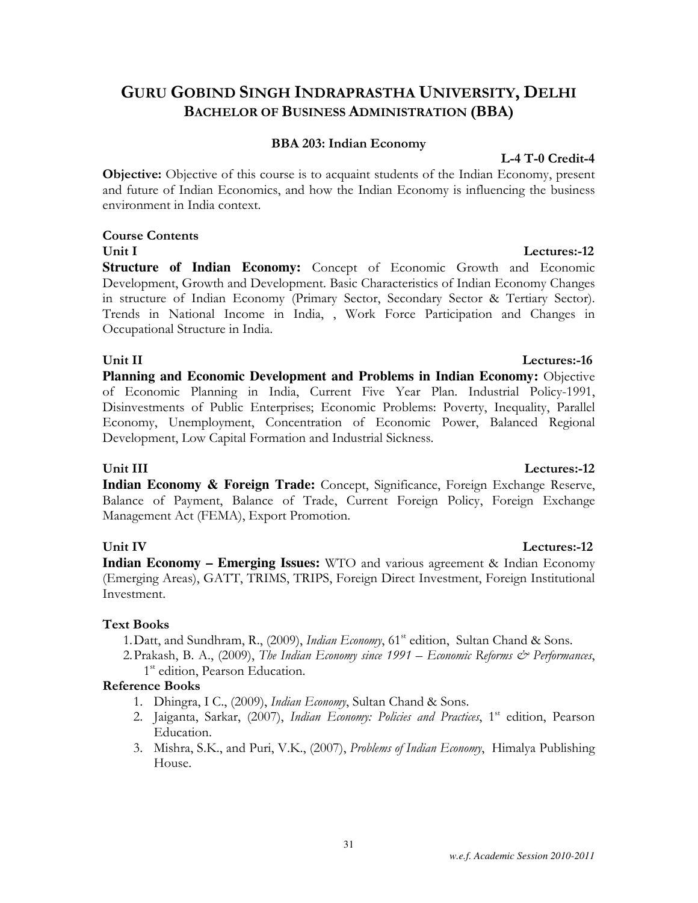#### BBA 203: Indian Economy

L-4 T-0 Credit-4

Objective: Objective of this course is to acquaint students of the Indian Economy, present and future of Indian Economics, and how the Indian Economy is influencing the business environment in India context.

### Course Contents

**Structure of Indian Economy:** Concept of Economic Growth and Economic Development, Growth and Development. Basic Characteristics of Indian Economy Changes in structure of Indian Economy (Primary Sector, Secondary Sector & Tertiary Sector). Trends in National Income in India, , Work Force Participation and Changes in Occupational Structure in India.

### Unit II Lectures:-16

**Planning and Economic Development and Problems in Indian Economy:** Objective of Economic Planning in India, Current Five Year Plan. Industrial Policy-1991, Disinvestments of Public Enterprises; Economic Problems: Poverty, Inequality, Parallel Economy, Unemployment, Concentration of Economic Power, Balanced Regional Development, Low Capital Formation and Industrial Sickness.

**Indian Economy & Foreign Trade:** Concept, Significance, Foreign Exchange Reserve, Balance of Payment, Balance of Trade, Current Foreign Policy, Foreign Exchange Management Act (FEMA), Export Promotion.

**Indian Economy – Emerging Issues:** WTO and various agreement & Indian Economy (Emerging Areas), GATT, TRIMS, TRIPS, Foreign Direct Investment, Foreign Institutional Investment.

### Text Books

1. Datt, and Sundhram, R., (2009), *Indian Economy*, 61<sup>st</sup> edition, Sultan Chand & Sons.

2. Prakash, B. A., (2009), The Indian Economy since  $1991 -$  Economic Reforms  $\mathcal{O}^*$  Performances, 1<sup>st</sup> edition, Pearson Education.

### Reference Books

- 1. Dhingra, I C., (2009), Indian Economy, Sultan Chand & Sons.
- 2. Jaiganta, Sarkar, (2007), *Indian Economy: Policies and Practices*, 1<sup>st</sup> edition, Pearson Education.
- 3. Mishra, S.K., and Puri, V.K., (2007), Problems of Indian Economy, Himalya Publishing House.

#### Unit III Lectures:-12

## Unit I Lectures:-12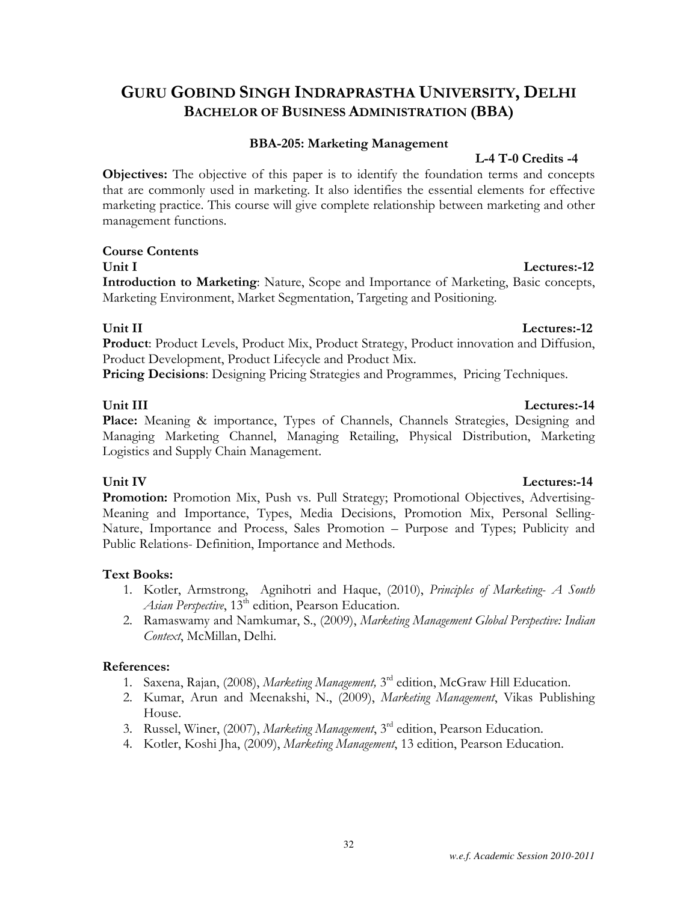#### BBA-205: Marketing Management

### L-4 T-0 Credits -4

Objectives: The objective of this paper is to identify the foundation terms and concepts that are commonly used in marketing. It also identifies the essential elements for effective marketing practice. This course will give complete relationship between marketing and other management functions.

### Course Contents

Introduction to Marketing: Nature, Scope and Importance of Marketing, Basic concepts, Marketing Environment, Market Segmentation, Targeting and Positioning.

### Unit II Lectures:-12

Product: Product Levels, Product Mix, Product Strategy, Product innovation and Diffusion, Product Development, Product Lifecycle and Product Mix.

Pricing Decisions: Designing Pricing Strategies and Programmes, Pricing Techniques.

### Unit III Lectures:-14

Place: Meaning & importance, Types of Channels, Channels Strategies, Designing and Managing Marketing Channel, Managing Retailing, Physical Distribution, Marketing Logistics and Supply Chain Management.

Promotion: Promotion Mix, Push vs. Pull Strategy; Promotional Objectives, Advertising-Meaning and Importance, Types, Media Decisions, Promotion Mix, Personal Selling-Nature, Importance and Process, Sales Promotion – Purpose and Types; Publicity and Public Relations- Definition, Importance and Methods.

### Text Books:

- 1. Kotler, Armstrong, Agnihotri and Haque, (2010), Principles of Marketing- A South Asian Perspective,  $13<sup>th</sup>$  edition, Pearson Education.
- 2. Ramaswamy and Namkumar, S., (2009), Marketing Management Global Perspective: Indian Context, McMillan, Delhi.

### References:

- 1. Saxena, Rajan, (2008), Marketing Management, 3rd edition, McGraw Hill Education.
- 2. Kumar, Arun and Meenakshi, N., (2009), Marketing Management, Vikas Publishing House.
- 3. Russel, Winer, (2007), Marketing Management, 3<sup>rd</sup> edition, Pearson Education.
- 4. Kotler, Koshi Jha, (2009), Marketing Management, 13 edition, Pearson Education.

#### Unit IV Lectures:-14

# Unit I Lectures:-12

32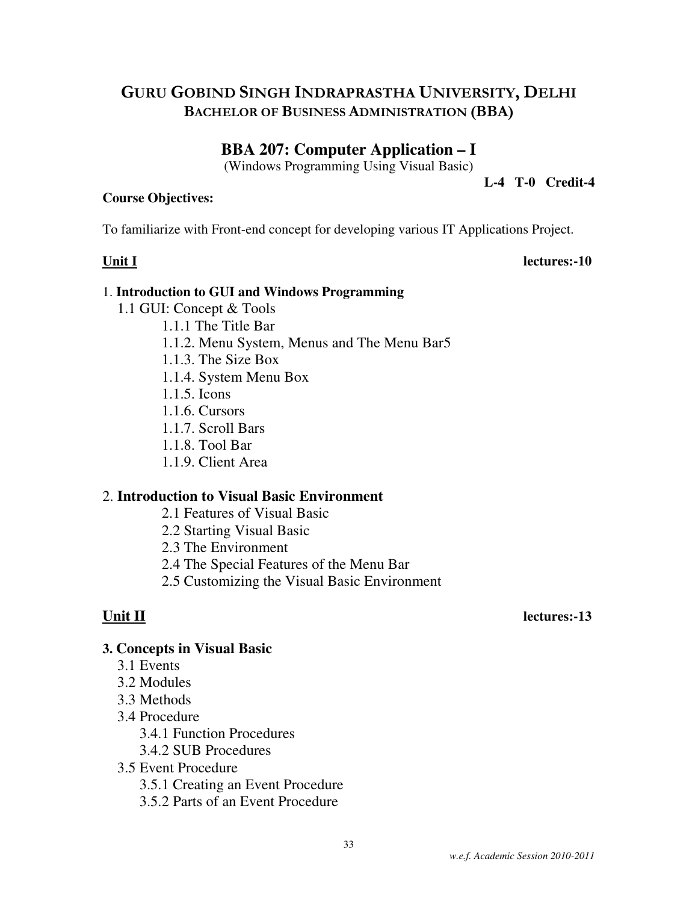## **BBA 207: Computer Application – I**

(Windows Programming Using Visual Basic)

#### **Course Objectives:**

**L-4 T-0 Credit-4** 

To familiarize with Front-end concept for developing various IT Applications Project.

### **Unit I** lectures:-10

### 1. **Introduction to GUI and Windows Programming**

- 1.1 GUI: Concept & Tools
	- 1.1.1 The Title Bar
	- 1.1.2. Menu System, Menus and The Menu Bar5
	- 1.1.3. The Size Box
	- 1.1.4. System Menu Box
	- 1.1.5. Icons
	- 1.1.6. Cursors
	- 1.1.7. Scroll Bars
	- 1.1.8. Tool Bar
	- 1.1.9. Client Area

### 2. **Introduction to Visual Basic Environment**

- 2.1 Features of Visual Basic
- 2.2 Starting Visual Basic
- 2.3 The Environment
- 2.4 The Special Features of the Menu Bar
- 2.5 Customizing the Visual Basic Environment

**Unit II lectures:-13** 

### **3. Concepts in Visual Basic**

- 3.1 Events
- 3.2 Modules
- 3.3 Methods
- 3.4 Procedure
	- 3.4.1 Function Procedures
	- 3.4.2 SUB Procedures
- 3.5 Event Procedure
	- 3.5.1 Creating an Event Procedure
	- 3.5.2 Parts of an Event Procedure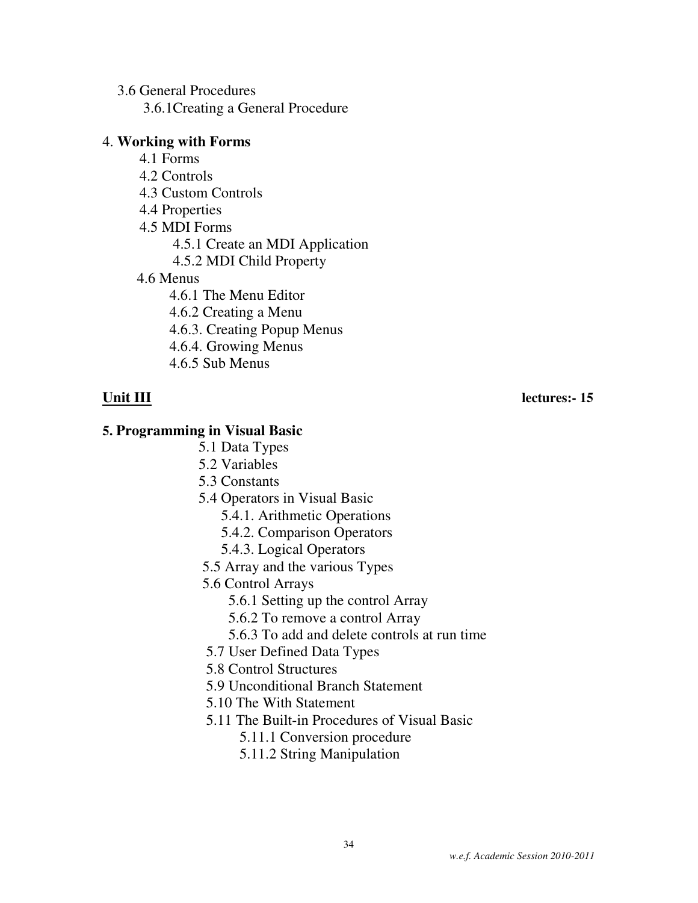3.6 General Procedures

3.6.1Creating a General Procedure

## 4. **Working with Forms**

- 4.1 Forms
- 4.2 Controls
- 4.3 Custom Controls
- 4.4 Properties
- 4.5 MDI Forms
	- 4.5.1 Create an MDI Application
	- 4.5.2 MDI Child Property
- 4.6 Menus
	- 4.6.1 The Menu Editor
	- 4.6.2 Creating a Menu
	- 4.6.3. Creating Popup Menus
	- 4.6.4. Growing Menus
	- 4.6.5 Sub Menus

## **Unit III lectures:- 15**

## **5. Programming in Visual Basic**

- 5.1 Data Types
- 5.2 Variables
- 5.3 Constants
- 5.4 Operators in Visual Basic
	- 5.4.1. Arithmetic Operations
	- 5.4.2. Comparison Operators
	- 5.4.3. Logical Operators
- 5.5 Array and the various Types
- 5.6 Control Arrays
	- 5.6.1 Setting up the control Array
	- 5.6.2 To remove a control Array
	- 5.6.3 To add and delete controls at run time
- 5.7 User Defined Data Types
- 5.8 Control Structures
- 5.9 Unconditional Branch Statement
- 5.10 The With Statement
- 5.11 The Built-in Procedures of Visual Basic
	- 5.11.1 Conversion procedure
	- 5.11.2 String Manipulation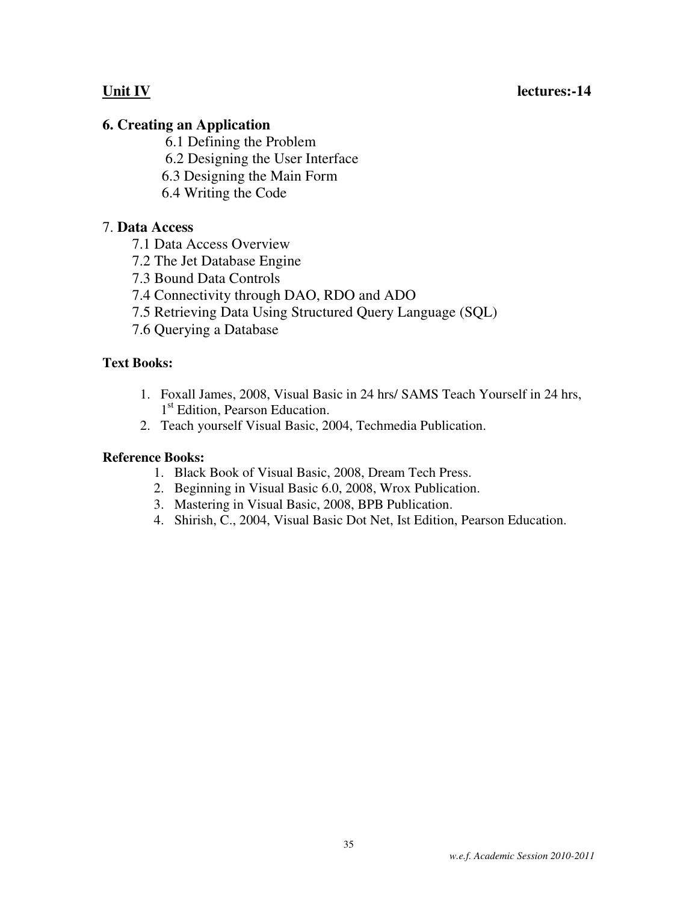### **Unit IV** lectures:-14

## **6. Creating an Application**

6.1 Defining the Problem

6.2 Designing the User Interface

- 6.3 Designing the Main Form
- 6.4 Writing the Code

## 7. **Data Access**

- 7.1 Data Access Overview
- 7.2 The Jet Database Engine
- 7.3 Bound Data Controls
- 7.4 Connectivity through DAO, RDO and ADO
- 7.5 Retrieving Data Using Structured Query Language (SQL)
- 7.6 Querying a Database

## **Text Books:**

- 1. Foxall James, 2008, Visual Basic in 24 hrs/ SAMS Teach Yourself in 24 hrs, 1<sup>st</sup> Edition, Pearson Education.
- 2. Teach yourself Visual Basic, 2004, Techmedia Publication.

## **Reference Books:**

- 1. Black Book of Visual Basic, 2008, Dream Tech Press.
- 2. Beginning in Visual Basic 6.0, 2008, Wrox Publication.
- 3. Mastering in Visual Basic, 2008, BPB Publication.
- 4. Shirish, C., 2004, Visual Basic Dot Net, Ist Edition, Pearson Education.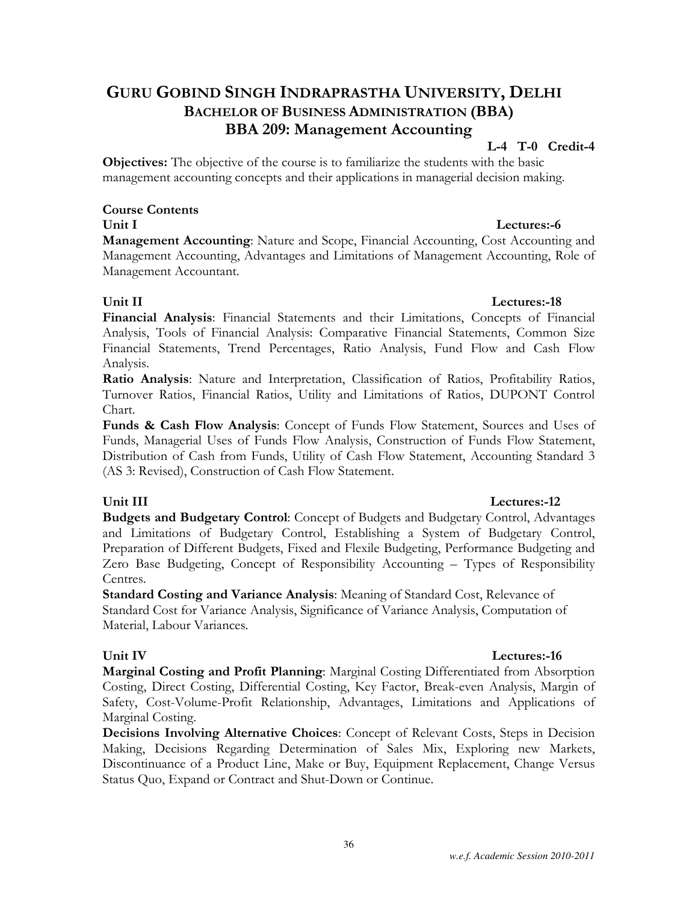## GURU GOBIND SINGH INDRAPRASTHA UNIVERSITY, DELHI BACHELOR OF BUSINESS ADMINISTRATION (BBA) BBA 209: Management Accounting

#### L-4 T-0 Credit-4

Objectives: The objective of the course is to familiarize the students with the basic management accounting concepts and their applications in managerial decision making.

## Course Contents

### Unit I Lectures:-6

Management Accounting: Nature and Scope, Financial Accounting, Cost Accounting and Management Accounting, Advantages and Limitations of Management Accounting, Role of Management Accountant.

### Unit II Lectures: 18

Financial Analysis: Financial Statements and their Limitations, Concepts of Financial Analysis, Tools of Financial Analysis: Comparative Financial Statements, Common Size Financial Statements, Trend Percentages, Ratio Analysis, Fund Flow and Cash Flow Analysis.

Ratio Analysis: Nature and Interpretation, Classification of Ratios, Profitability Ratios, Turnover Ratios, Financial Ratios, Utility and Limitations of Ratios, DUPONT Control Chart.

Funds & Cash Flow Analysis: Concept of Funds Flow Statement, Sources and Uses of Funds, Managerial Uses of Funds Flow Analysis, Construction of Funds Flow Statement, Distribution of Cash from Funds, Utility of Cash Flow Statement, Accounting Standard 3 (AS 3: Revised), Construction of Cash Flow Statement.

#### Unit III Lectures:-12

Budgets and Budgetary Control: Concept of Budgets and Budgetary Control, Advantages and Limitations of Budgetary Control, Establishing a System of Budgetary Control, Preparation of Different Budgets, Fixed and Flexile Budgeting, Performance Budgeting and Zero Base Budgeting, Concept of Responsibility Accounting – Types of Responsibility Centres.

Standard Costing and Variance Analysis: Meaning of Standard Cost, Relevance of Standard Cost for Variance Analysis, Significance of Variance Analysis, Computation of Material, Labour Variances.

#### Unit IV Lectures:-16

Marginal Costing and Profit Planning: Marginal Costing Differentiated from Absorption Costing, Direct Costing, Differential Costing, Key Factor, Break-even Analysis, Margin of Safety, Cost-Volume-Profit Relationship, Advantages, Limitations and Applications of Marginal Costing.

Decisions Involving Alternative Choices: Concept of Relevant Costs, Steps in Decision Making, Decisions Regarding Determination of Sales Mix, Exploring new Markets, Discontinuance of a Product Line, Make or Buy, Equipment Replacement, Change Versus Status Quo, Expand or Contract and Shut-Down or Continue.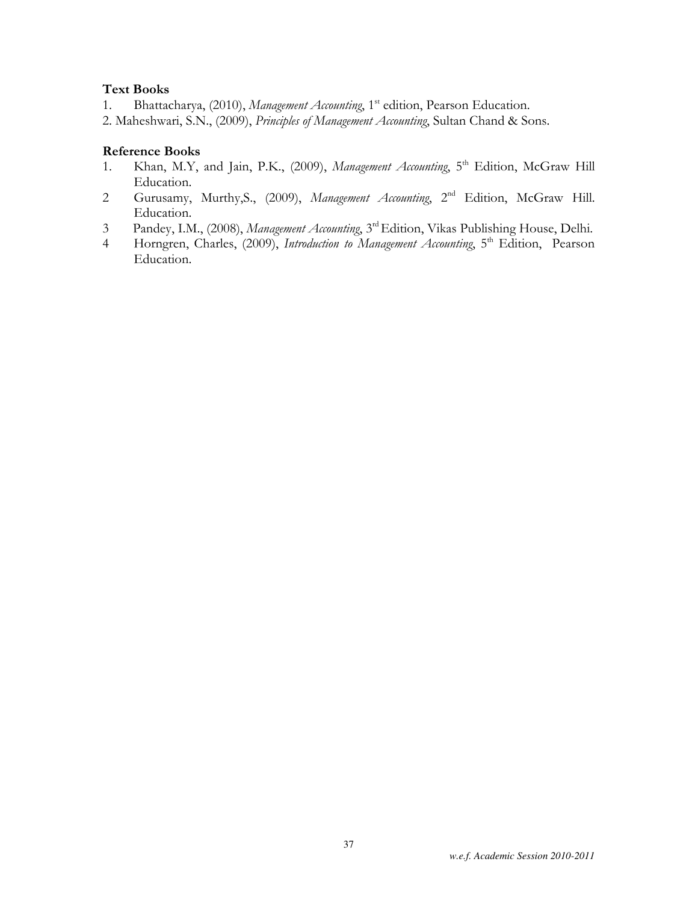#### Text Books

1. Bhattacharya, (2010), Management Accounting, 1<sup>st</sup> edition, Pearson Education.

2. Maheshwari, S.N., (2009), Principles of Management Accounting, Sultan Chand & Sons.

### Reference Books

- 1. Khan, M.Y, and Jain, P.K., (2009), Management Accounting, 5<sup>th</sup> Edition, McGraw Hill Education.
- 2 Gurusamy, Murthy, S., (2009), Management Accounting, 2<sup>nd</sup> Edition, McGraw Hill. Education.
- 3 Pandey, I.M., (2008), Management Accounting, 3<sup>rd</sup> Edition, Vikas Publishing House, Delhi.
- 4 Horngren, Charles, (2009), *Introduction to Management Accounting*, 5<sup>th</sup> Edition, Pearson Education.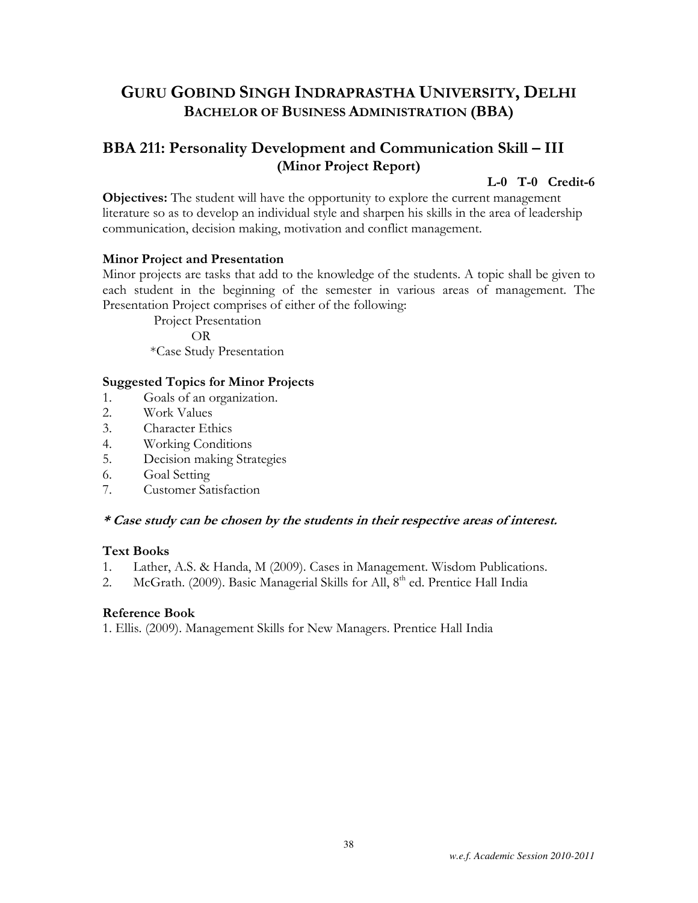## BBA 211: Personality Development and Communication Skill – III (Minor Project Report)

#### L-0 T-0 Credit-6

Objectives: The student will have the opportunity to explore the current management literature so as to develop an individual style and sharpen his skills in the area of leadership communication, decision making, motivation and conflict management.

#### Minor Project and Presentation

Minor projects are tasks that add to the knowledge of the students. A topic shall be given to each student in the beginning of the semester in various areas of management. The Presentation Project comprises of either of the following:

 Project Presentation OR \*Case Study Presentation

### Suggested Topics for Minor Projects

- 1. Goals of an organization.
- 2. Work Values
- 3. Character Ethics
- 4. Working Conditions
- 5. Decision making Strategies
- 6. Goal Setting
- 7. Customer Satisfaction

#### \* Case study can be chosen by the students in their respective areas of interest.

#### Text Books

- 1. Lather, A.S. & Handa, M (2009). Cases in Management. Wisdom Publications.
- 2. McGrath. (2009). Basic Managerial Skills for All, 8<sup>th</sup> ed. Prentice Hall India

#### Reference Book

1. Ellis. (2009). Management Skills for New Managers. Prentice Hall India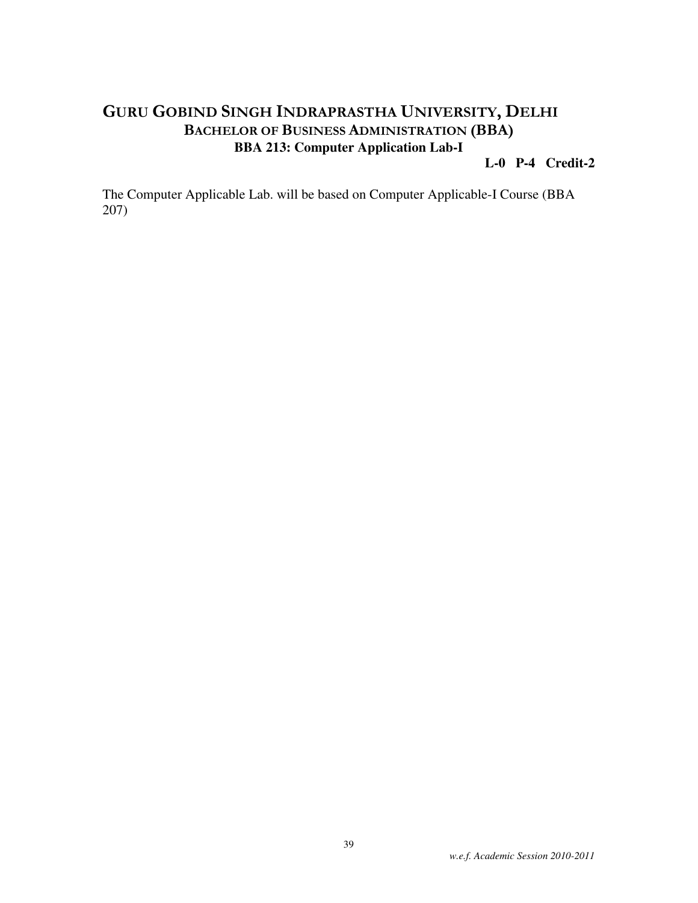## GURU GOBIND SINGH INDRAPRASTHA UNIVERSITY, DELHI BACHELOR OF BUSINESS ADMINISTRATION (BBA) **BBA 213: Computer Application Lab-I**

#### **L-0 P-4 Credit-2**

The Computer Applicable Lab. will be based on Computer Applicable-I Course (BBA 207)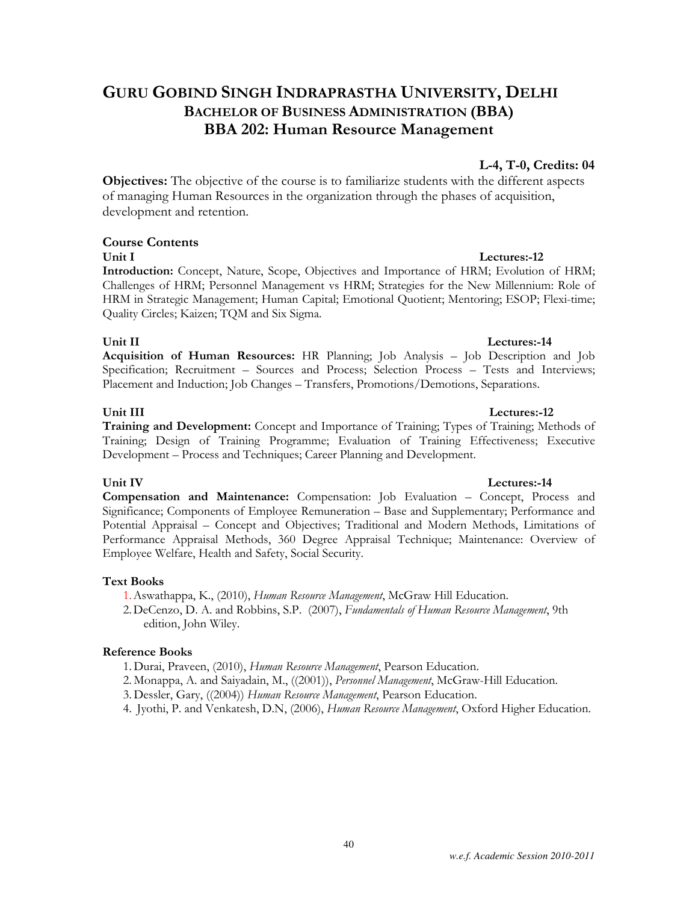## GURU GOBIND SINGH INDRAPRASTHA UNIVERSITY, DELHI BACHELOR OF BUSINESS ADMINISTRATION (BBA) BBA 202: Human Resource Management

#### L-4, T-0, Credits: 04

Objectives: The objective of the course is to familiarize students with the different aspects of managing Human Resources in the organization through the phases of acquisition, development and retention.

#### Course Contents

Introduction: Concept, Nature, Scope, Objectives and Importance of HRM; Evolution of HRM; Challenges of HRM; Personnel Management vs HRM; Strategies for the New Millennium: Role of HRM in Strategic Management; Human Capital; Emotional Quotient; Mentoring; ESOP; Flexi-time; Quality Circles; Kaizen; TQM and Six Sigma.

Unit II Lectures:-14 Acquisition of Human Resources: HR Planning; Job Analysis – Job Description and Job Specification; Recruitment – Sources and Process; Selection Process – Tests and Interviews; Placement and Induction; Job Changes – Transfers, Promotions/Demotions, Separations.

#### Unit III Lectures:-12

Training and Development: Concept and Importance of Training; Types of Training; Methods of Training; Design of Training Programme; Evaluation of Training Effectiveness; Executive Development – Process and Techniques; Career Planning and Development.

Compensation and Maintenance: Compensation: Job Evaluation – Concept, Process and Significance; Components of Employee Remuneration – Base and Supplementary; Performance and Potential Appraisal – Concept and Objectives; Traditional and Modern Methods, Limitations of Performance Appraisal Methods, 360 Degree Appraisal Technique; Maintenance: Overview of Employee Welfare, Health and Safety, Social Security.

#### Text Books

- 1.Aswathappa, K., (2010), Human Resource Management, McGraw Hill Education. 2. DeCenzo, D. A. and Robbins, S.P. (2007), Fundamentals of Human Resource Management, 9th
	- edition, John Wiley.

#### Reference Books

- 1. Durai, Praveen, (2010), Human Resource Management, Pearson Education.
- 2. Monappa, A. and Saiyadain, M., ((2001)), Personnel Management, McGraw-Hill Education.
- 3. Dessler, Gary, ((2004)) Human Resource Management, Pearson Education.
- 4. Jyothi, P. and Venkatesh, D.N, (2006), Human Resource Management, Oxford Higher Education.

### Unit IV Lectures:-14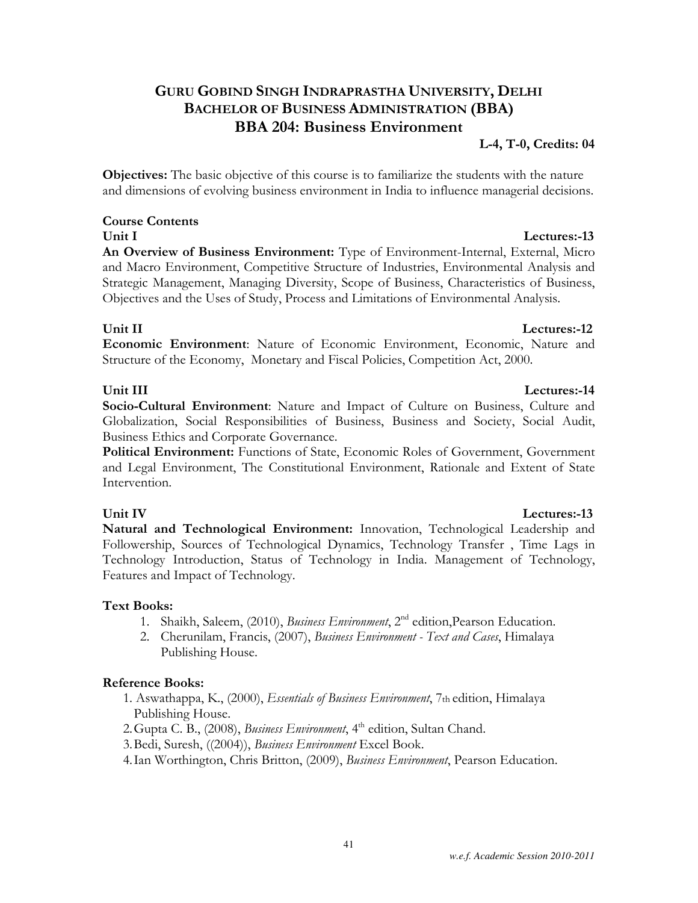#### *w.e.f. Academic Session 2010-2011*

## GURU GOBIND SINGH INDRAPRASTHA UNIVERSITY, DELHI BACHELOR OF BUSINESS ADMINISTRATION (BBA) BBA 204: Business Environment

### L-4, T-0, Credits: 04

Objectives: The basic objective of this course is to familiarize the students with the nature and dimensions of evolving business environment in India to influence managerial decisions.

# Course Contents

An Overview of Business Environment: Type of Environment-Internal, External, Micro and Macro Environment, Competitive Structure of Industries, Environmental Analysis and Strategic Management, Managing Diversity, Scope of Business, Characteristics of Business, Objectives and the Uses of Study, Process and Limitations of Environmental Analysis.

Unit II Lectures:-12 Economic Environment: Nature of Economic Environment, Economic, Nature and Structure of the Economy, Monetary and Fiscal Policies, Competition Act, 2000.

### Unit III Lectures:-14

Socio-Cultural Environment: Nature and Impact of Culture on Business, Culture and Globalization, Social Responsibilities of Business, Business and Society, Social Audit, Business Ethics and Corporate Governance.

Political Environment: Functions of State, Economic Roles of Government, Government and Legal Environment, The Constitutional Environment, Rationale and Extent of State Intervention.

### Unit IV Lectures:-13

Natural and Technological Environment: Innovation, Technological Leadership and Followership, Sources of Technological Dynamics, Technology Transfer , Time Lags in Technology Introduction, Status of Technology in India. Management of Technology, Features and Impact of Technology.

### Text Books:

- 1. Shaikh, Saleem, (2010), *Business Environment*, 2<sup>nd</sup> edition, Pearson Education.
- 2. Cherunilam, Francis, (2007), Business Environment Text and Cases, Himalaya Publishing House.

### Reference Books:

- 1. Aswathappa, K., (2000), Essentials of Business Environment, 7th edition, Himalaya Publishing House.
- 2. Gupta C. B., (2008), *Business Environment*, 4<sup>th</sup> edition, Sultan Chand.
- 3.Bedi, Suresh, ((2004)), Business Environment Excel Book.
- 4.Ian Worthington, Chris Britton, (2009), Business Environment, Pearson Education.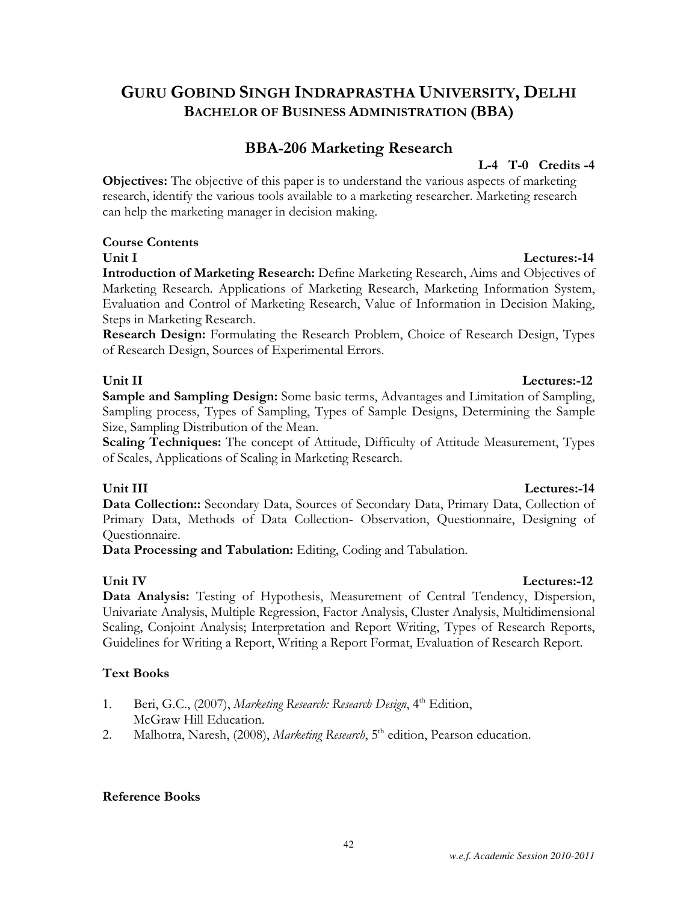## BBA-206 Marketing Research

### L-4 T-0 Credits -4

Objectives: The objective of this paper is to understand the various aspects of marketing research, identify the various tools available to a marketing researcher. Marketing research can help the marketing manager in decision making.

## Course Contents

Introduction of Marketing Research: Define Marketing Research, Aims and Objectives of Marketing Research. Applications of Marketing Research, Marketing Information System, Evaluation and Control of Marketing Research, Value of Information in Decision Making, Steps in Marketing Research.

Research Design: Formulating the Research Problem, Choice of Research Design, Types of Research Design, Sources of Experimental Errors.

### Unit II Lectures:-12

Sample and Sampling Design: Some basic terms, Advantages and Limitation of Sampling, Sampling process, Types of Sampling, Types of Sample Designs, Determining the Sample Size, Sampling Distribution of the Mean.

Scaling Techniques: The concept of Attitude, Difficulty of Attitude Measurement, Types of Scales, Applications of Scaling in Marketing Research.

## Unit III Lectures:-14

Data Collection:: Secondary Data, Sources of Secondary Data, Primary Data, Collection of Primary Data, Methods of Data Collection- Observation, Questionnaire, Designing of Questionnaire.

Data Processing and Tabulation: Editing, Coding and Tabulation.

### Unit IV Lectures:-12

Data Analysis: Testing of Hypothesis, Measurement of Central Tendency, Dispersion, Univariate Analysis, Multiple Regression, Factor Analysis, Cluster Analysis, Multidimensional Scaling, Conjoint Analysis; Interpretation and Report Writing, Types of Research Reports, Guidelines for Writing a Report, Writing a Report Format, Evaluation of Research Report.

## Text Books

- 1. Beri, G.C., (2007), Marketing Research: Research Design, 4<sup>th</sup> Edition, McGraw Hill Education.
- 2. Malhotra, Naresh, (2008), Marketing Research, 5<sup>th</sup> edition, Pearson education.

## Reference Books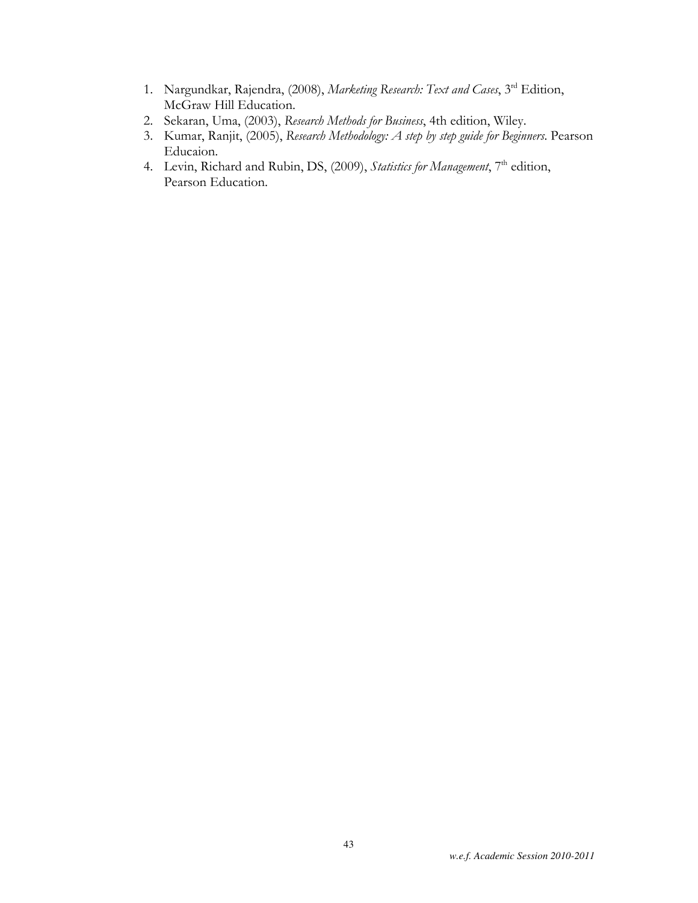- 1. Nargundkar, Rajendra, (2008), Marketing Research: Text and Cases, 3<sup>rd</sup> Edition, McGraw Hill Education.
- 2. Sekaran, Uma, (2003), Research Methods for Business, 4th edition, Wiley.
- 3. Kumar, Ranjit, (2005), Research Methodology: A step by step guide for Beginners. Pearson Educaion.
- 4. Levin, Richard and Rubin, DS, (2009), Statistics for Management, 7<sup>th</sup> edition, Pearson Education.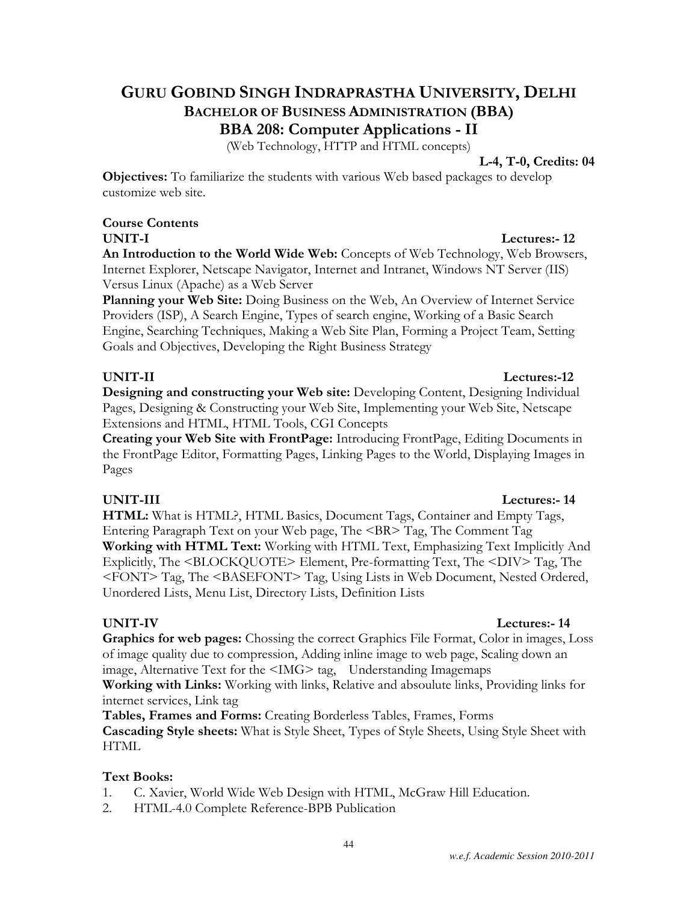## GURU GOBIND SINGH INDRAPRASTHA UNIVERSITY, DELHI BACHELOR OF BUSINESS ADMINISTRATION (BBA) BBA 208: Computer Applications - II

(Web Technology, HTTP and HTML concepts)

#### L-4, T-0, Credits: 04

Objectives: To familiarize the students with various Web based packages to develop customize web site.

## Course Contents

An Introduction to the World Wide Web: Concepts of Web Technology, Web Browsers, Internet Explorer, Netscape Navigator, Internet and Intranet, Windows NT Server (IIS) Versus Linux (Apache) as a Web Server

#### Planning your Web Site: Doing Business on the Web, An Overview of Internet Service Providers (ISP), A Search Engine, Types of search engine, Working of a Basic Search Engine, Searching Techniques, Making a Web Site Plan, Forming a Project Team, Setting Goals and Objectives, Developing the Right Business Strategy

## UNIT-II Lectures:-12

Designing and constructing your Web site: Developing Content, Designing Individual Pages, Designing & Constructing your Web Site, Implementing your Web Site, Netscape Extensions and HTML, HTML Tools, CGI Concepts

Creating your Web Site with FrontPage: Introducing FrontPage, Editing Documents in the FrontPage Editor, Formatting Pages, Linking Pages to the World, Displaying Images in Pages

HTML: What is HTML?, HTML Basics, Document Tags, Container and Empty Tags, Entering Paragraph Text on your Web page, The <BR> Tag, The Comment Tag Working with HTML Text: Working with HTML Text, Emphasizing Text Implicitly And Explicitly, The <BLOCKQUOTE> Element, Pre-formatting Text, The <DIV> Tag, The <FONT> Tag, The <BASEFONT> Tag, Using Lists in Web Document, Nested Ordered, Unordered Lists, Menu List, Directory Lists, Definition Lists

Graphics for web pages: Chossing the correct Graphics File Format, Color in images, Loss of image quality due to compression, Adding inline image to web page, Scaling down an image, Alternative Text for the <IMG> tag, Understanding Imagemaps

Working with Links: Working with links, Relative and absoulute links, Providing links for internet services, Link tag

Tables, Frames and Forms: Creating Borderless Tables, Frames, Forms Cascading Style sheets: What is Style Sheet, Types of Style Sheets, Using Style Sheet with HTML

### Text Books:

1. C. Xavier, World Wide Web Design with HTML, McGraw Hill Education.

2. HTML-4.0 Complete Reference-BPB Publication

#### UNIT-III Lectures:- 14

#### UNIT-IV Lectures: 14

*w.e.f. Academic Session 2010-2011* 

## UNIT-I Lectures: 12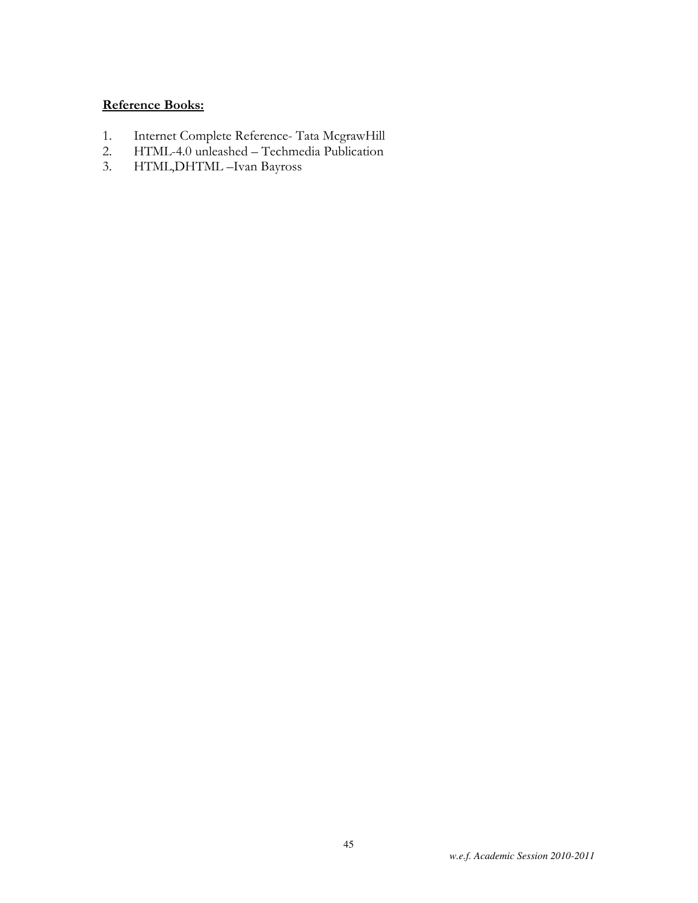## Reference Books:

- 1. Internet Complete Reference- Tata McgrawHill
- 2. HTML-4.0 unleashed Techmedia Publication
- 3. HTML,DHTML –Ivan Bayross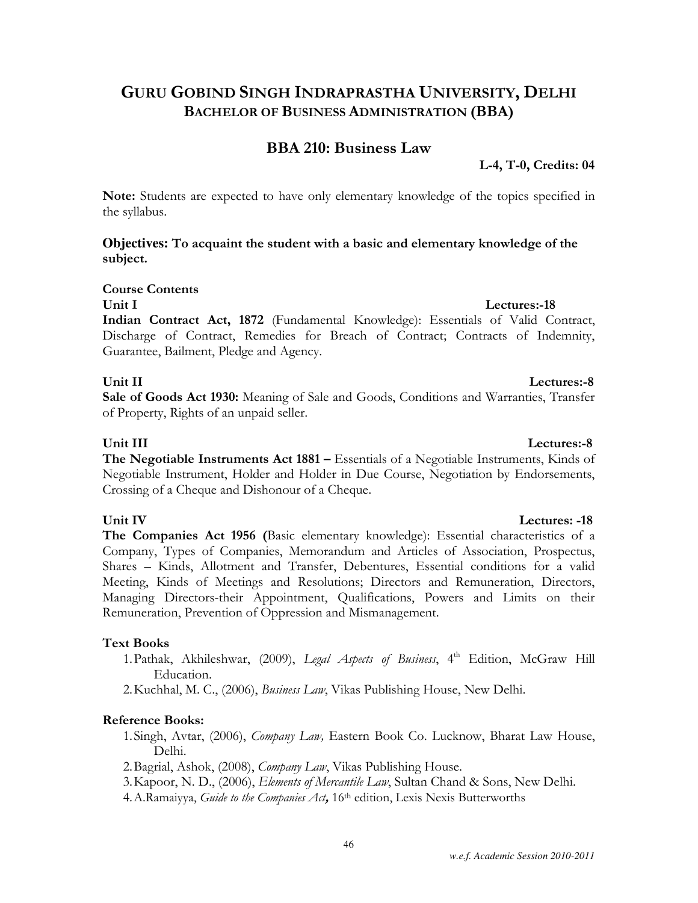## BBA 210: Business Law

L-4, T-0, Credits: 04

Note: Students are expected to have only elementary knowledge of the topics specified in the syllabus.

#### **Objectives:** To acquaint the student with a basic and elementary knowledge of the subject.

### Course Contents

Indian Contract Act, 1872 (Fundamental Knowledge): Essentials of Valid Contract, Discharge of Contract, Remedies for Breach of Contract; Contracts of Indemnity, Guarantee, Bailment, Pledge and Agency.

### Unit II Lectures:-8

Sale of Goods Act 1930: Meaning of Sale and Goods, Conditions and Warranties, Transfer of Property, Rights of an unpaid seller.

Unit III Lectures:-8 The Negotiable Instruments Act 1881 – Essentials of a Negotiable Instruments, Kinds of Negotiable Instrument, Holder and Holder in Due Course, Negotiation by Endorsements, Crossing of a Cheque and Dishonour of a Cheque.

The Companies Act 1956 (Basic elementary knowledge): Essential characteristics of a Company, Types of Companies, Memorandum and Articles of Association, Prospectus, Shares – Kinds, Allotment and Transfer, Debentures, Essential conditions for a valid Meeting, Kinds of Meetings and Resolutions; Directors and Remuneration, Directors, Managing Directors-their Appointment, Qualifications, Powers and Limits on their Remuneration, Prevention of Oppression and Mismanagement.

### Text Books

1. Pathak, Akhileshwar, (2009), Legal Aspects of Business, 4<sup>th</sup> Edition, McGraw Hill Education.

2.Kuchhal, M. C., (2006), Business Law, Vikas Publishing House, New Delhi.

### Reference Books:

1.Singh, Avtar, (2006), Company Law, Eastern Book Co. Lucknow, Bharat Law House, Delhi.

2. Bagrial, Ashok, (2008), Company Law, Vikas Publishing House.

3.Kapoor, N. D., (2006), Elements of Mercantile Law, Sultan Chand & Sons, New Delhi.

4. A.Ramaiyya, *Guide to the Companies Act*, 16<sup>th</sup> edition, Lexis Nexis Butterworths

## Unit IV Lectures: -18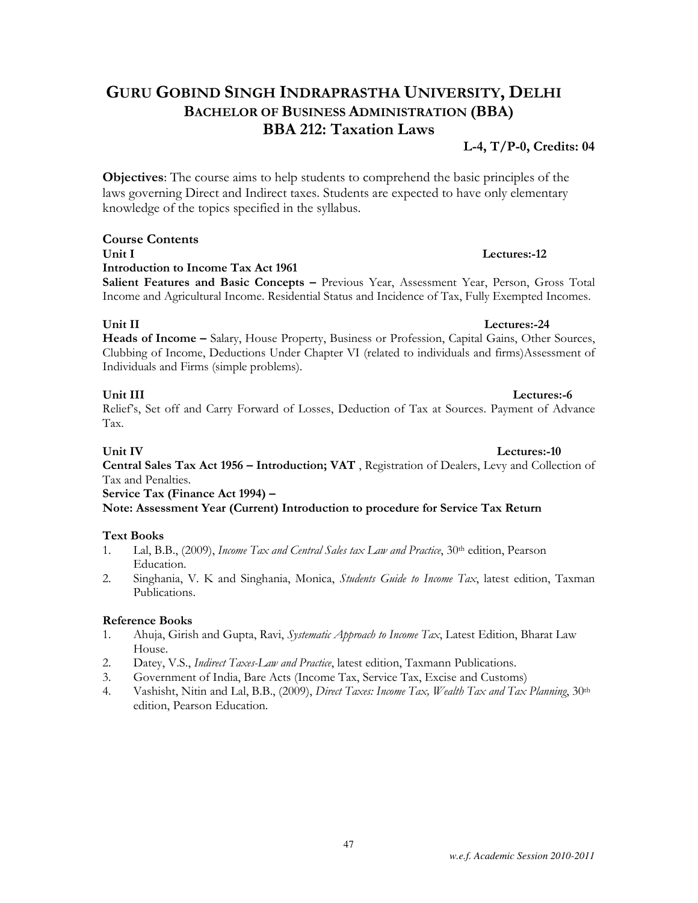## GURU GOBIND SINGH INDRAPRASTHA UNIVERSITY, DELHI BACHELOR OF BUSINESS ADMINISTRATION (BBA) BBA 212: Taxation Laws

L-4, T/P-0, Credits: 04

Objectives: The course aims to help students to comprehend the basic principles of the laws governing Direct and Indirect taxes. Students are expected to have only elementary knowledge of the topics specified in the syllabus.

#### Course Contents

#### Introduction to Income Tax Act 1961

Salient Features and Basic Concepts - Previous Year, Assessment Year, Person, Gross Total Income and Agricultural Income. Residential Status and Incidence of Tax, Fully Exempted Incomes.

#### Unit II Lectures:-24

Heads of Income – Salary, House Property, Business or Profession, Capital Gains, Other Sources, Clubbing of Income, Deductions Under Chapter VI (related to individuals and firms)Assessment of Individuals and Firms (simple problems).

Unit III Lectures:-6 Relief's, Set off and Carry Forward of Losses, Deduction of Tax at Sources. Payment of Advance Tax.

#### Unit IV Lectures:-10

Central Sales Tax Act 1956 – Introduction; VAT , Registration of Dealers, Levy and Collection of Tax and Penalties.

#### Service Tax (Finance Act 1994) – Note: Assessment Year (Current) Introduction to procedure for Service Tax Return

#### Text Books

- 1. Lal, B.B., (2009), Income Tax and Central Sales tax Law and Practice, 30<sup>th</sup> edition, Pearson Education.
- 2. Singhania, V. K and Singhania, Monica, *Students Guide to Income Tax*, latest edition, Taxman Publications.

#### Reference Books

- 1. Ahuja, Girish and Gupta, Ravi, Systematic Approach to Income Tax, Latest Edition, Bharat Law House.
- 2. Datey, V.S., Indirect Taxes-Law and Practice, latest edition, Taxmann Publications.
- 3. Government of India, Bare Acts (Income Tax, Service Tax, Excise and Customs)
- 4. Vashisht, Nitin and Lal, B.B., (2009), *Direct Taxes: Income Tax, Wealth Tax and Tax Planning*, 30<sup>th</sup> edition, Pearson Education.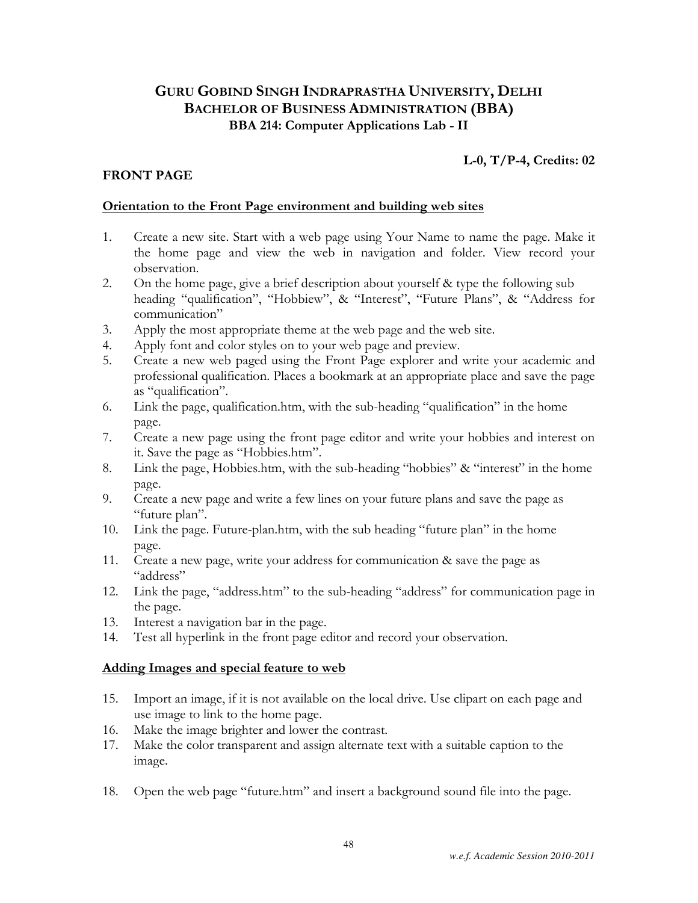## GURU GOBIND SINGH INDRAPRASTHA UNIVERSITY, DELHI BACHELOR OF BUSINESS ADMINISTRATION (BBA) BBA 214: Computer Applications Lab - II

### L-0, T/P-4, Credits: 02

#### FRONT PAGE

#### Orientation to the Front Page environment and building web sites

- 1. Create a new site. Start with a web page using Your Name to name the page. Make it the home page and view the web in navigation and folder. View record your observation.
- 2. On the home page, give a brief description about yourself & type the following sub heading "qualification", "Hobbiew", & "Interest", "Future Plans", & "Address for communication"
- 3. Apply the most appropriate theme at the web page and the web site.
- 4. Apply font and color styles on to your web page and preview.
- 5. Create a new web paged using the Front Page explorer and write your academic and professional qualification. Places a bookmark at an appropriate place and save the page as "qualification".
- 6. Link the page, qualification.htm, with the sub-heading "qualification" in the home page.
- 7. Create a new page using the front page editor and write your hobbies and interest on it. Save the page as "Hobbies.htm".
- 8. Link the page, Hobbies.htm, with the sub-heading "hobbies" & "interest" in the home page.
- 9. Create a new page and write a few lines on your future plans and save the page as "future plan".
- 10. Link the page. Future-plan.htm, with the sub heading "future plan" in the home page.
- 11. Create a new page, write your address for communication & save the page as "address"
- 12. Link the page, "address.htm" to the sub-heading "address" for communication page in the page.
- 13. Interest a navigation bar in the page.
- 14. Test all hyperlink in the front page editor and record your observation.

#### Adding Images and special feature to web

- 15. Import an image, if it is not available on the local drive. Use clipart on each page and use image to link to the home page.
- 16. Make the image brighter and lower the contrast.
- 17. Make the color transparent and assign alternate text with a suitable caption to the image.
- 18. Open the web page "future.htm" and insert a background sound file into the page.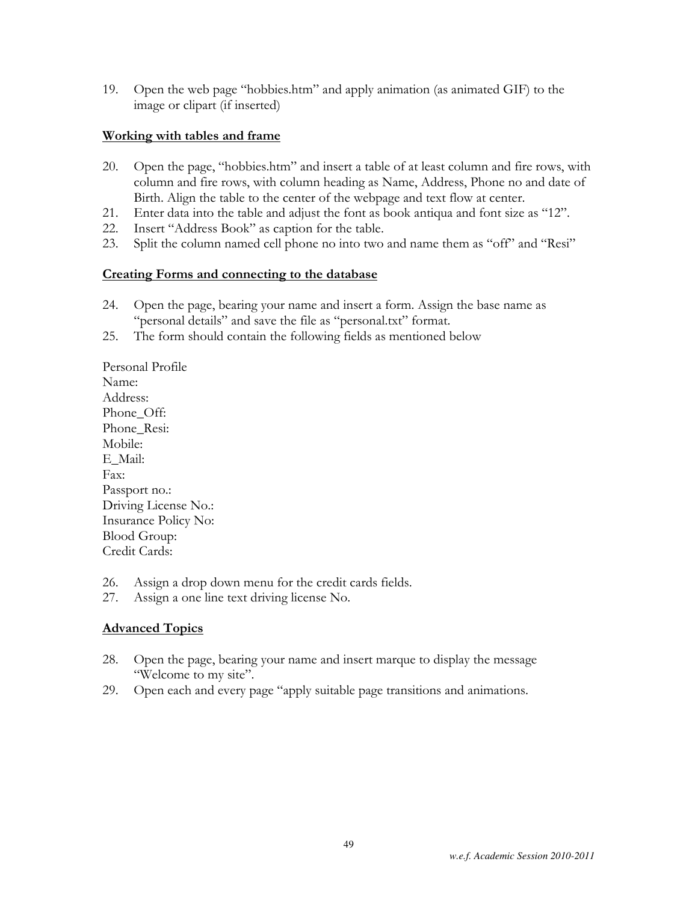19. Open the web page "hobbies.htm" and apply animation (as animated GIF) to the image or clipart (if inserted)

#### Working with tables and frame

- 20. Open the page, "hobbies.htm" and insert a table of at least column and fire rows, with column and fire rows, with column heading as Name, Address, Phone no and date of Birth. Align the table to the center of the webpage and text flow at center.
- 21. Enter data into the table and adjust the font as book antiqua and font size as "12".
- 22. Insert "Address Book" as caption for the table.
- 23. Split the column named cell phone no into two and name them as "off" and "Resi"

#### Creating Forms and connecting to the database

- 24. Open the page, bearing your name and insert a form. Assign the base name as "personal details" and save the file as "personal.txt" format.
- 25. The form should contain the following fields as mentioned below

Personal Profile Name: Address: Phone\_Off: Phone Resi: Mobile: E\_Mail: Fax: Passport no.: Driving License No.: Insurance Policy No: Blood Group: Credit Cards:

- 26. Assign a drop down menu for the credit cards fields.
- 27. Assign a one line text driving license No.

#### **Advanced Topics**

- 28. Open the page, bearing your name and insert marque to display the message "Welcome to my site".
- 29. Open each and every page "apply suitable page transitions and animations.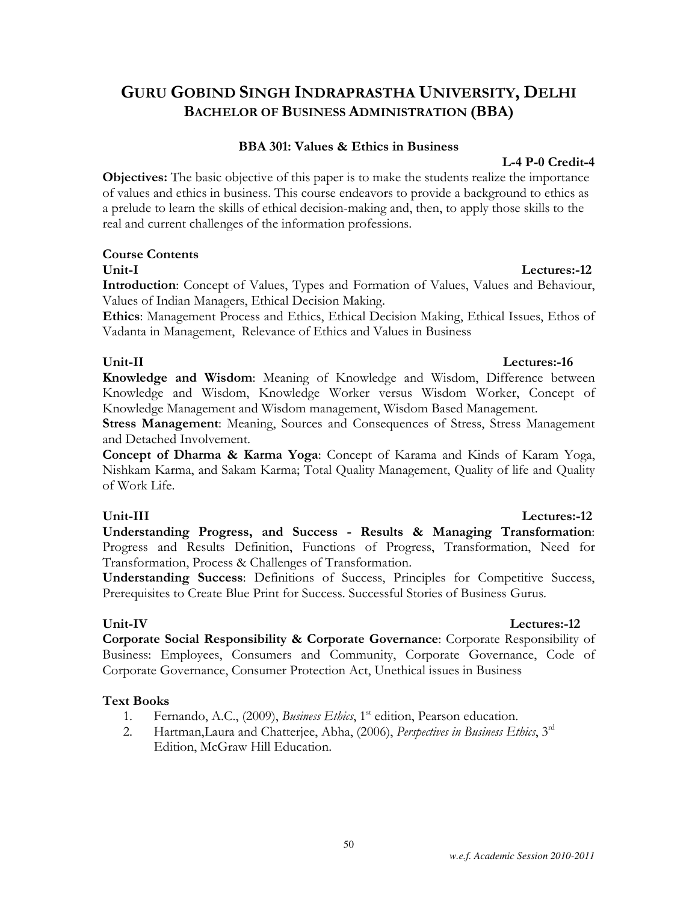#### BBA 301: Values & Ethics in Business

#### L-4 P-0 Credit-4

Objectives: The basic objective of this paper is to make the students realize the importance of values and ethics in business. This course endeavors to provide a background to ethics as a prelude to learn the skills of ethical decision-making and, then, to apply those skills to the real and current challenges of the information professions.

### Course Contents

Introduction: Concept of Values, Types and Formation of Values, Values and Behaviour, Values of Indian Managers, Ethical Decision Making.

Ethics: Management Process and Ethics, Ethical Decision Making, Ethical Issues, Ethos of Vadanta in Management, Relevance of Ethics and Values in Business

### Unit-II Lectures:-16

Knowledge and Wisdom: Meaning of Knowledge and Wisdom, Difference between Knowledge and Wisdom, Knowledge Worker versus Wisdom Worker, Concept of Knowledge Management and Wisdom management, Wisdom Based Management.

Stress Management: Meaning, Sources and Consequences of Stress, Stress Management and Detached Involvement.

Concept of Dharma & Karma Yoga: Concept of Karama and Kinds of Karam Yoga, Nishkam Karma, and Sakam Karma; Total Quality Management, Quality of life and Quality of Work Life.

### Unit-III Lectures:-12

Understanding Progress, and Success - Results & Managing Transformation: Progress and Results Definition, Functions of Progress, Transformation, Need for Transformation, Process & Challenges of Transformation.

Understanding Success: Definitions of Success, Principles for Competitive Success, Prerequisites to Create Blue Print for Success. Successful Stories of Business Gurus.

Corporate Social Responsibility & Corporate Governance: Corporate Responsibility of Business: Employees, Consumers and Community, Corporate Governance, Code of Corporate Governance, Consumer Protection Act, Unethical issues in Business

### Text Books

- 1. Fernando, A.C., (2009), *Business Ethics*, 1<sup>st</sup> edition, Pearson education.
- 2. Hartman,Laura and Chatterjee, Abha, (2006), *Perspectives in Business Ethics*, 3<sup>rd</sup> Edition, McGraw Hill Education.

## Unit-IV Lectures:-12

#### 50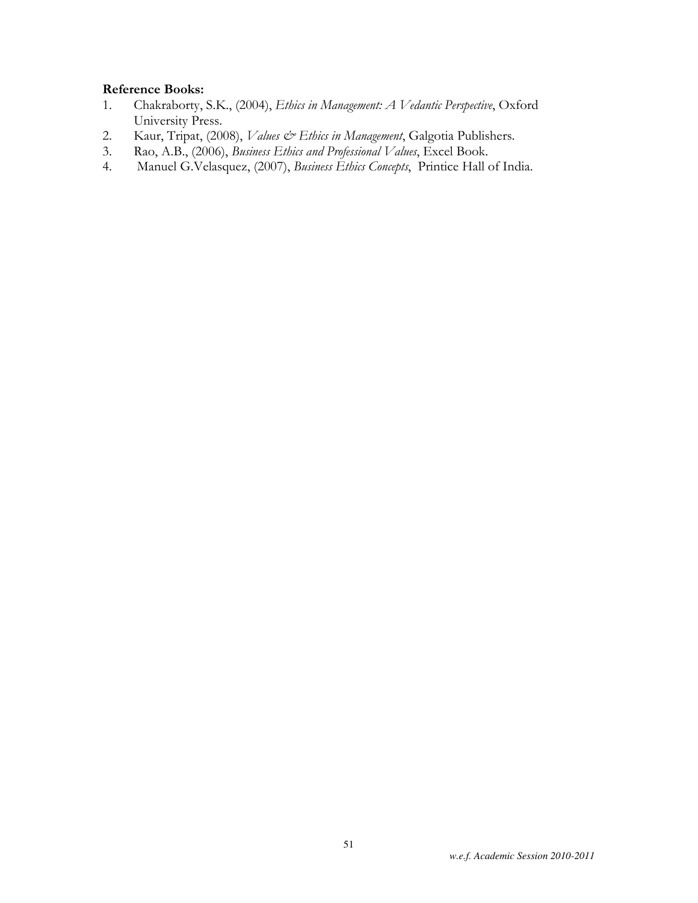#### Reference Books:

- 1. Chakraborty, S.K., (2004), Ethics in Management: A Vedantic Perspective, Oxford University Press.
- 2. Kaur, Tripat, (2008), Values & Ethics in Management, Galgotia Publishers.
- 3. Rao, A.B., (2006), Business Ethics and Professional Values, Excel Book.
- 4. Manuel G.Velasquez, (2007), Business Ethics Concepts, Printice Hall of India.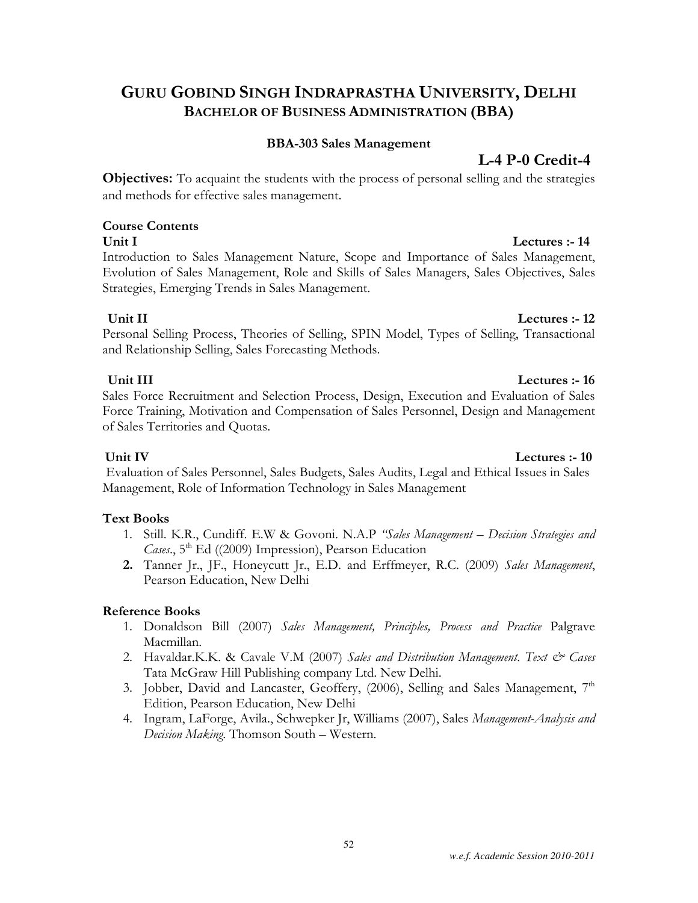#### *w.e.f. Academic Session 2010-2011*

## GURU GOBIND SINGH INDRAPRASTHA UNIVERSITY, DELHI BACHELOR OF BUSINESS ADMINISTRATION (BBA)

### BBA-303 Sales Management

L-4 P-0 Credit-4

**Objectives:** To acquaint the students with the process of personal selling and the strategies and methods for effective sales management.

#### Course Contents

Introduction to Sales Management Nature, Scope and Importance of Sales Management, Evolution of Sales Management, Role and Skills of Sales Managers, Sales Objectives, Sales Strategies, Emerging Trends in Sales Management.

### Unit II Lectures :- 12

Personal Selling Process, Theories of Selling, SPIN Model, Types of Selling, Transactional and Relationship Selling, Sales Forecasting Methods.

### Unit III Lectures :- 16

Sales Force Recruitment and Selection Process, Design, Execution and Evaluation of Sales Force Training, Motivation and Compensation of Sales Personnel, Design and Management of Sales Territories and Quotas.

#### Unit IV Lectures :- 10

Evaluation of Sales Personnel, Sales Budgets, Sales Audits, Legal and Ethical Issues in Sales Management, Role of Information Technology in Sales Management

### Text Books

- 1. Still. K.R., Cundiff. E.W & Govoni. N.A.P "Sales Management Decision Strategies and Cases.,  $5<sup>th</sup>$  Ed ((2009) Impression), Pearson Education
- 2. Tanner Jr., JF., Honeycutt Jr., E.D. and Erffmeyer, R.C. (2009) Sales Management, Pearson Education, New Delhi

### Reference Books

- 1. Donaldson Bill (2007) Sales Management, Principles, Process and Practice Palgrave Macmillan.
- 2. Havaldar.K.K. & Cavale V.M (2007) Sales and Distribution Management. Text & Cases Tata McGraw Hill Publishing company Ltd. New Delhi.
- 3. Jobber, David and Lancaster, Geoffery,  $(2006)$ , Selling and Sales Management,  $7<sup>th</sup>$ Edition, Pearson Education, New Delhi
- 4. Ingram, LaForge, Avila., Schwepker Jr, Williams (2007), Sales Management-Analysis and Decision Making. Thomson South – Western.

52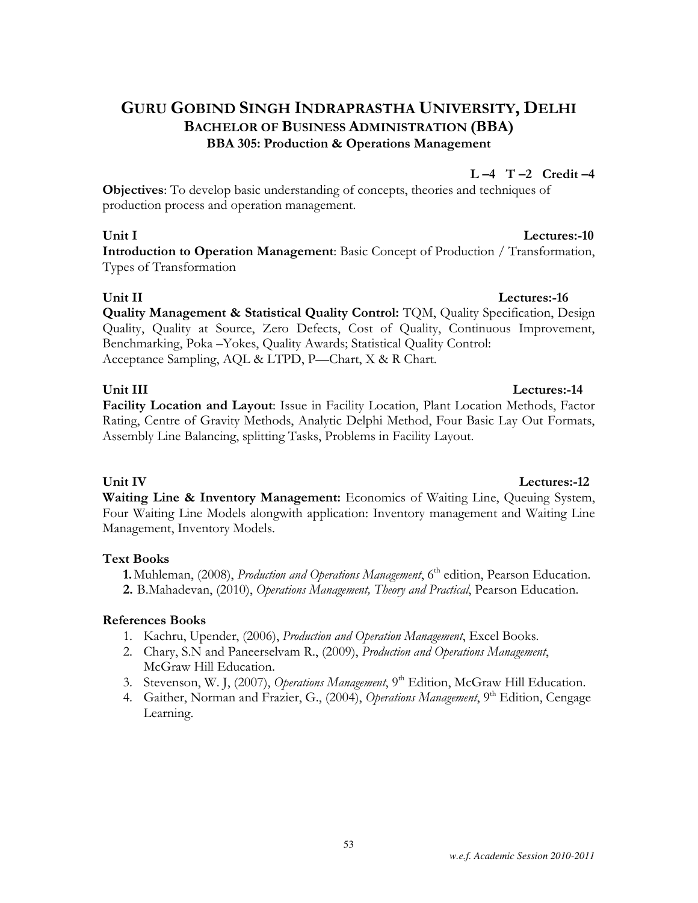## GURU GOBIND SINGH INDRAPRASTHA UNIVERSITY, DELHI BACHELOR OF BUSINESS ADMINISTRATION (BBA) BBA 305: Production & Operations Management

L  $-4$  T  $-2$  Credit  $-4$ 

Objectives: To develop basic understanding of concepts, theories and techniques of production process and operation management.

### Unit I Lectures:-10

Introduction to Operation Management: Basic Concept of Production / Transformation, Types of Transformation

## Unit II Lectures:-16

Quality Management & Statistical Quality Control: TQM, Quality Specification, Design Quality, Quality at Source, Zero Defects, Cost of Quality, Continuous Improvement, Benchmarking, Poka –Yokes, Quality Awards; Statistical Quality Control: Acceptance Sampling, AQL & LTPD, P—Chart, X & R Chart.

Facility Location and Layout: Issue in Facility Location, Plant Location Methods, Factor Rating, Centre of Gravity Methods, Analytic Delphi Method, Four Basic Lay Out Formats, Assembly Line Balancing, splitting Tasks, Problems in Facility Layout.

Unit IV Lectures:-12 Waiting Line & Inventory Management: Economics of Waiting Line, Queuing System, Four Waiting Line Models alongwith application: Inventory management and Waiting Line

## Text Books

1. Muhleman, (2008), *Production and Operations Management*, 6<sup>th</sup> edition, Pearson Education. 2. B.Mahadevan, (2010), Operations Management, Theory and Practical, Pearson Education.

## References Books

Management, Inventory Models.

- 1. Kachru, Upender, (2006), Production and Operation Management, Excel Books.
- 2. Chary, S.N and Paneerselvam R., (2009), Production and Operations Management, McGraw Hill Education.
- 3. Stevenson, W. J, (2007), Operations Management, 9<sup>th</sup> Edition, McGraw Hill Education.
- 4. Gaither, Norman and Frazier, G., (2004), Operations Management, 9<sup>th</sup> Edition, Cengage Learning.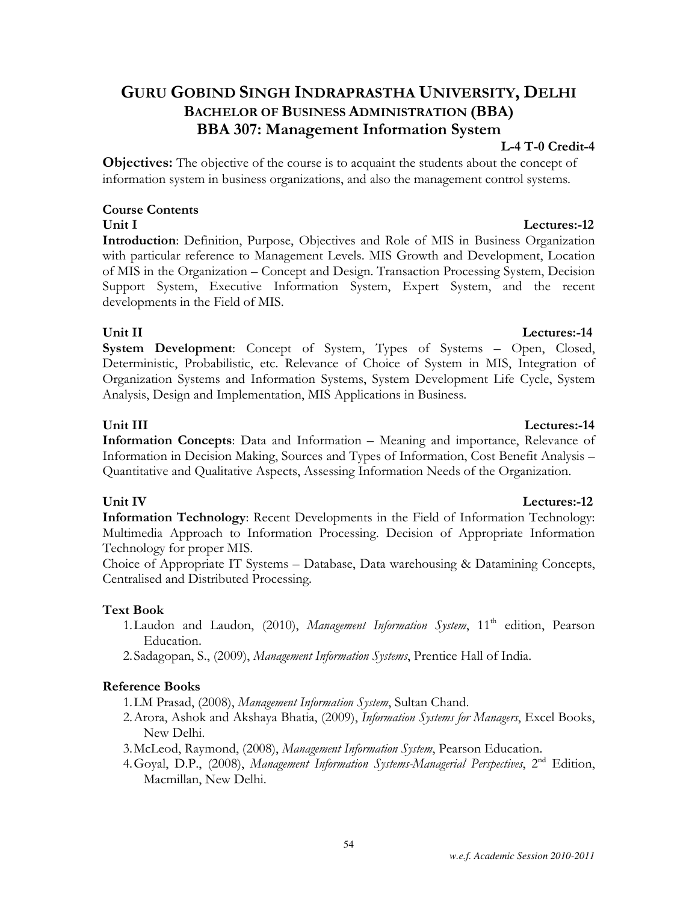## GURU GOBIND SINGH INDRAPRASTHA UNIVERSITY, DELHI BACHELOR OF BUSINESS ADMINISTRATION (BBA) BBA 307: Management Information System

#### L-4 T-0 Credit-4

**Objectives:** The objective of the course is to acquaint the students about the concept of information system in business organizations, and also the management control systems.

# Course Contents

Introduction: Definition, Purpose, Objectives and Role of MIS in Business Organization with particular reference to Management Levels. MIS Growth and Development, Location of MIS in the Organization – Concept and Design. Transaction Processing System, Decision Support System, Executive Information System, Expert System, and the recent developments in the Field of MIS.

### Unit II Lectures:-14

System Development: Concept of System, Types of Systems – Open, Closed, Deterministic, Probabilistic, etc. Relevance of Choice of System in MIS, Integration of Organization Systems and Information Systems, System Development Life Cycle, System Analysis, Design and Implementation, MIS Applications in Business.

Information Concepts: Data and Information – Meaning and importance, Relevance of Information in Decision Making, Sources and Types of Information, Cost Benefit Analysis – Quantitative and Qualitative Aspects, Assessing Information Needs of the Organization.

### Unit IV Lectures:-12

Information Technology: Recent Developments in the Field of Information Technology: Multimedia Approach to Information Processing. Decision of Appropriate Information Technology for proper MIS.

Choice of Appropriate IT Systems – Database, Data warehousing & Datamining Concepts, Centralised and Distributed Processing.

### Text Book

- 1. Laudon and Laudon, (2010), Management Information System,  $11<sup>th</sup>$  edition, Pearson Education.
- 2. Sadagopan, S., (2009), Management Information Systems, Prentice Hall of India.

### Reference Books

1.LM Prasad, (2008), Management Information System, Sultan Chand.

2.Arora, Ashok and Akshaya Bhatia, (2009), Information Systems for Managers, Excel Books, New Delhi.

3. McLeod, Raymond, (2008), Management Information System, Pearson Education.

4. Goyal, D.P., (2008), Management Information Systems-Managerial Perspectives, 2<sup>nd</sup> Edition, Macmillan, New Delhi.

### Unit III Lectures:-14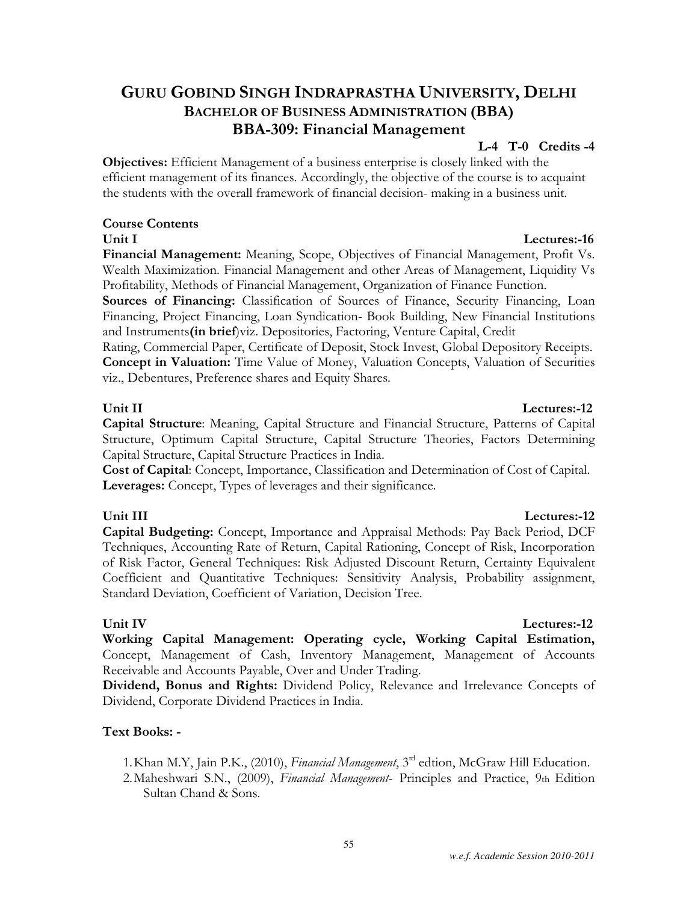## GURU GOBIND SINGH INDRAPRASTHA UNIVERSITY, DELHI BACHELOR OF BUSINESS ADMINISTRATION (BBA) BBA-309: Financial Management

#### L-4 T-0 Credits -4

Objectives: Efficient Management of a business enterprise is closely linked with the efficient management of its finances. Accordingly, the objective of the course is to acquaint the students with the overall framework of financial decision- making in a business unit.

#### Course Contents Unit I Lectures:-16

Financial Management: Meaning, Scope, Objectives of Financial Management, Profit Vs. Wealth Maximization. Financial Management and other Areas of Management, Liquidity Vs Profitability, Methods of Financial Management, Organization of Finance Function.

Sources of Financing: Classification of Sources of Finance, Security Financing, Loan Financing, Project Financing, Loan Syndication- Book Building, New Financial Institutions and Instruments(in brief)viz. Depositories, Factoring, Venture Capital, Credit

Rating, Commercial Paper, Certificate of Deposit, Stock Invest, Global Depository Receipts. Concept in Valuation: Time Value of Money, Valuation Concepts, Valuation of Securities viz., Debentures, Preference shares and Equity Shares.

Capital Structure: Meaning, Capital Structure and Financial Structure, Patterns of Capital Structure, Optimum Capital Structure, Capital Structure Theories, Factors Determining Capital Structure, Capital Structure Practices in India.

Cost of Capital: Concept, Importance, Classification and Determination of Cost of Capital. Leverages: Concept, Types of leverages and their significance.

#### Unit III Lectures:-12

Capital Budgeting: Concept, Importance and Appraisal Methods: Pay Back Period, DCF Techniques, Accounting Rate of Return, Capital Rationing, Concept of Risk, Incorporation of Risk Factor, General Techniques: Risk Adjusted Discount Return, Certainty Equivalent Coefficient and Quantitative Techniques: Sensitivity Analysis, Probability assignment, Standard Deviation, Coefficient of Variation, Decision Tree.

Working Capital Management: Operating cycle, Working Capital Estimation, Concept, Management of Cash, Inventory Management, Management of Accounts Receivable and Accounts Payable, Over and Under Trading.

Dividend, Bonus and Rights: Dividend Policy, Relevance and Irrelevance Concepts of Dividend, Corporate Dividend Practices in India.

### Text Books: -

- 1. Khan M.Y, Jain P.K., (2010), Financial Management, 3<sup>rd</sup> edtion, McGraw Hill Education.
- 2.Maheshwari S.N., (2009), Financial Management- Principles and Practice, 9th Edition Sultan Chand & Sons.

#### Unit IV Lectures:-12

#### *w.e.f. Academic Session 2010-2011*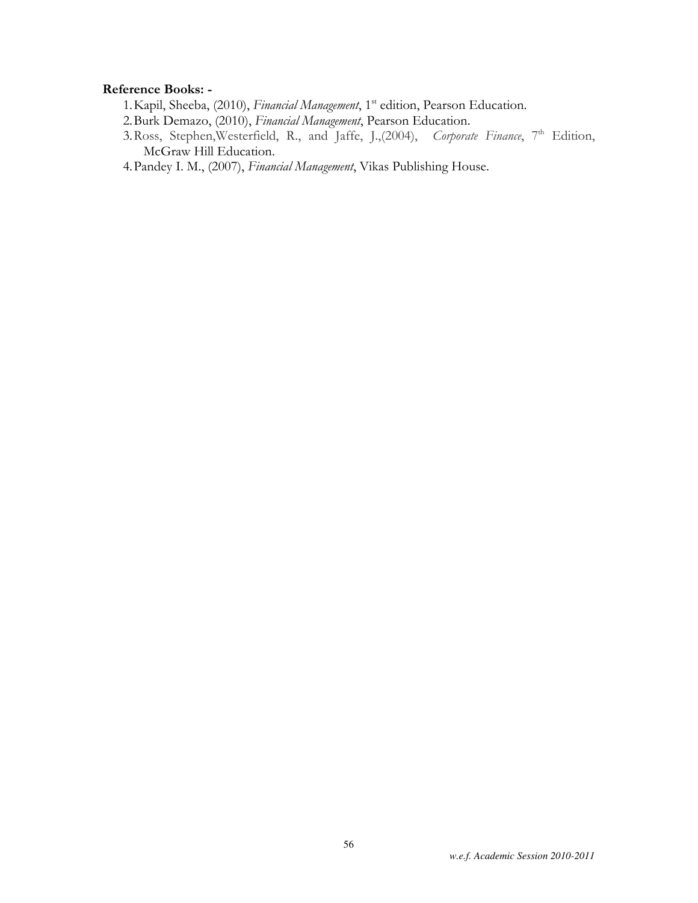#### Reference Books: -

- 1. Kapil, Sheeba, (2010), Financial Management, 1<sup>st</sup> edition, Pearson Education.
- 2.Burk Demazo, (2010), Financial Management, Pearson Education.
- 3. Ross, Stephen, Westerfield, R., and Jaffe, J.,(2004), Corporate Finance, 7<sup>th</sup> Edition, McGraw Hill Education.
- 4.Pandey I. M., (2007), Financial Management, Vikas Publishing House.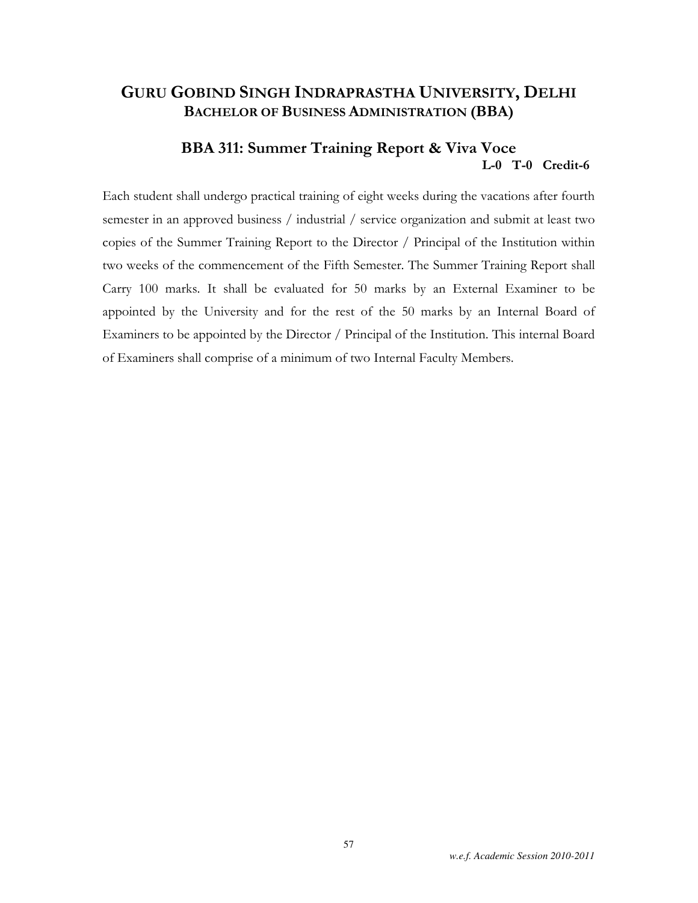### BBA 311: Summer Training Report & Viva Voce L-0 T-0 Credit-6

Each student shall undergo practical training of eight weeks during the vacations after fourth semester in an approved business / industrial / service organization and submit at least two copies of the Summer Training Report to the Director / Principal of the Institution within two weeks of the commencement of the Fifth Semester. The Summer Training Report shall Carry 100 marks. It shall be evaluated for 50 marks by an External Examiner to be appointed by the University and for the rest of the 50 marks by an Internal Board of Examiners to be appointed by the Director / Principal of the Institution. This internal Board of Examiners shall comprise of a minimum of two Internal Faculty Members.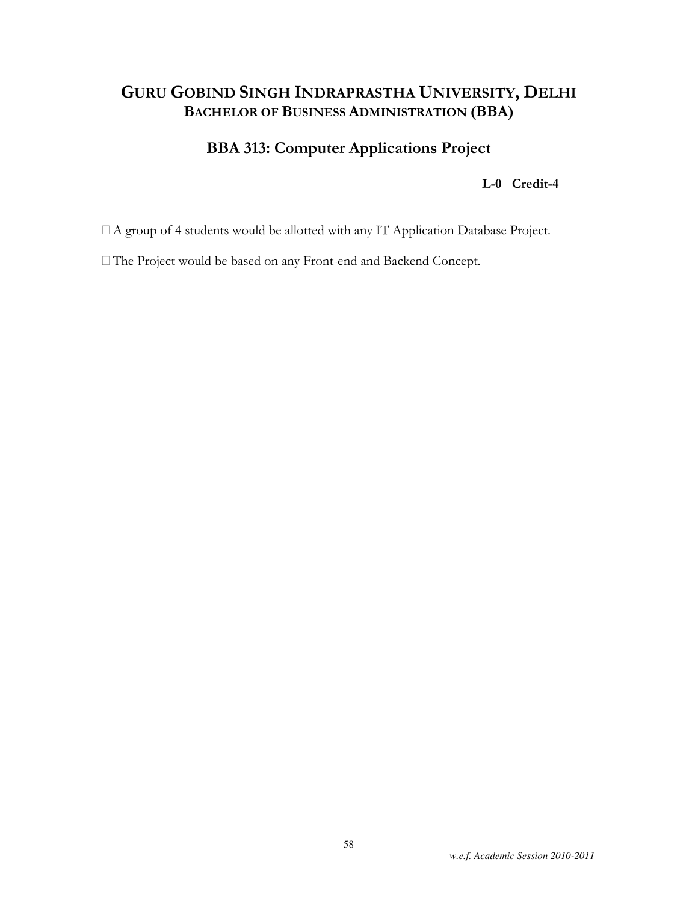## BBA 313: Computer Applications Project

L-0 Credit-4

SA group of 4 students would be allotted with any IT Application Database Project.

SThe Project would be based on any Front-end and Backend Concept.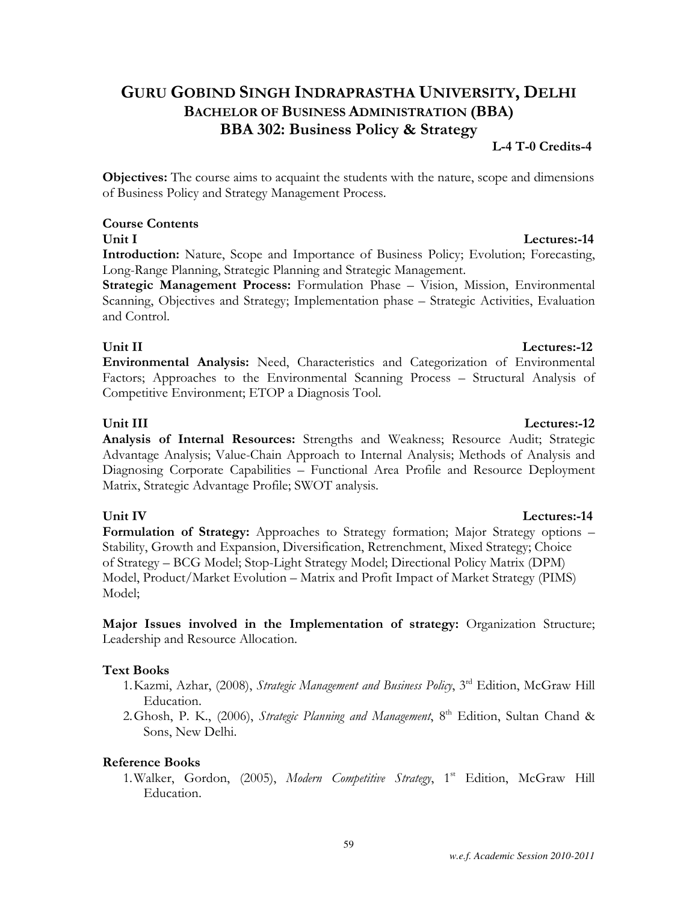## GURU GOBIND SINGH INDRAPRASTHA UNIVERSITY, DELHI BACHELOR OF BUSINESS ADMINISTRATION (BBA) BBA 302: Business Policy & Strategy

#### L-4 T-0 Credits-4

Objectives: The course aims to acquaint the students with the nature, scope and dimensions of Business Policy and Strategy Management Process.

#### Course Contents

#### Unit I Lectures:-14

Introduction: Nature, Scope and Importance of Business Policy; Evolution; Forecasting, Long-Range Planning, Strategic Planning and Strategic Management.

Strategic Management Process: Formulation Phase – Vision, Mission, Environmental Scanning, Objectives and Strategy; Implementation phase – Strategic Activities, Evaluation and Control.

#### Unit II Lectures:-12

Environmental Analysis: Need, Characteristics and Categorization of Environmental Factors; Approaches to the Environmental Scanning Process – Structural Analysis of Competitive Environment; ETOP a Diagnosis Tool.

### Unit III Lectures:-12

Analysis of Internal Resources: Strengths and Weakness; Resource Audit; Strategic Advantage Analysis; Value-Chain Approach to Internal Analysis; Methods of Analysis and Diagnosing Corporate Capabilities – Functional Area Profile and Resource Deployment Matrix, Strategic Advantage Profile; SWOT analysis.

#### Unit IV Lectures:-14

Formulation of Strategy: Approaches to Strategy formation; Major Strategy options – Stability, Growth and Expansion, Diversification, Retrenchment, Mixed Strategy; Choice of Strategy – BCG Model; Stop-Light Strategy Model; Directional Policy Matrix (DPM) Model, Product/Market Evolution – Matrix and Profit Impact of Market Strategy (PIMS) Model;

Major Issues involved in the Implementation of strategy: Organization Structure; Leadership and Resource Allocation.

#### Text Books

- 1. Kazmi, Azhar, (2008), Strategic Management and Business Policy, 3<sup>rd</sup> Edition, McGraw Hill Education.
- 2. Ghosh, P. K., (2006), Strategic Planning and Management, 8<sup>th</sup> Edition, Sultan Chand & Sons, New Delhi.

#### Reference Books

1. Walker, Gordon, (2005), Modern Competitive Strategy, 1st Edition, McGraw Hill Education.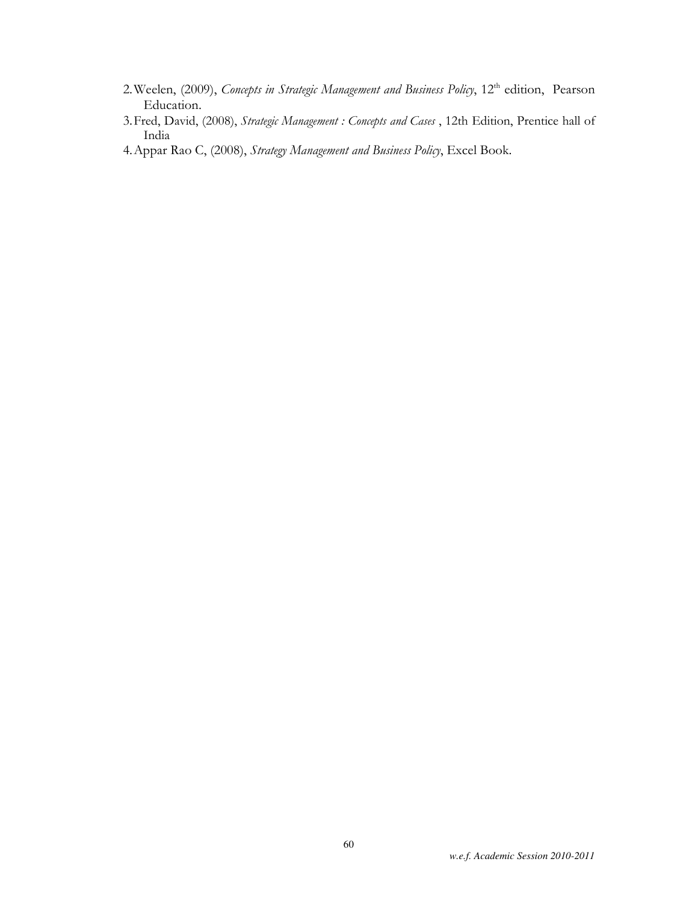- 2. Weelen, (2009), Concepts in Strategic Management and Business Policy, 12<sup>th</sup> edition, Pearson Education.
- 3.Fred, David, (2008), Strategic Management : Concepts and Cases , 12th Edition, Prentice hall of India
- 4.Appar Rao C, (2008), Strategy Management and Business Policy, Excel Book.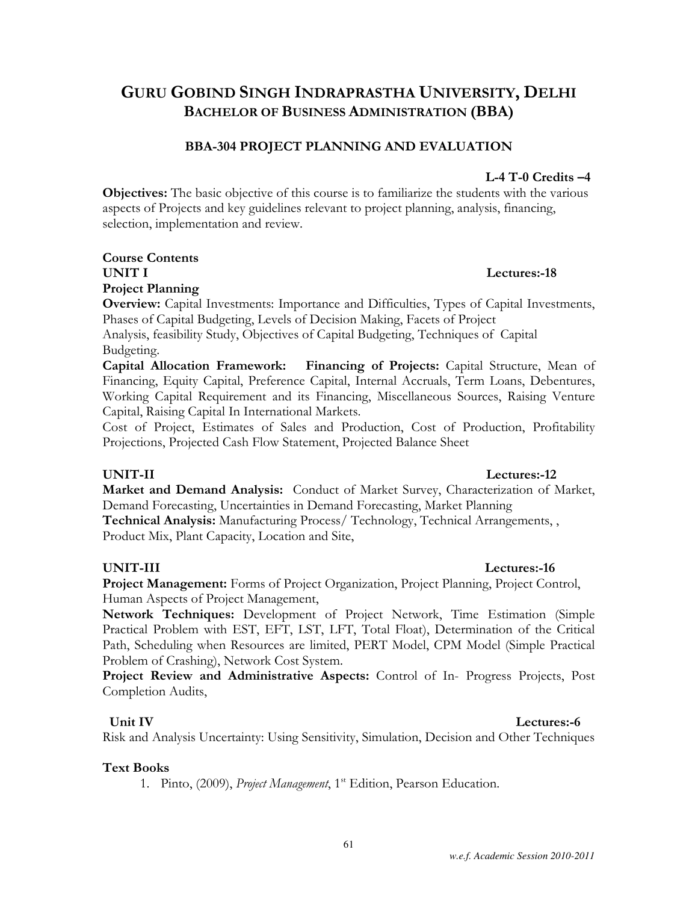### BBA-304 PROJECT PLANNING AND EVALUATION

### L-4 T-0 Credits –4

Objectives: The basic objective of this course is to familiarize the students with the various aspects of Projects and key guidelines relevant to project planning, analysis, financing, selection, implementation and review.

## Course Contents UNIT I Lectures:-18

Project Planning

Overview: Capital Investments: Importance and Difficulties, Types of Capital Investments, Phases of Capital Budgeting, Levels of Decision Making, Facets of Project

Analysis, feasibility Study, Objectives of Capital Budgeting, Techniques of Capital Budgeting.

Capital Allocation Framework: Financing of Projects: Capital Structure, Mean of Financing, Equity Capital, Preference Capital, Internal Accruals, Term Loans, Debentures, Working Capital Requirement and its Financing, Miscellaneous Sources, Raising Venture Capital, Raising Capital In International Markets.

Cost of Project, Estimates of Sales and Production, Cost of Production, Profitability Projections, Projected Cash Flow Statement, Projected Balance Sheet

#### UNIT-II Lectures:-12

Market and Demand Analysis: Conduct of Market Survey, Characterization of Market, Demand Forecasting, Uncertainties in Demand Forecasting, Market Planning

Technical Analysis: Manufacturing Process/ Technology, Technical Arrangements, , Product Mix, Plant Capacity, Location and Site,

#### UNIT-III Lectures:-16

Project Management: Forms of Project Organization, Project Planning, Project Control, Human Aspects of Project Management,

Network Techniques: Development of Project Network, Time Estimation (Simple Practical Problem with EST, EFT, LST, LFT, Total Float), Determination of the Critical Path, Scheduling when Resources are limited, PERT Model, CPM Model (Simple Practical Problem of Crashing), Network Cost System.

Project Review and Administrative Aspects: Control of In- Progress Projects, Post Completion Audits,

#### Unit IV Lectures:-6

Risk and Analysis Uncertainty: Using Sensitivity, Simulation, Decision and Other Techniques

#### Text Books

1. Pinto, (2009), *Project Management*, 1<sup>st</sup> Edition, Pearson Education.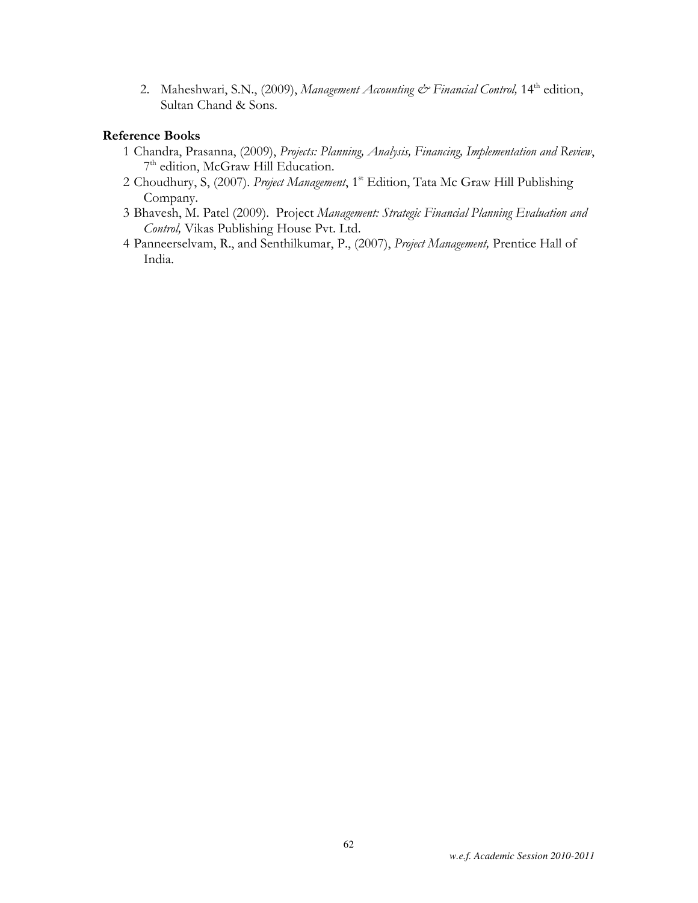2. Maheshwari, S.N., (2009), Management Accounting & Financial Control, 14<sup>th</sup> edition, Sultan Chand & Sons.

#### Reference Books

- 1 Chandra, Prasanna, (2009), Projects: Planning, Analysis, Financing, Implementation and Review, 7<sup>th</sup> edition, McGraw Hill Education.
- 2 Choudhury, S, (2007). Project Management, 1<sup>st</sup> Edition, Tata Mc Graw Hill Publishing Company.
- 3 Bhavesh, M. Patel (2009). Project Management: Strategic Financial Planning Evaluation and Control, Vikas Publishing House Pvt. Ltd.
- 4 Panneerselvam, R., and Senthilkumar, P., (2007), Project Management, Prentice Hall of India.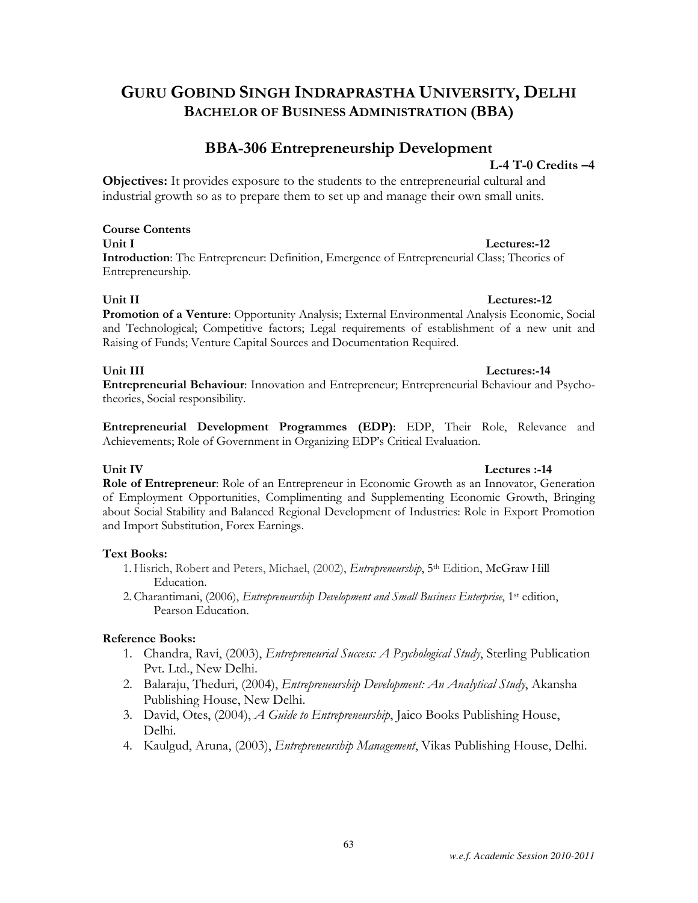## BBA-306 Entrepreneurship Development

## L-4 T-0 Credits –4

Objectives: It provides exposure to the students to the entrepreneurial cultural and industrial growth so as to prepare them to set up and manage their own small units.

Course Contents Unit I Lectures:-12 Introduction: The Entrepreneur: Definition, Emergence of Entrepreneurial Class; Theories of Entrepreneurship.

#### Unit II Lectures:-12

Promotion of a Venture: Opportunity Analysis; External Environmental Analysis Economic, Social and Technological; Competitive factors; Legal requirements of establishment of a new unit and Raising of Funds; Venture Capital Sources and Documentation Required.

#### Unit III Lectures:-14

Entrepreneurial Behaviour: Innovation and Entrepreneur; Entrepreneurial Behaviour and Psychotheories, Social responsibility.

Entrepreneurial Development Programmes (EDP): EDP, Their Role, Relevance and Achievements; Role of Government in Organizing EDP's Critical Evaluation.

#### Unit IV Lectures :-14

Role of Entrepreneur: Role of an Entrepreneur in Economic Growth as an Innovator, Generation of Employment Opportunities, Complimenting and Supplementing Economic Growth, Bringing about Social Stability and Balanced Regional Development of Industries: Role in Export Promotion and Import Substitution, Forex Earnings.

#### Text Books:

- 1. Hisrich, Robert and Peters, Michael, (2002), *Entrepreneurship*, 5<sup>th</sup> Edition, McGraw Hill Education.
- 2. Charantimani, (2006), Entrepreneurship Development and Small Business Enterprise, 1st edition, Pearson Education.

#### Reference Books:

- 1. Chandra, Ravi, (2003), *Entrepreneurial Success: A Psychological Study*, Sterling Publication Pvt. Ltd., New Delhi.
- 2. Balaraju, Theduri, (2004), *Entrepreneurship Development: An Analytical Study*, Akansha Publishing House, New Delhi.
- 3. David, Otes, (2004), A Guide to Entrepreneurship, Jaico Books Publishing House, Delhi.
- 4. Kaulgud, Aruna, (2003), *Entrepreneurship Management*, Vikas Publishing House, Delhi.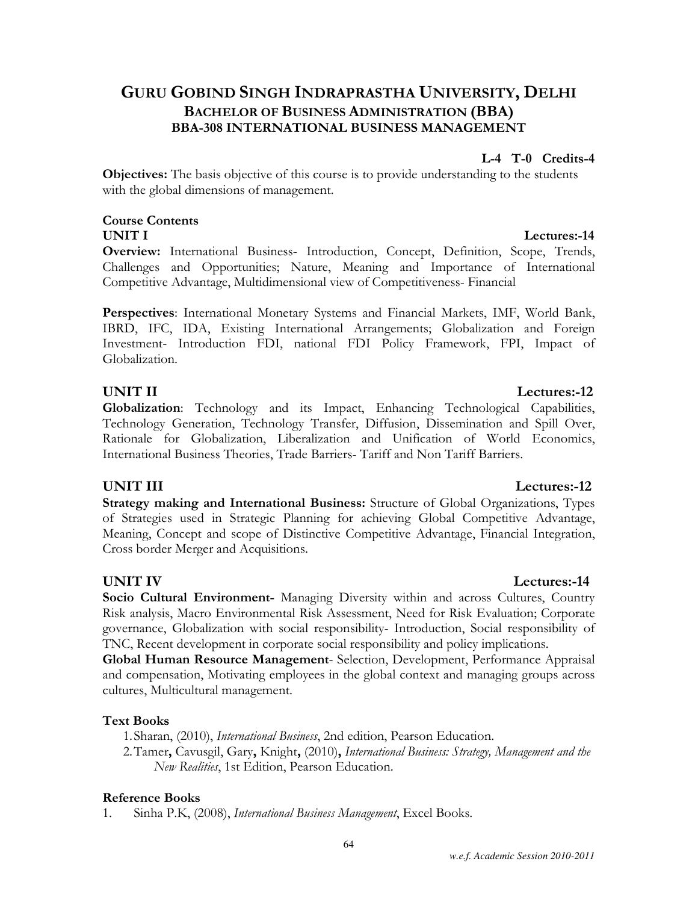#### *w.e.f. Academic Session 2010-2011*

## GURU GOBIND SINGH INDRAPRASTHA UNIVERSITY, DELHI BACHELOR OF BUSINESS ADMINISTRATION (BBA) BBA-308 INTERNATIONAL BUSINESS MANAGEMENT

### L-4 T-0 Credits-4

Objectives: The basis objective of this course is to provide understanding to the students with the global dimensions of management.

# Course Contents

Overview: International Business- Introduction, Concept, Definition, Scope, Trends, Challenges and Opportunities; Nature, Meaning and Importance of International Competitive Advantage, Multidimensional view of Competitiveness- Financial

Perspectives: International Monetary Systems and Financial Markets, IMF, World Bank, IBRD, IFC, IDA, Existing International Arrangements; Globalization and Foreign Investment- Introduction FDI, national FDI Policy Framework, FPI, Impact of Globalization.

## UNIT II Lectures:-12

Globalization: Technology and its Impact, Enhancing Technological Capabilities, Technology Generation, Technology Transfer, Diffusion, Dissemination and Spill Over, Rationale for Globalization, Liberalization and Unification of World Economics, International Business Theories, Trade Barriers- Tariff and Non Tariff Barriers.

## UNIT III Lectures:-12

Strategy making and International Business: Structure of Global Organizations, Types of Strategies used in Strategic Planning for achieving Global Competitive Advantage, Meaning, Concept and scope of Distinctive Competitive Advantage, Financial Integration, Cross border Merger and Acquisitions.

Socio Cultural Environment- Managing Diversity within and across Cultures, Country Risk analysis, Macro Environmental Risk Assessment, Need for Risk Evaluation; Corporate governance, Globalization with social responsibility- Introduction, Social responsibility of TNC, Recent development in corporate social responsibility and policy implications.

Global Human Resource Management- Selection, Development, Performance Appraisal and compensation, Motivating employees in the global context and managing groups across cultures, Multicultural management.

### Text Books

1.Sharan, (2010), International Business, 2nd edition, Pearson Education.

2. Tamer, Cavusgil, Gary, Knight, (2010), International Business: Strategy, Management and the New Realities, 1st Edition, Pearson Education.

### Reference Books

1. Sinha P.K, (2008), International Business Management, Excel Books.

## UNIT IV Lectures:-14

## UNIT I Lectures:-14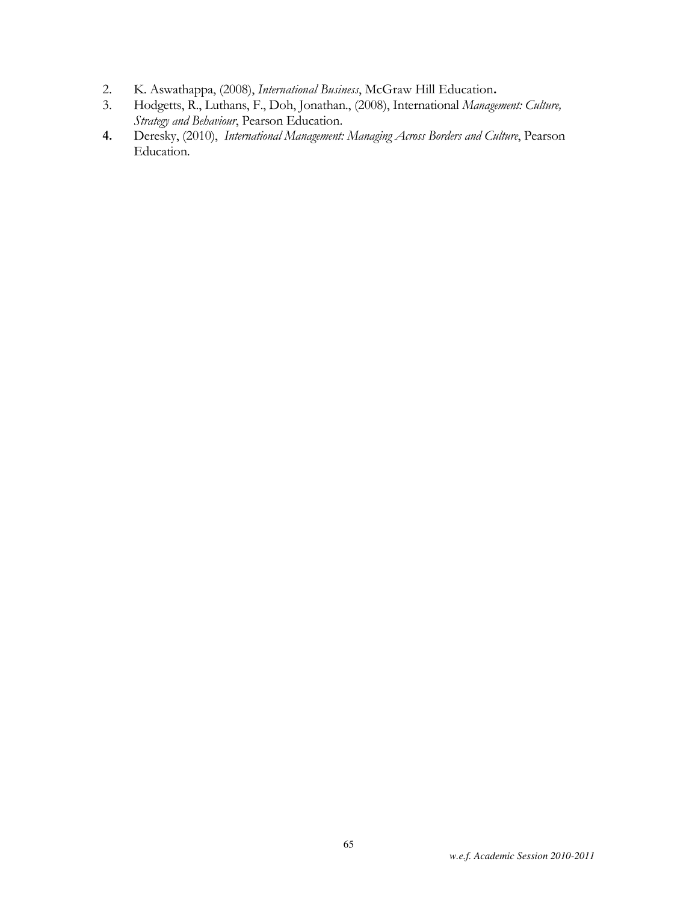- 2. K. Aswathappa, (2008), International Business, McGraw Hill Education.
- 3. Hodgetts, R., Luthans, F., Doh, Jonathan., (2008), International Management: Culture, Strategy and Behaviour, Pearson Education.
- 4. Deresky, (2010), International Management: Managing Across Borders and Culture, Pearson Education.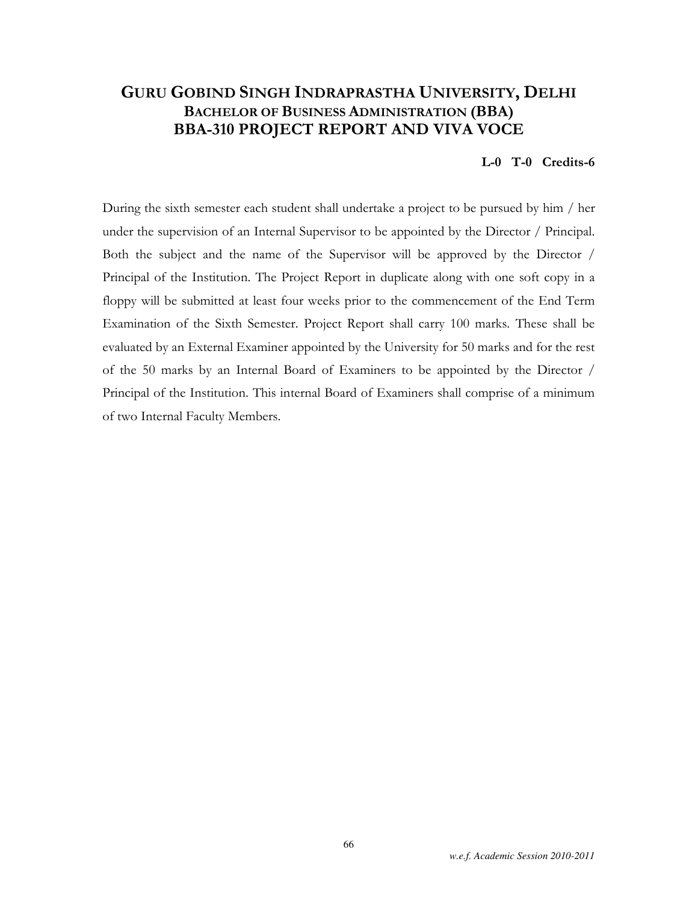## GURU GOBIND SINGH INDRAPRASTHA UNIVERSITY, DELHI BACHELOR OF BUSINESS ADMINISTRATION (BBA) BBA-310 PROJECT REPORT AND VIVA VOCE

#### L-0 T-0 Credits-6

During the sixth semester each student shall undertake a project to be pursued by him / her under the supervision of an Internal Supervisor to be appointed by the Director / Principal. Both the subject and the name of the Supervisor will be approved by the Director / Principal of the Institution. The Project Report in duplicate along with one soft copy in a floppy will be submitted at least four weeks prior to the commencement of the End Term Examination of the Sixth Semester. Project Report shall carry 100 marks. These shall be evaluated by an External Examiner appointed by the University for 50 marks and for the rest of the 50 marks by an Internal Board of Examiners to be appointed by the Director / Principal of the Institution. This internal Board of Examiners shall comprise of a minimum of two Internal Faculty Members.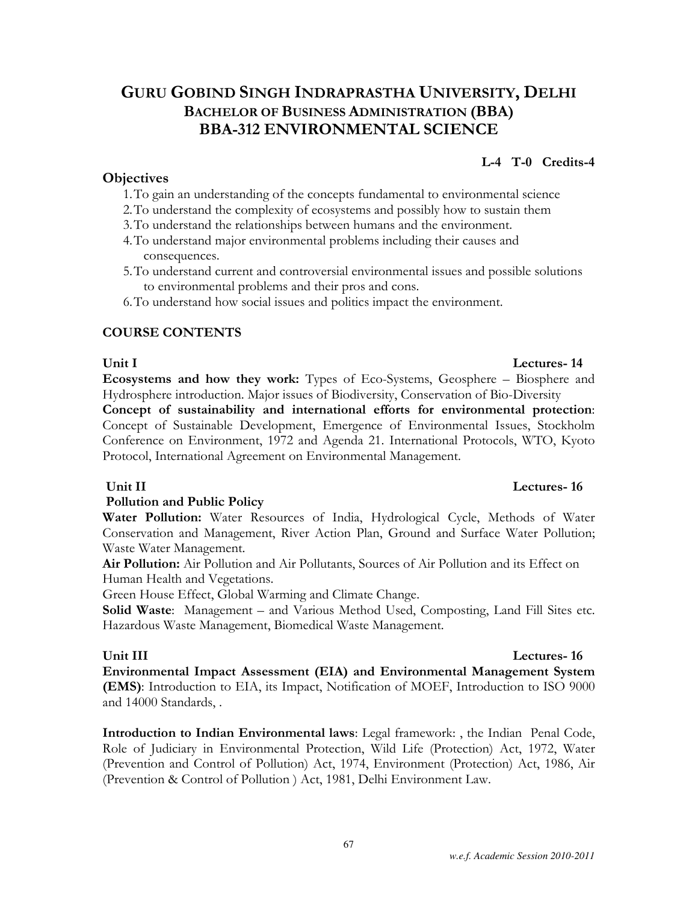## GURU GOBIND SINGH INDRAPRASTHA UNIVERSITY, DELHI BACHELOR OF BUSINESS ADMINISTRATION (BBA) BBA-312 ENVIRONMENTAL SCIENCE

#### **Objectives**

- 1.To gain an understanding of the concepts fundamental to environmental science
- 2.To understand the complexity of ecosystems and possibly how to sustain them
- 3.To understand the relationships between humans and the environment.
- 4.To understand major environmental problems including their causes and consequences.
- 5.To understand current and controversial environmental issues and possible solutions to environmental problems and their pros and cons.
- 6.To understand how social issues and politics impact the environment.

#### COURSE CONTENTS

Ecosystems and how they work: Types of Eco-Systems, Geosphere – Biosphere and Hydrosphere introduction. Major issues of Biodiversity, Conservation of Bio-Diversity

Concept of sustainability and international efforts for environmental protection: Concept of Sustainable Development, Emergence of Environmental Issues, Stockholm Conference on Environment, 1972 and Agenda 21. International Protocols, WTO, Kyoto Protocol, International Agreement on Environmental Management.

#### Pollution and Public Policy

Water Pollution: Water Resources of India, Hydrological Cycle, Methods of Water Conservation and Management, River Action Plan, Ground and Surface Water Pollution; Waste Water Management.

Air Pollution: Air Pollution and Air Pollutants, Sources of Air Pollution and its Effect on Human Health and Vegetations.

Green House Effect, Global Warming and Climate Change.

Solid Waste: Management – and Various Method Used, Composting, Land Fill Sites etc. Hazardous Waste Management, Biomedical Waste Management.

#### Unit III Lectures- 16

Environmental Impact Assessment (EIA) and Environmental Management System (EMS): Introduction to EIA, its Impact, Notification of MOEF, Introduction to ISO 9000 and 14000 Standards, .

Introduction to Indian Environmental laws: Legal framework: , the Indian Penal Code, Role of Judiciary in Environmental Protection, Wild Life (Protection) Act, 1972, Water (Prevention and Control of Pollution) Act, 1974, Environment (Protection) Act, 1986, Air (Prevention & Control of Pollution ) Act, 1981, Delhi Environment Law.

#### Unit I Lectures- 14

L-4 T-0 Credits-4